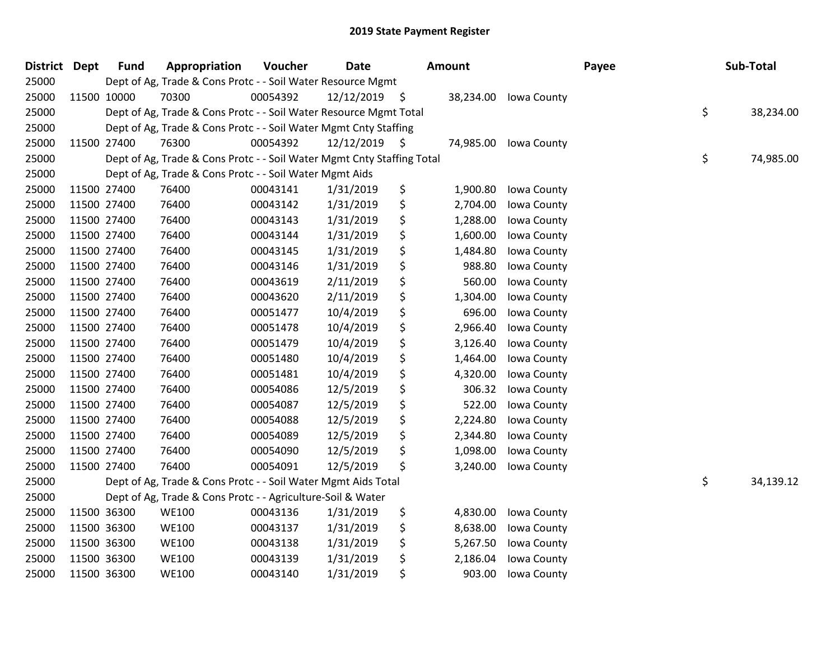| <b>District Dept</b> | <b>Fund</b> | Appropriation                                                          | Voucher  | <b>Date</b>     | Amount         |             | Payee | Sub-Total       |
|----------------------|-------------|------------------------------------------------------------------------|----------|-----------------|----------------|-------------|-------|-----------------|
| 25000                |             | Dept of Ag, Trade & Cons Protc - - Soil Water Resource Mgmt            |          |                 |                |             |       |                 |
| 25000                | 11500 10000 | 70300                                                                  | 00054392 | $12/12/2019$ \$ | 38,234.00      | Iowa County |       |                 |
| 25000                |             | Dept of Ag, Trade & Cons Protc - - Soil Water Resource Mgmt Total      |          |                 |                |             |       | \$<br>38,234.00 |
| 25000                |             | Dept of Ag, Trade & Cons Protc - - Soil Water Mgmt Cnty Staffing       |          |                 |                |             |       |                 |
| 25000                | 11500 27400 | 76300                                                                  | 00054392 | $12/12/2019$ \$ | 74,985.00      | Iowa County |       |                 |
| 25000                |             | Dept of Ag, Trade & Cons Protc - - Soil Water Mgmt Cnty Staffing Total |          |                 |                |             |       | \$<br>74,985.00 |
| 25000                |             | Dept of Ag, Trade & Cons Protc - - Soil Water Mgmt Aids                |          |                 |                |             |       |                 |
| 25000                | 11500 27400 | 76400                                                                  | 00043141 | 1/31/2019       | \$<br>1,900.80 | Iowa County |       |                 |
| 25000                | 11500 27400 | 76400                                                                  | 00043142 | 1/31/2019       | \$<br>2,704.00 | Iowa County |       |                 |
| 25000                | 11500 27400 | 76400                                                                  | 00043143 | 1/31/2019       | \$<br>1,288.00 | Iowa County |       |                 |
| 25000                | 11500 27400 | 76400                                                                  | 00043144 | 1/31/2019       | \$<br>1,600.00 | Iowa County |       |                 |
| 25000                | 11500 27400 | 76400                                                                  | 00043145 | 1/31/2019       | \$<br>1,484.80 | Iowa County |       |                 |
| 25000                | 11500 27400 | 76400                                                                  | 00043146 | 1/31/2019       | \$<br>988.80   | Iowa County |       |                 |
| 25000                | 11500 27400 | 76400                                                                  | 00043619 | 2/11/2019       | \$<br>560.00   | Iowa County |       |                 |
| 25000                | 11500 27400 | 76400                                                                  | 00043620 | 2/11/2019       | \$<br>1,304.00 | Iowa County |       |                 |
| 25000                | 11500 27400 | 76400                                                                  | 00051477 | 10/4/2019       | \$<br>696.00   | Iowa County |       |                 |
| 25000                | 11500 27400 | 76400                                                                  | 00051478 | 10/4/2019       | \$<br>2,966.40 | Iowa County |       |                 |
| 25000                | 11500 27400 | 76400                                                                  | 00051479 | 10/4/2019       | \$<br>3,126.40 | Iowa County |       |                 |
| 25000                | 11500 27400 | 76400                                                                  | 00051480 | 10/4/2019       | \$<br>1,464.00 | Iowa County |       |                 |
| 25000                | 11500 27400 | 76400                                                                  | 00051481 | 10/4/2019       | \$<br>4,320.00 | Iowa County |       |                 |
| 25000                | 11500 27400 | 76400                                                                  | 00054086 | 12/5/2019       | \$<br>306.32   | Iowa County |       |                 |
| 25000                | 11500 27400 | 76400                                                                  | 00054087 | 12/5/2019       | \$<br>522.00   | Iowa County |       |                 |
| 25000                | 11500 27400 | 76400                                                                  | 00054088 | 12/5/2019       | \$<br>2,224.80 | Iowa County |       |                 |
| 25000                | 11500 27400 | 76400                                                                  | 00054089 | 12/5/2019       | \$<br>2,344.80 | Iowa County |       |                 |
| 25000                | 11500 27400 | 76400                                                                  | 00054090 | 12/5/2019       | \$<br>1,098.00 | Iowa County |       |                 |
| 25000                | 11500 27400 | 76400                                                                  | 00054091 | 12/5/2019       | \$<br>3,240.00 | Iowa County |       |                 |
| 25000                |             | Dept of Ag, Trade & Cons Protc - - Soil Water Mgmt Aids Total          |          |                 |                |             |       | \$<br>34,139.12 |
| 25000                |             | Dept of Ag, Trade & Cons Protc - - Agriculture-Soil & Water            |          |                 |                |             |       |                 |
| 25000                | 11500 36300 | <b>WE100</b>                                                           | 00043136 | 1/31/2019       | \$<br>4,830.00 | Iowa County |       |                 |
| 25000                | 11500 36300 | <b>WE100</b>                                                           | 00043137 | 1/31/2019       | \$<br>8,638.00 | Iowa County |       |                 |
| 25000                | 11500 36300 | <b>WE100</b>                                                           | 00043138 | 1/31/2019       | \$<br>5,267.50 | Iowa County |       |                 |
| 25000                | 11500 36300 | <b>WE100</b>                                                           | 00043139 | 1/31/2019       | \$<br>2,186.04 | Iowa County |       |                 |
| 25000                | 11500 36300 | <b>WE100</b>                                                           | 00043140 | 1/31/2019       | \$<br>903.00   | Iowa County |       |                 |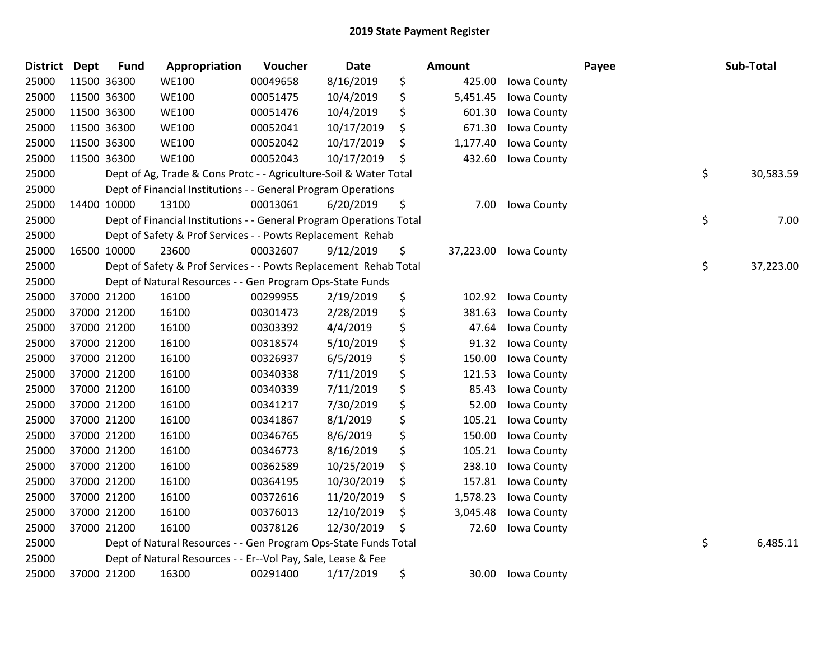| <b>District Dept</b> |             | <b>Fund</b> | Appropriation                                                       | Voucher  | Date       | <b>Amount</b>   |             | Payee | Sub-Total       |
|----------------------|-------------|-------------|---------------------------------------------------------------------|----------|------------|-----------------|-------------|-------|-----------------|
| 25000                | 11500 36300 |             | <b>WE100</b>                                                        | 00049658 | 8/16/2019  | \$<br>425.00    | Iowa County |       |                 |
| 25000                | 11500 36300 |             | <b>WE100</b>                                                        | 00051475 | 10/4/2019  | \$<br>5,451.45  | Iowa County |       |                 |
| 25000                | 11500 36300 |             | <b>WE100</b>                                                        | 00051476 | 10/4/2019  | \$<br>601.30    | Iowa County |       |                 |
| 25000                | 11500 36300 |             | <b>WE100</b>                                                        | 00052041 | 10/17/2019 | \$<br>671.30    | Iowa County |       |                 |
| 25000                | 11500 36300 |             | <b>WE100</b>                                                        | 00052042 | 10/17/2019 | \$<br>1,177.40  | Iowa County |       |                 |
| 25000                | 11500 36300 |             | <b>WE100</b>                                                        | 00052043 | 10/17/2019 | \$<br>432.60    | Iowa County |       |                 |
| 25000                |             |             | Dept of Ag, Trade & Cons Protc - - Agriculture-Soil & Water Total   |          |            |                 |             |       | \$<br>30,583.59 |
| 25000                |             |             | Dept of Financial Institutions - - General Program Operations       |          |            |                 |             |       |                 |
| 25000                | 14400 10000 |             | 13100                                                               | 00013061 | 6/20/2019  | \$<br>7.00      | Iowa County |       |                 |
| 25000                |             |             | Dept of Financial Institutions - - General Program Operations Total |          |            |                 |             |       | \$<br>7.00      |
| 25000                |             |             | Dept of Safety & Prof Services - - Powts Replacement Rehab          |          |            |                 |             |       |                 |
| 25000                | 16500 10000 |             | 23600                                                               | 00032607 | 9/12/2019  | \$<br>37,223.00 | Iowa County |       |                 |
| 25000                |             |             | Dept of Safety & Prof Services - - Powts Replacement Rehab Total    |          |            |                 |             |       | \$<br>37,223.00 |
| 25000                |             |             | Dept of Natural Resources - - Gen Program Ops-State Funds           |          |            |                 |             |       |                 |
| 25000                | 37000 21200 |             | 16100                                                               | 00299955 | 2/19/2019  | \$<br>102.92    | Iowa County |       |                 |
| 25000                | 37000 21200 |             | 16100                                                               | 00301473 | 2/28/2019  | \$<br>381.63    | Iowa County |       |                 |
| 25000                | 37000 21200 |             | 16100                                                               | 00303392 | 4/4/2019   | \$<br>47.64     | Iowa County |       |                 |
| 25000                | 37000 21200 |             | 16100                                                               | 00318574 | 5/10/2019  | \$<br>91.32     | Iowa County |       |                 |
| 25000                | 37000 21200 |             | 16100                                                               | 00326937 | 6/5/2019   | \$<br>150.00    | Iowa County |       |                 |
| 25000                | 37000 21200 |             | 16100                                                               | 00340338 | 7/11/2019  | \$<br>121.53    | Iowa County |       |                 |
| 25000                | 37000 21200 |             | 16100                                                               | 00340339 | 7/11/2019  | \$<br>85.43     | Iowa County |       |                 |
| 25000                | 37000 21200 |             | 16100                                                               | 00341217 | 7/30/2019  | \$<br>52.00     | Iowa County |       |                 |
| 25000                | 37000 21200 |             | 16100                                                               | 00341867 | 8/1/2019   | \$<br>105.21    | Iowa County |       |                 |
| 25000                | 37000 21200 |             | 16100                                                               | 00346765 | 8/6/2019   | \$<br>150.00    | Iowa County |       |                 |
| 25000                | 37000 21200 |             | 16100                                                               | 00346773 | 8/16/2019  | \$<br>105.21    | Iowa County |       |                 |
| 25000                | 37000 21200 |             | 16100                                                               | 00362589 | 10/25/2019 | \$<br>238.10    | Iowa County |       |                 |
| 25000                | 37000 21200 |             | 16100                                                               | 00364195 | 10/30/2019 | \$<br>157.81    | Iowa County |       |                 |
| 25000                | 37000 21200 |             | 16100                                                               | 00372616 | 11/20/2019 | \$<br>1,578.23  | Iowa County |       |                 |
| 25000                | 37000 21200 |             | 16100                                                               | 00376013 | 12/10/2019 | \$<br>3,045.48  | Iowa County |       |                 |
| 25000                | 37000 21200 |             | 16100                                                               | 00378126 | 12/30/2019 | \$<br>72.60     | Iowa County |       |                 |
| 25000                |             |             | Dept of Natural Resources - - Gen Program Ops-State Funds Total     |          |            |                 |             |       | \$<br>6,485.11  |
| 25000                |             |             | Dept of Natural Resources - - Er--Vol Pay, Sale, Lease & Fee        |          |            |                 |             |       |                 |
| 25000                | 37000 21200 |             | 16300                                                               | 00291400 | 1/17/2019  | \$<br>30.00     | Iowa County |       |                 |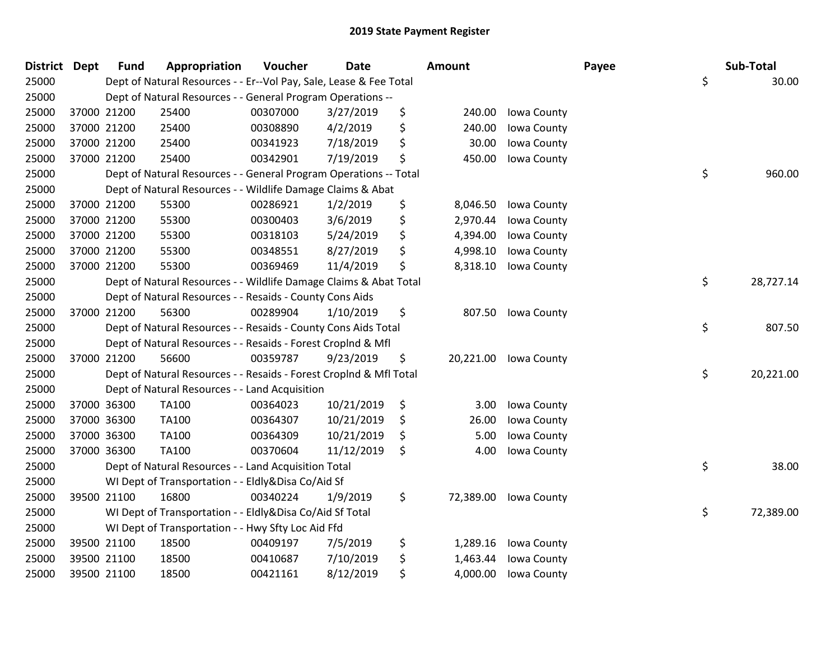| District Dept |             | <b>Fund</b> | Appropriation                                                      | Voucher  | <b>Date</b> | <b>Amount</b>   |             | Payee | Sub-Total       |
|---------------|-------------|-------------|--------------------------------------------------------------------|----------|-------------|-----------------|-------------|-------|-----------------|
| 25000         |             |             | Dept of Natural Resources - - Er--Vol Pay, Sale, Lease & Fee Total |          |             |                 |             | \$    | 30.00           |
| 25000         |             |             | Dept of Natural Resources - - General Program Operations --        |          |             |                 |             |       |                 |
| 25000         | 37000 21200 |             | 25400                                                              | 00307000 | 3/27/2019   | \$<br>240.00    | Iowa County |       |                 |
| 25000         | 37000 21200 |             | 25400                                                              | 00308890 | 4/2/2019    | \$<br>240.00    | Iowa County |       |                 |
| 25000         | 37000 21200 |             | 25400                                                              | 00341923 | 7/18/2019   | \$<br>30.00     | Iowa County |       |                 |
| 25000         | 37000 21200 |             | 25400                                                              | 00342901 | 7/19/2019   | \$<br>450.00    | Iowa County |       |                 |
| 25000         |             |             | Dept of Natural Resources - - General Program Operations -- Total  |          |             |                 |             |       | \$<br>960.00    |
| 25000         |             |             | Dept of Natural Resources - - Wildlife Damage Claims & Abat        |          |             |                 |             |       |                 |
| 25000         | 37000 21200 |             | 55300                                                              | 00286921 | 1/2/2019    | \$<br>8,046.50  | Iowa County |       |                 |
| 25000         | 37000 21200 |             | 55300                                                              | 00300403 | 3/6/2019    | \$<br>2,970.44  | Iowa County |       |                 |
| 25000         | 37000 21200 |             | 55300                                                              | 00318103 | 5/24/2019   | \$<br>4,394.00  | Iowa County |       |                 |
| 25000         | 37000 21200 |             | 55300                                                              | 00348551 | 8/27/2019   | \$<br>4,998.10  | Iowa County |       |                 |
| 25000         | 37000 21200 |             | 55300                                                              | 00369469 | 11/4/2019   | \$<br>8,318.10  | Iowa County |       |                 |
| 25000         |             |             | Dept of Natural Resources - - Wildlife Damage Claims & Abat Total  |          |             |                 |             |       | \$<br>28,727.14 |
| 25000         |             |             | Dept of Natural Resources - - Resaids - County Cons Aids           |          |             |                 |             |       |                 |
| 25000         | 37000 21200 |             | 56300                                                              | 00289904 | 1/10/2019   | \$<br>807.50    | Iowa County |       |                 |
| 25000         |             |             | Dept of Natural Resources - - Resaids - County Cons Aids Total     |          |             |                 |             | \$    | 807.50          |
| 25000         |             |             | Dept of Natural Resources - - Resaids - Forest Croplnd & Mfl       |          |             |                 |             |       |                 |
| 25000         | 37000 21200 |             | 56600                                                              | 00359787 | 9/23/2019   | \$<br>20,221.00 | Iowa County |       |                 |
| 25000         |             |             | Dept of Natural Resources - - Resaids - Forest CropInd & Mfl Total |          |             |                 |             |       | \$<br>20,221.00 |
| 25000         |             |             | Dept of Natural Resources - - Land Acquisition                     |          |             |                 |             |       |                 |
| 25000         | 37000 36300 |             | <b>TA100</b>                                                       | 00364023 | 10/21/2019  | \$<br>3.00      | Iowa County |       |                 |
| 25000         | 37000 36300 |             | TA100                                                              | 00364307 | 10/21/2019  | \$<br>26.00     | Iowa County |       |                 |
| 25000         | 37000 36300 |             | <b>TA100</b>                                                       | 00364309 | 10/21/2019  | \$<br>5.00      | Iowa County |       |                 |
| 25000         | 37000 36300 |             | TA100                                                              | 00370604 | 11/12/2019  | \$<br>4.00      | Iowa County |       |                 |
| 25000         |             |             | Dept of Natural Resources - - Land Acquisition Total               |          |             |                 |             | \$    | 38.00           |
| 25000         |             |             | WI Dept of Transportation - - Eldly&Disa Co/Aid Sf                 |          |             |                 |             |       |                 |
| 25000         | 39500 21100 |             | 16800                                                              | 00340224 | 1/9/2019    | \$<br>72,389.00 | Iowa County |       |                 |
| 25000         |             |             | WI Dept of Transportation - - Eldly&Disa Co/Aid Sf Total           |          |             |                 |             |       | \$<br>72,389.00 |
| 25000         |             |             | WI Dept of Transportation - - Hwy Sfty Loc Aid Ffd                 |          |             |                 |             |       |                 |
| 25000         | 39500 21100 |             | 18500                                                              | 00409197 | 7/5/2019    | \$<br>1,289.16  | Iowa County |       |                 |
| 25000         | 39500 21100 |             | 18500                                                              | 00410687 | 7/10/2019   | \$<br>1,463.44  | Iowa County |       |                 |
| 25000         | 39500 21100 |             | 18500                                                              | 00421161 | 8/12/2019   | \$<br>4,000.00  | Iowa County |       |                 |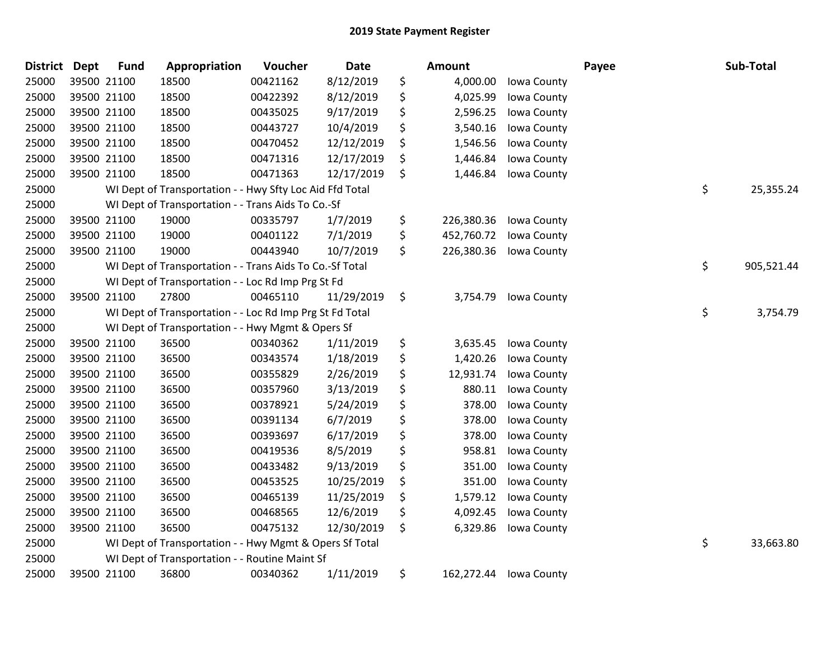| <b>District</b> | <b>Dept</b> | <b>Fund</b> | Appropriation                                            | Voucher  | Date       | <b>Amount</b>    |             | Payee | Sub-Total        |
|-----------------|-------------|-------------|----------------------------------------------------------|----------|------------|------------------|-------------|-------|------------------|
| 25000           |             | 39500 21100 | 18500                                                    | 00421162 | 8/12/2019  | \$<br>4,000.00   | Iowa County |       |                  |
| 25000           |             | 39500 21100 | 18500                                                    | 00422392 | 8/12/2019  | \$<br>4,025.99   | Iowa County |       |                  |
| 25000           |             | 39500 21100 | 18500                                                    | 00435025 | 9/17/2019  | \$<br>2,596.25   | Iowa County |       |                  |
| 25000           | 39500 21100 |             | 18500                                                    | 00443727 | 10/4/2019  | \$<br>3,540.16   | Iowa County |       |                  |
| 25000           |             | 39500 21100 | 18500                                                    | 00470452 | 12/12/2019 | \$<br>1,546.56   | Iowa County |       |                  |
| 25000           |             | 39500 21100 | 18500                                                    | 00471316 | 12/17/2019 | \$<br>1,446.84   | Iowa County |       |                  |
| 25000           |             | 39500 21100 | 18500                                                    | 00471363 | 12/17/2019 | \$<br>1,446.84   | Iowa County |       |                  |
| 25000           |             |             | WI Dept of Transportation - - Hwy Sfty Loc Aid Ffd Total |          |            |                  |             |       | \$<br>25,355.24  |
| 25000           |             |             | WI Dept of Transportation - - Trans Aids To Co.-Sf       |          |            |                  |             |       |                  |
| 25000           |             | 39500 21100 | 19000                                                    | 00335797 | 1/7/2019   | \$<br>226,380.36 | Iowa County |       |                  |
| 25000           |             | 39500 21100 | 19000                                                    | 00401122 | 7/1/2019   | \$<br>452,760.72 | Iowa County |       |                  |
| 25000           |             | 39500 21100 | 19000                                                    | 00443940 | 10/7/2019  | \$<br>226,380.36 | Iowa County |       |                  |
| 25000           |             |             | WI Dept of Transportation - - Trans Aids To Co.-Sf Total |          |            |                  |             |       | \$<br>905,521.44 |
| 25000           |             |             | WI Dept of Transportation - - Loc Rd Imp Prg St Fd       |          |            |                  |             |       |                  |
| 25000           |             | 39500 21100 | 27800                                                    | 00465110 | 11/29/2019 | \$<br>3,754.79   | Iowa County |       |                  |
| 25000           |             |             | WI Dept of Transportation - - Loc Rd Imp Prg St Fd Total |          |            |                  |             |       | \$<br>3,754.79   |
| 25000           |             |             | WI Dept of Transportation - - Hwy Mgmt & Opers Sf        |          |            |                  |             |       |                  |
| 25000           |             | 39500 21100 | 36500                                                    | 00340362 | 1/11/2019  | \$<br>3,635.45   | Iowa County |       |                  |
| 25000           |             | 39500 21100 | 36500                                                    | 00343574 | 1/18/2019  | \$<br>1,420.26   | Iowa County |       |                  |
| 25000           |             | 39500 21100 | 36500                                                    | 00355829 | 2/26/2019  | \$<br>12,931.74  | Iowa County |       |                  |
| 25000           |             | 39500 21100 | 36500                                                    | 00357960 | 3/13/2019  | \$<br>880.11     | Iowa County |       |                  |
| 25000           |             | 39500 21100 | 36500                                                    | 00378921 | 5/24/2019  | \$<br>378.00     | Iowa County |       |                  |
| 25000           |             | 39500 21100 | 36500                                                    | 00391134 | 6/7/2019   | \$<br>378.00     | Iowa County |       |                  |
| 25000           | 39500 21100 |             | 36500                                                    | 00393697 | 6/17/2019  | \$<br>378.00     | Iowa County |       |                  |
| 25000           |             | 39500 21100 | 36500                                                    | 00419536 | 8/5/2019   | \$<br>958.81     | Iowa County |       |                  |
| 25000           |             | 39500 21100 | 36500                                                    | 00433482 | 9/13/2019  | \$<br>351.00     | Iowa County |       |                  |
| 25000           |             | 39500 21100 | 36500                                                    | 00453525 | 10/25/2019 | \$<br>351.00     | Iowa County |       |                  |
| 25000           |             | 39500 21100 | 36500                                                    | 00465139 | 11/25/2019 | \$<br>1,579.12   | Iowa County |       |                  |
| 25000           |             | 39500 21100 | 36500                                                    | 00468565 | 12/6/2019  | \$<br>4,092.45   | Iowa County |       |                  |
| 25000           |             | 39500 21100 | 36500                                                    | 00475132 | 12/30/2019 | \$<br>6,329.86   | Iowa County |       |                  |
| 25000           |             |             | WI Dept of Transportation - - Hwy Mgmt & Opers Sf Total  |          |            |                  |             |       | \$<br>33,663.80  |
| 25000           |             |             | WI Dept of Transportation - - Routine Maint Sf           |          |            |                  |             |       |                  |
| 25000           |             | 39500 21100 | 36800                                                    | 00340362 | 1/11/2019  | \$<br>162,272.44 | Iowa County |       |                  |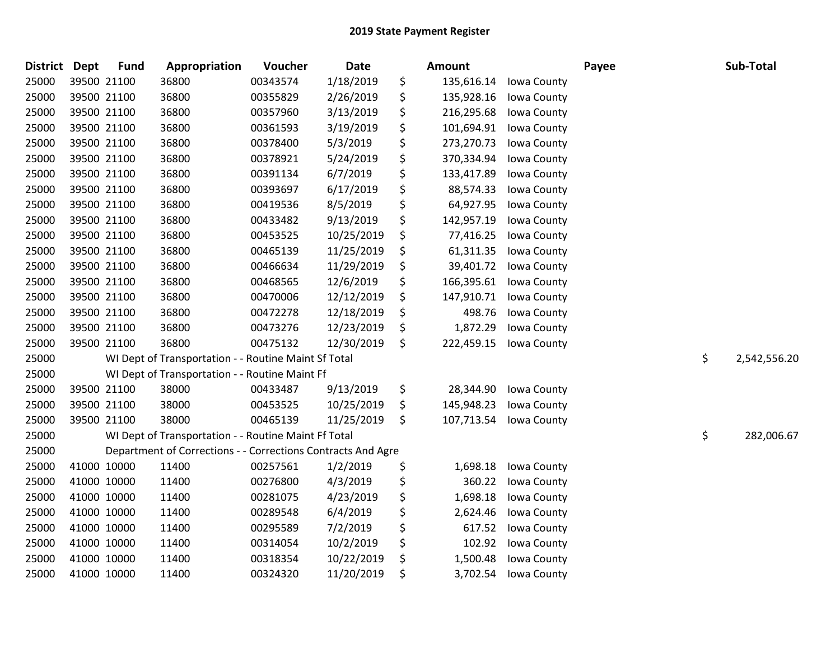| <b>District</b> | <b>Dept</b> | <b>Fund</b> | Appropriation                                                | Voucher  | Date       | Amount           |             | Payee | Sub-Total          |
|-----------------|-------------|-------------|--------------------------------------------------------------|----------|------------|------------------|-------------|-------|--------------------|
| 25000           | 39500 21100 |             | 36800                                                        | 00343574 | 1/18/2019  | \$<br>135,616.14 | Iowa County |       |                    |
| 25000           | 39500 21100 |             | 36800                                                        | 00355829 | 2/26/2019  | \$<br>135,928.16 | Iowa County |       |                    |
| 25000           | 39500 21100 |             | 36800                                                        | 00357960 | 3/13/2019  | \$<br>216,295.68 | Iowa County |       |                    |
| 25000           | 39500 21100 |             | 36800                                                        | 00361593 | 3/19/2019  | \$<br>101,694.91 | Iowa County |       |                    |
| 25000           | 39500 21100 |             | 36800                                                        | 00378400 | 5/3/2019   | \$<br>273,270.73 | Iowa County |       |                    |
| 25000           | 39500 21100 |             | 36800                                                        | 00378921 | 5/24/2019  | \$<br>370,334.94 | Iowa County |       |                    |
| 25000           | 39500 21100 |             | 36800                                                        | 00391134 | 6/7/2019   | \$<br>133,417.89 | Iowa County |       |                    |
| 25000           | 39500 21100 |             | 36800                                                        | 00393697 | 6/17/2019  | \$<br>88,574.33  | Iowa County |       |                    |
| 25000           | 39500 21100 |             | 36800                                                        | 00419536 | 8/5/2019   | \$<br>64,927.95  | Iowa County |       |                    |
| 25000           | 39500 21100 |             | 36800                                                        | 00433482 | 9/13/2019  | \$<br>142,957.19 | Iowa County |       |                    |
| 25000           | 39500 21100 |             | 36800                                                        | 00453525 | 10/25/2019 | \$<br>77,416.25  | Iowa County |       |                    |
| 25000           | 39500 21100 |             | 36800                                                        | 00465139 | 11/25/2019 | \$<br>61,311.35  | Iowa County |       |                    |
| 25000           | 39500 21100 |             | 36800                                                        | 00466634 | 11/29/2019 | \$<br>39,401.72  | Iowa County |       |                    |
| 25000           | 39500 21100 |             | 36800                                                        | 00468565 | 12/6/2019  | \$<br>166,395.61 | Iowa County |       |                    |
| 25000           | 39500 21100 |             | 36800                                                        | 00470006 | 12/12/2019 | \$<br>147,910.71 | Iowa County |       |                    |
| 25000           | 39500 21100 |             | 36800                                                        | 00472278 | 12/18/2019 | \$<br>498.76     | Iowa County |       |                    |
| 25000           | 39500 21100 |             | 36800                                                        | 00473276 | 12/23/2019 | \$<br>1,872.29   | Iowa County |       |                    |
| 25000           | 39500 21100 |             | 36800                                                        | 00475132 | 12/30/2019 | \$<br>222,459.15 | Iowa County |       |                    |
| 25000           |             |             | WI Dept of Transportation - - Routine Maint Sf Total         |          |            |                  |             |       | \$<br>2,542,556.20 |
| 25000           |             |             | WI Dept of Transportation - - Routine Maint Ff               |          |            |                  |             |       |                    |
| 25000           | 39500 21100 |             | 38000                                                        | 00433487 | 9/13/2019  | \$<br>28,344.90  | Iowa County |       |                    |
| 25000           | 39500 21100 |             | 38000                                                        | 00453525 | 10/25/2019 | \$<br>145,948.23 | Iowa County |       |                    |
| 25000           | 39500 21100 |             | 38000                                                        | 00465139 | 11/25/2019 | \$<br>107,713.54 | Iowa County |       |                    |
| 25000           |             |             | WI Dept of Transportation - - Routine Maint Ff Total         |          |            |                  |             |       | \$<br>282,006.67   |
| 25000           |             |             | Department of Corrections - - Corrections Contracts And Agre |          |            |                  |             |       |                    |
| 25000           | 41000 10000 |             | 11400                                                        | 00257561 | 1/2/2019   | \$<br>1,698.18   | Iowa County |       |                    |
| 25000           | 41000 10000 |             | 11400                                                        | 00276800 | 4/3/2019   | \$<br>360.22     | Iowa County |       |                    |
| 25000           | 41000 10000 |             | 11400                                                        | 00281075 | 4/23/2019  | \$<br>1,698.18   | Iowa County |       |                    |
| 25000           | 41000 10000 |             | 11400                                                        | 00289548 | 6/4/2019   | \$<br>2,624.46   | Iowa County |       |                    |
| 25000           | 41000 10000 |             | 11400                                                        | 00295589 | 7/2/2019   | \$<br>617.52     | Iowa County |       |                    |
| 25000           | 41000 10000 |             | 11400                                                        | 00314054 | 10/2/2019  | \$<br>102.92     | Iowa County |       |                    |
| 25000           | 41000 10000 |             | 11400                                                        | 00318354 | 10/22/2019 | \$<br>1,500.48   | Iowa County |       |                    |
| 25000           | 41000 10000 |             | 11400                                                        | 00324320 | 11/20/2019 | \$<br>3,702.54   | Iowa County |       |                    |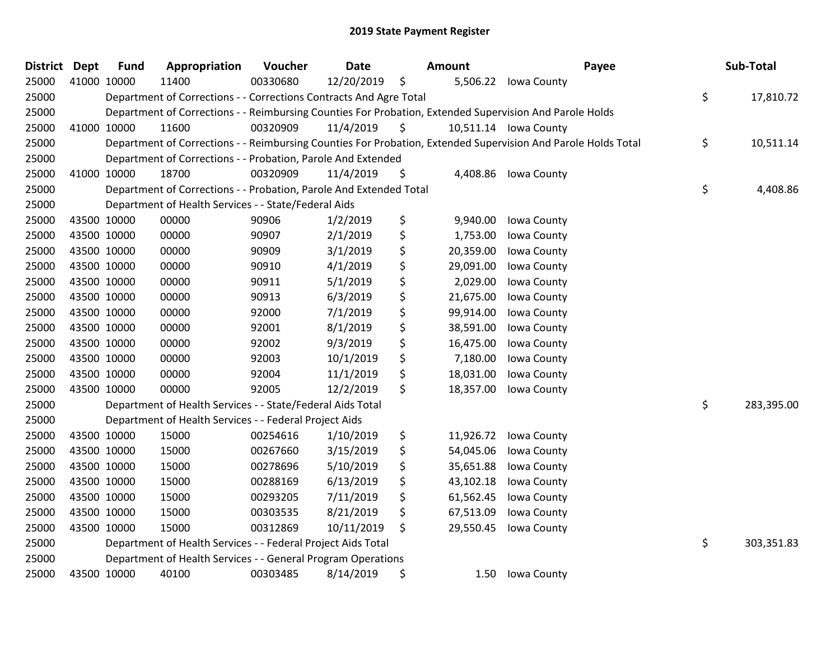| <b>District Dept</b> | <b>Fund</b> | Appropriation                                                      | Voucher  | <b>Date</b> | <b>Amount</b>   | Payee                                                                                                         | Sub-Total        |
|----------------------|-------------|--------------------------------------------------------------------|----------|-------------|-----------------|---------------------------------------------------------------------------------------------------------------|------------------|
| 25000                | 41000 10000 | 11400                                                              | 00330680 | 12/20/2019  | \$              | 5,506.22 Iowa County                                                                                          |                  |
| 25000                |             | Department of Corrections - - Corrections Contracts And Agre Total |          |             |                 |                                                                                                               | \$<br>17,810.72  |
| 25000                |             |                                                                    |          |             |                 | Department of Corrections - - Reimbursing Counties For Probation, Extended Supervision And Parole Holds       |                  |
| 25000                | 41000 10000 | 11600                                                              | 00320909 | 11/4/2019   | \$              | 10,511.14 Iowa County                                                                                         |                  |
| 25000                |             |                                                                    |          |             |                 | Department of Corrections - - Reimbursing Counties For Probation, Extended Supervision And Parole Holds Total | \$<br>10,511.14  |
| 25000                |             | Department of Corrections - - Probation, Parole And Extended       |          |             |                 |                                                                                                               |                  |
| 25000                | 41000 10000 | 18700                                                              | 00320909 | 11/4/2019   | \$<br>4,408.86  | Iowa County                                                                                                   |                  |
| 25000                |             | Department of Corrections - - Probation, Parole And Extended Total |          |             |                 |                                                                                                               | \$<br>4,408.86   |
| 25000                |             | Department of Health Services - - State/Federal Aids               |          |             |                 |                                                                                                               |                  |
| 25000                | 43500 10000 | 00000                                                              | 90906    | 1/2/2019    | \$<br>9,940.00  | Iowa County                                                                                                   |                  |
| 25000                | 43500 10000 | 00000                                                              | 90907    | 2/1/2019    | \$<br>1,753.00  | Iowa County                                                                                                   |                  |
| 25000                | 43500 10000 | 00000                                                              | 90909    | 3/1/2019    | \$<br>20,359.00 | Iowa County                                                                                                   |                  |
| 25000                | 43500 10000 | 00000                                                              | 90910    | 4/1/2019    | \$<br>29,091.00 | Iowa County                                                                                                   |                  |
| 25000                | 43500 10000 | 00000                                                              | 90911    | 5/1/2019    | \$<br>2,029.00  | Iowa County                                                                                                   |                  |
| 25000                | 43500 10000 | 00000                                                              | 90913    | 6/3/2019    | \$<br>21,675.00 | Iowa County                                                                                                   |                  |
| 25000                | 43500 10000 | 00000                                                              | 92000    | 7/1/2019    | \$<br>99,914.00 | Iowa County                                                                                                   |                  |
| 25000                | 43500 10000 | 00000                                                              | 92001    | 8/1/2019    | \$<br>38,591.00 | Iowa County                                                                                                   |                  |
| 25000                | 43500 10000 | 00000                                                              | 92002    | 9/3/2019    | \$<br>16,475.00 | Iowa County                                                                                                   |                  |
| 25000                | 43500 10000 | 00000                                                              | 92003    | 10/1/2019   | \$<br>7,180.00  | Iowa County                                                                                                   |                  |
| 25000                | 43500 10000 | 00000                                                              | 92004    | 11/1/2019   | \$<br>18,031.00 | Iowa County                                                                                                   |                  |
| 25000                | 43500 10000 | 00000                                                              | 92005    | 12/2/2019   | \$<br>18,357.00 | Iowa County                                                                                                   |                  |
| 25000                |             | Department of Health Services - - State/Federal Aids Total         |          |             |                 |                                                                                                               | \$<br>283,395.00 |
| 25000                |             | Department of Health Services - - Federal Project Aids             |          |             |                 |                                                                                                               |                  |
| 25000                | 43500 10000 | 15000                                                              | 00254616 | 1/10/2019   | \$<br>11,926.72 | Iowa County                                                                                                   |                  |
| 25000                | 43500 10000 | 15000                                                              | 00267660 | 3/15/2019   | \$<br>54,045.06 | Iowa County                                                                                                   |                  |
| 25000                | 43500 10000 | 15000                                                              | 00278696 | 5/10/2019   | \$<br>35,651.88 | Iowa County                                                                                                   |                  |
| 25000                | 43500 10000 | 15000                                                              | 00288169 | 6/13/2019   | \$<br>43,102.18 | Iowa County                                                                                                   |                  |
| 25000                | 43500 10000 | 15000                                                              | 00293205 | 7/11/2019   | \$<br>61,562.45 | Iowa County                                                                                                   |                  |
| 25000                | 43500 10000 | 15000                                                              | 00303535 | 8/21/2019   | \$<br>67,513.09 | Iowa County                                                                                                   |                  |
| 25000                | 43500 10000 | 15000                                                              | 00312869 | 10/11/2019  | \$<br>29,550.45 | Iowa County                                                                                                   |                  |
| 25000                |             | Department of Health Services - - Federal Project Aids Total       |          |             |                 |                                                                                                               | \$<br>303,351.83 |
| 25000                |             | Department of Health Services - - General Program Operations       |          |             |                 |                                                                                                               |                  |
| 25000                | 43500 10000 | 40100                                                              | 00303485 | 8/14/2019   | \$<br>1.50      | Iowa County                                                                                                   |                  |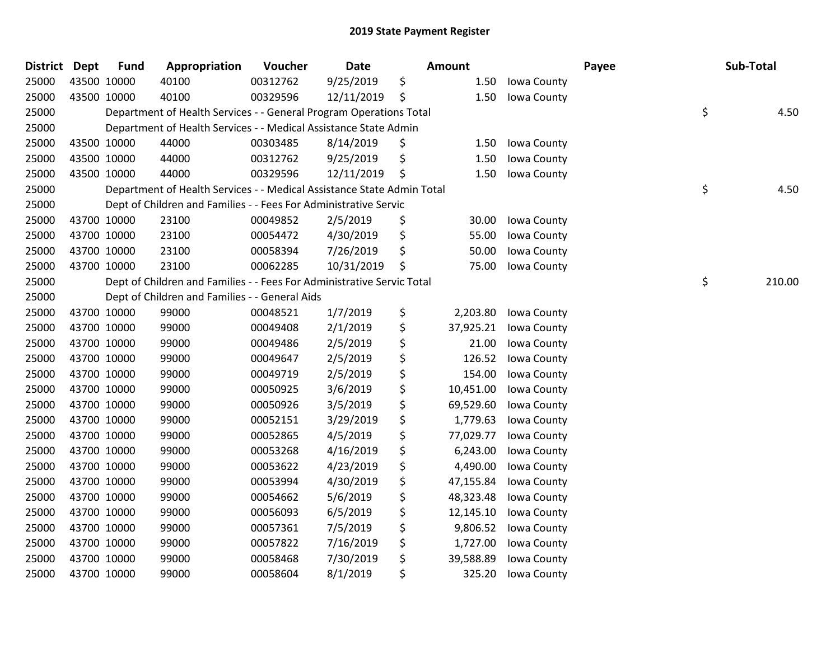| <b>District Dept</b> | <b>Fund</b> | Appropriation                                                          | Voucher  | <b>Date</b> | <b>Amount</b>   |             | Payee | Sub-Total    |
|----------------------|-------------|------------------------------------------------------------------------|----------|-------------|-----------------|-------------|-------|--------------|
| 25000                | 43500 10000 | 40100                                                                  | 00312762 | 9/25/2019   | \$<br>1.50      | Iowa County |       |              |
| 25000                | 43500 10000 | 40100                                                                  | 00329596 | 12/11/2019  | \$<br>1.50      | Iowa County |       |              |
| 25000                |             | Department of Health Services - - General Program Operations Total     |          |             |                 |             |       | \$<br>4.50   |
| 25000                |             | Department of Health Services - - Medical Assistance State Admin       |          |             |                 |             |       |              |
| 25000                | 43500 10000 | 44000                                                                  | 00303485 | 8/14/2019   | \$<br>1.50      | Iowa County |       |              |
| 25000                | 43500 10000 | 44000                                                                  | 00312762 | 9/25/2019   | \$<br>1.50      | Iowa County |       |              |
| 25000                | 43500 10000 | 44000                                                                  | 00329596 | 12/11/2019  | \$<br>1.50      | Iowa County |       |              |
| 25000                |             | Department of Health Services - - Medical Assistance State Admin Total |          |             |                 |             |       | \$<br>4.50   |
| 25000                |             | Dept of Children and Families - - Fees For Administrative Servic       |          |             |                 |             |       |              |
| 25000                | 43700 10000 | 23100                                                                  | 00049852 | 2/5/2019    | \$<br>30.00     | Iowa County |       |              |
| 25000                | 43700 10000 | 23100                                                                  | 00054472 | 4/30/2019   | \$<br>55.00     | Iowa County |       |              |
| 25000                | 43700 10000 | 23100                                                                  | 00058394 | 7/26/2019   | \$<br>50.00     | Iowa County |       |              |
| 25000                | 43700 10000 | 23100                                                                  | 00062285 | 10/31/2019  | \$<br>75.00     | Iowa County |       |              |
| 25000                |             | Dept of Children and Families - - Fees For Administrative Servic Total |          |             |                 |             |       | \$<br>210.00 |
| 25000                |             | Dept of Children and Families - - General Aids                         |          |             |                 |             |       |              |
| 25000                | 43700 10000 | 99000                                                                  | 00048521 | 1/7/2019    | \$<br>2,203.80  | Iowa County |       |              |
| 25000                | 43700 10000 | 99000                                                                  | 00049408 | 2/1/2019    | \$<br>37,925.21 | Iowa County |       |              |
| 25000                | 43700 10000 | 99000                                                                  | 00049486 | 2/5/2019    | \$<br>21.00     | Iowa County |       |              |
| 25000                | 43700 10000 | 99000                                                                  | 00049647 | 2/5/2019    | \$<br>126.52    | Iowa County |       |              |
| 25000                | 43700 10000 | 99000                                                                  | 00049719 | 2/5/2019    | \$<br>154.00    | Iowa County |       |              |
| 25000                | 43700 10000 | 99000                                                                  | 00050925 | 3/6/2019    | \$<br>10,451.00 | Iowa County |       |              |
| 25000                | 43700 10000 | 99000                                                                  | 00050926 | 3/5/2019    | \$<br>69,529.60 | Iowa County |       |              |
| 25000                | 43700 10000 | 99000                                                                  | 00052151 | 3/29/2019   | \$<br>1,779.63  | Iowa County |       |              |
| 25000                | 43700 10000 | 99000                                                                  | 00052865 | 4/5/2019    | \$<br>77,029.77 | Iowa County |       |              |
| 25000                | 43700 10000 | 99000                                                                  | 00053268 | 4/16/2019   | \$<br>6,243.00  | Iowa County |       |              |
| 25000                | 43700 10000 | 99000                                                                  | 00053622 | 4/23/2019   | \$<br>4,490.00  | Iowa County |       |              |
| 25000                | 43700 10000 | 99000                                                                  | 00053994 | 4/30/2019   | \$<br>47,155.84 | Iowa County |       |              |
| 25000                | 43700 10000 | 99000                                                                  | 00054662 | 5/6/2019    | \$<br>48,323.48 | Iowa County |       |              |
| 25000                | 43700 10000 | 99000                                                                  | 00056093 | 6/5/2019    | \$<br>12,145.10 | Iowa County |       |              |
| 25000                | 43700 10000 | 99000                                                                  | 00057361 | 7/5/2019    | \$<br>9,806.52  | Iowa County |       |              |
| 25000                | 43700 10000 | 99000                                                                  | 00057822 | 7/16/2019   | \$<br>1,727.00  | Iowa County |       |              |
| 25000                | 43700 10000 | 99000                                                                  | 00058468 | 7/30/2019   | \$<br>39,588.89 | Iowa County |       |              |
| 25000                | 43700 10000 | 99000                                                                  | 00058604 | 8/1/2019    | \$<br>325.20    | Iowa County |       |              |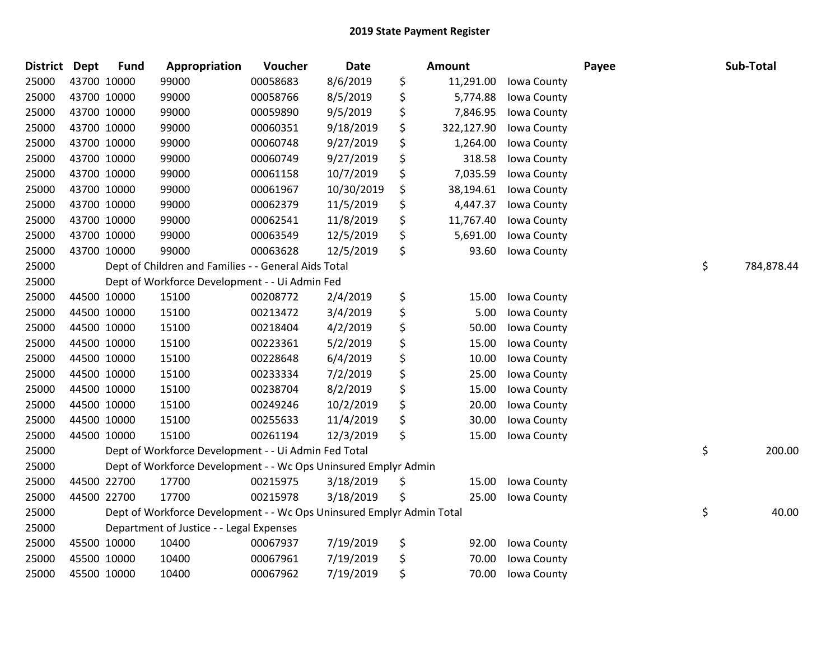| District Dept |             | <b>Fund</b> | Appropriation                                                         | Voucher  | Date       | Amount           |             | Payee | Sub-Total        |
|---------------|-------------|-------------|-----------------------------------------------------------------------|----------|------------|------------------|-------------|-------|------------------|
| 25000         |             | 43700 10000 | 99000                                                                 | 00058683 | 8/6/2019   | \$<br>11,291.00  | Iowa County |       |                  |
| 25000         |             | 43700 10000 | 99000                                                                 | 00058766 | 8/5/2019   | \$<br>5,774.88   | Iowa County |       |                  |
| 25000         |             | 43700 10000 | 99000                                                                 | 00059890 | 9/5/2019   | \$<br>7,846.95   | Iowa County |       |                  |
| 25000         | 43700 10000 |             | 99000                                                                 | 00060351 | 9/18/2019  | \$<br>322,127.90 | Iowa County |       |                  |
| 25000         |             | 43700 10000 | 99000                                                                 | 00060748 | 9/27/2019  | \$<br>1,264.00   | Iowa County |       |                  |
| 25000         |             | 43700 10000 | 99000                                                                 | 00060749 | 9/27/2019  | \$<br>318.58     | Iowa County |       |                  |
| 25000         |             | 43700 10000 | 99000                                                                 | 00061158 | 10/7/2019  | \$<br>7,035.59   | Iowa County |       |                  |
| 25000         |             | 43700 10000 | 99000                                                                 | 00061967 | 10/30/2019 | \$<br>38,194.61  | Iowa County |       |                  |
| 25000         |             | 43700 10000 | 99000                                                                 | 00062379 | 11/5/2019  | \$<br>4,447.37   | Iowa County |       |                  |
| 25000         |             | 43700 10000 | 99000                                                                 | 00062541 | 11/8/2019  | \$<br>11,767.40  | Iowa County |       |                  |
| 25000         |             | 43700 10000 | 99000                                                                 | 00063549 | 12/5/2019  | \$<br>5,691.00   | Iowa County |       |                  |
| 25000         | 43700 10000 |             | 99000                                                                 | 00063628 | 12/5/2019  | \$<br>93.60      | Iowa County |       |                  |
| 25000         |             |             | Dept of Children and Families - - General Aids Total                  |          |            |                  |             |       | \$<br>784,878.44 |
| 25000         |             |             | Dept of Workforce Development - - Ui Admin Fed                        |          |            |                  |             |       |                  |
| 25000         |             | 44500 10000 | 15100                                                                 | 00208772 | 2/4/2019   | \$<br>15.00      | Iowa County |       |                  |
| 25000         |             | 44500 10000 | 15100                                                                 | 00213472 | 3/4/2019   | \$<br>5.00       | Iowa County |       |                  |
| 25000         |             | 44500 10000 | 15100                                                                 | 00218404 | 4/2/2019   | \$<br>50.00      | Iowa County |       |                  |
| 25000         |             | 44500 10000 | 15100                                                                 | 00223361 | 5/2/2019   | \$<br>15.00      | Iowa County |       |                  |
| 25000         |             | 44500 10000 | 15100                                                                 | 00228648 | 6/4/2019   | \$<br>10.00      | Iowa County |       |                  |
| 25000         |             | 44500 10000 | 15100                                                                 | 00233334 | 7/2/2019   | \$<br>25.00      | Iowa County |       |                  |
| 25000         |             | 44500 10000 | 15100                                                                 | 00238704 | 8/2/2019   | \$<br>15.00      | Iowa County |       |                  |
| 25000         |             | 44500 10000 | 15100                                                                 | 00249246 | 10/2/2019  | \$<br>20.00      | Iowa County |       |                  |
| 25000         |             | 44500 10000 | 15100                                                                 | 00255633 | 11/4/2019  | \$<br>30.00      | Iowa County |       |                  |
| 25000         | 44500 10000 |             | 15100                                                                 | 00261194 | 12/3/2019  | \$<br>15.00      | Iowa County |       |                  |
| 25000         |             |             | Dept of Workforce Development - - Ui Admin Fed Total                  |          |            |                  |             |       | \$<br>200.00     |
| 25000         |             |             | Dept of Workforce Development - - Wc Ops Uninsured Emplyr Admin       |          |            |                  |             |       |                  |
| 25000         |             | 44500 22700 | 17700                                                                 | 00215975 | 3/18/2019  | \$<br>15.00      | Iowa County |       |                  |
| 25000         |             | 44500 22700 | 17700                                                                 | 00215978 | 3/18/2019  | \$<br>25.00      | Iowa County |       |                  |
| 25000         |             |             | Dept of Workforce Development - - Wc Ops Uninsured Emplyr Admin Total |          |            |                  |             |       | \$<br>40.00      |
| 25000         |             |             | Department of Justice - - Legal Expenses                              |          |            |                  |             |       |                  |
| 25000         |             | 45500 10000 | 10400                                                                 | 00067937 | 7/19/2019  | \$<br>92.00      | Iowa County |       |                  |
| 25000         |             | 45500 10000 | 10400                                                                 | 00067961 | 7/19/2019  | \$<br>70.00      | Iowa County |       |                  |
| 25000         | 45500 10000 |             | 10400                                                                 | 00067962 | 7/19/2019  | \$<br>70.00      | Iowa County |       |                  |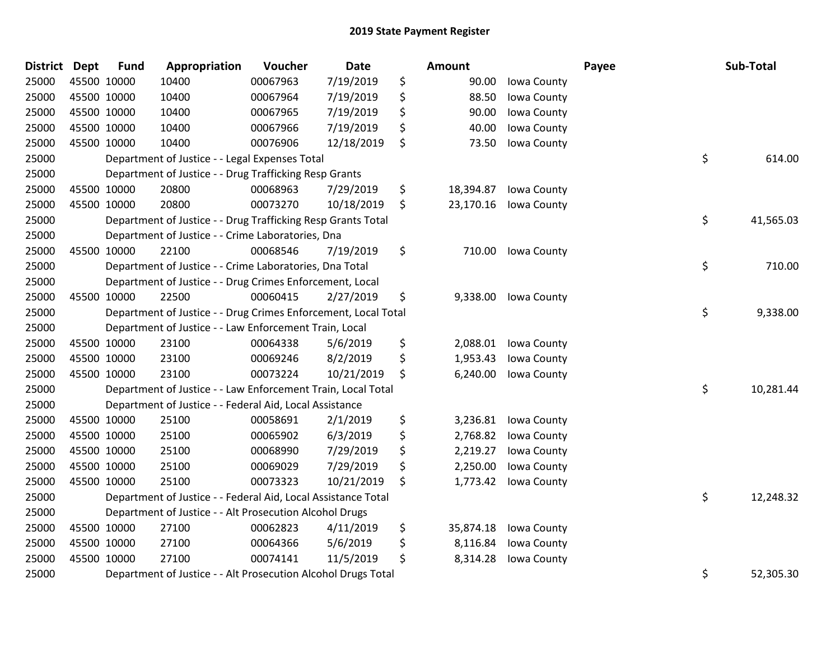| District Dept |             | <b>Fund</b> | Appropriation                                                  | Voucher  | <b>Date</b> | <b>Amount</b>   |             | Payee | Sub-Total |
|---------------|-------------|-------------|----------------------------------------------------------------|----------|-------------|-----------------|-------------|-------|-----------|
| 25000         | 45500 10000 |             | 10400                                                          | 00067963 | 7/19/2019   | \$<br>90.00     | Iowa County |       |           |
| 25000         | 45500 10000 |             | 10400                                                          | 00067964 | 7/19/2019   | \$<br>88.50     | Iowa County |       |           |
| 25000         | 45500 10000 |             | 10400                                                          | 00067965 | 7/19/2019   | \$<br>90.00     | Iowa County |       |           |
| 25000         | 45500 10000 |             | 10400                                                          | 00067966 | 7/19/2019   | \$<br>40.00     | Iowa County |       |           |
| 25000         | 45500 10000 |             | 10400                                                          | 00076906 | 12/18/2019  | \$<br>73.50     | Iowa County |       |           |
| 25000         |             |             | Department of Justice - - Legal Expenses Total                 |          |             |                 |             | \$    | 614.00    |
| 25000         |             |             | Department of Justice - - Drug Trafficking Resp Grants         |          |             |                 |             |       |           |
| 25000         | 45500 10000 |             | 20800                                                          | 00068963 | 7/29/2019   | \$<br>18,394.87 | Iowa County |       |           |
| 25000         | 45500 10000 |             | 20800                                                          | 00073270 | 10/18/2019  | \$<br>23,170.16 | Iowa County |       |           |
| 25000         |             |             | Department of Justice - - Drug Trafficking Resp Grants Total   |          |             |                 |             | \$    | 41,565.03 |
| 25000         |             |             | Department of Justice - - Crime Laboratories, Dna              |          |             |                 |             |       |           |
| 25000         | 45500 10000 |             | 22100                                                          | 00068546 | 7/19/2019   | \$<br>710.00    | Iowa County |       |           |
| 25000         |             |             | Department of Justice - - Crime Laboratories, Dna Total        |          |             |                 |             | \$    | 710.00    |
| 25000         |             |             | Department of Justice - - Drug Crimes Enforcement, Local       |          |             |                 |             |       |           |
| 25000         | 45500 10000 |             | 22500                                                          | 00060415 | 2/27/2019   | \$<br>9,338.00  | Iowa County |       |           |
| 25000         |             |             | Department of Justice - - Drug Crimes Enforcement, Local Total |          |             |                 |             | \$    | 9,338.00  |
| 25000         |             |             | Department of Justice - - Law Enforcement Train, Local         |          |             |                 |             |       |           |
| 25000         | 45500 10000 |             | 23100                                                          | 00064338 | 5/6/2019    | \$<br>2,088.01  | Iowa County |       |           |
| 25000         | 45500 10000 |             | 23100                                                          | 00069246 | 8/2/2019    | \$<br>1,953.43  | Iowa County |       |           |
| 25000         | 45500 10000 |             | 23100                                                          | 00073224 | 10/21/2019  | \$<br>6,240.00  | Iowa County |       |           |
| 25000         |             |             | Department of Justice - - Law Enforcement Train, Local Total   |          |             |                 |             | \$    | 10,281.44 |
| 25000         |             |             | Department of Justice - - Federal Aid, Local Assistance        |          |             |                 |             |       |           |
| 25000         | 45500 10000 |             | 25100                                                          | 00058691 | 2/1/2019    | \$<br>3,236.81  | Iowa County |       |           |
| 25000         | 45500 10000 |             | 25100                                                          | 00065902 | 6/3/2019    | \$<br>2,768.82  | Iowa County |       |           |
| 25000         | 45500 10000 |             | 25100                                                          | 00068990 | 7/29/2019   | \$<br>2,219.27  | Iowa County |       |           |
| 25000         | 45500 10000 |             | 25100                                                          | 00069029 | 7/29/2019   | \$<br>2,250.00  | Iowa County |       |           |
| 25000         | 45500 10000 |             | 25100                                                          | 00073323 | 10/21/2019  | \$<br>1,773.42  | Iowa County |       |           |
| 25000         |             |             | Department of Justice - - Federal Aid, Local Assistance Total  |          |             |                 |             | \$    | 12,248.32 |
| 25000         |             |             | Department of Justice - - Alt Prosecution Alcohol Drugs        |          |             |                 |             |       |           |
| 25000         | 45500 10000 |             | 27100                                                          | 00062823 | 4/11/2019   | \$<br>35,874.18 | Iowa County |       |           |
| 25000         | 45500 10000 |             | 27100                                                          | 00064366 | 5/6/2019    | \$<br>8,116.84  | Iowa County |       |           |
| 25000         | 45500 10000 |             | 27100                                                          | 00074141 | 11/5/2019   | \$<br>8,314.28  | Iowa County |       |           |
| 25000         |             |             | Department of Justice - - Alt Prosecution Alcohol Drugs Total  |          |             |                 |             | \$    | 52,305.30 |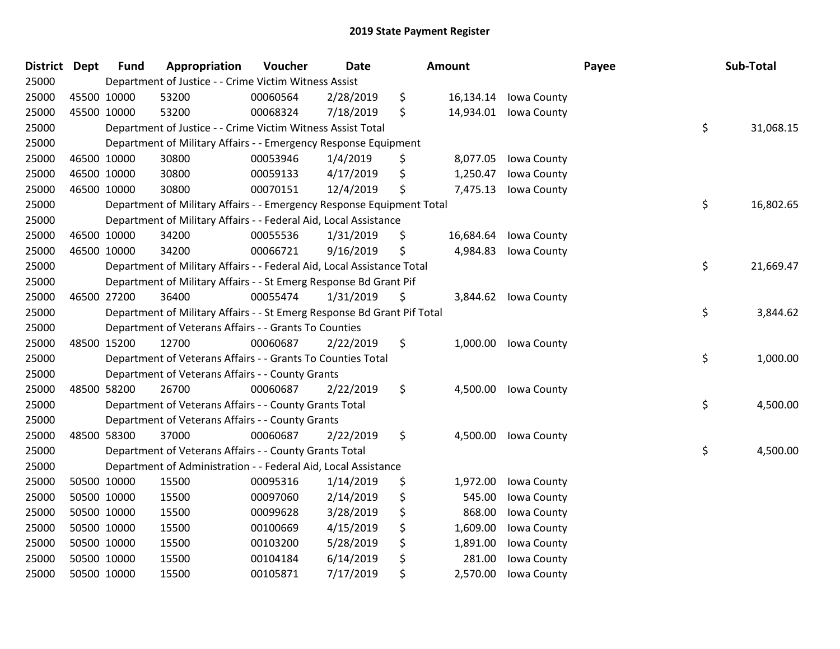| <b>District</b> | <b>Dept</b> | <b>Fund</b> | Appropriation                                                           | Voucher  | <b>Date</b> | <b>Amount</b>   |             | Payee | Sub-Total       |
|-----------------|-------------|-------------|-------------------------------------------------------------------------|----------|-------------|-----------------|-------------|-------|-----------------|
| 25000           |             |             | Department of Justice - - Crime Victim Witness Assist                   |          |             |                 |             |       |                 |
| 25000           | 45500 10000 |             | 53200                                                                   | 00060564 | 2/28/2019   | \$<br>16,134.14 | Iowa County |       |                 |
| 25000           | 45500 10000 |             | 53200                                                                   | 00068324 | 7/18/2019   | \$<br>14,934.01 | Iowa County |       |                 |
| 25000           |             |             | Department of Justice - - Crime Victim Witness Assist Total             |          |             |                 |             |       | \$<br>31,068.15 |
| 25000           |             |             | Department of Military Affairs - - Emergency Response Equipment         |          |             |                 |             |       |                 |
| 25000           |             | 46500 10000 | 30800                                                                   | 00053946 | 1/4/2019    | \$<br>8,077.05  | Iowa County |       |                 |
| 25000           | 46500 10000 |             | 30800                                                                   | 00059133 | 4/17/2019   | \$<br>1,250.47  | Iowa County |       |                 |
| 25000           | 46500 10000 |             | 30800                                                                   | 00070151 | 12/4/2019   | \$<br>7,475.13  | Iowa County |       |                 |
| 25000           |             |             | Department of Military Affairs - - Emergency Response Equipment Total   |          |             |                 |             |       | \$<br>16,802.65 |
| 25000           |             |             | Department of Military Affairs - - Federal Aid, Local Assistance        |          |             |                 |             |       |                 |
| 25000           |             | 46500 10000 | 34200                                                                   | 00055536 | 1/31/2019   | \$<br>16,684.64 | Iowa County |       |                 |
| 25000           | 46500 10000 |             | 34200                                                                   | 00066721 | 9/16/2019   | \$<br>4,984.83  | Iowa County |       |                 |
| 25000           |             |             | Department of Military Affairs - - Federal Aid, Local Assistance Total  |          |             |                 |             |       | \$<br>21,669.47 |
| 25000           |             |             | Department of Military Affairs - - St Emerg Response Bd Grant Pif       |          |             |                 |             |       |                 |
| 25000           |             | 46500 27200 | 36400                                                                   | 00055474 | 1/31/2019   | \$<br>3,844.62  | Iowa County |       |                 |
| 25000           |             |             | Department of Military Affairs - - St Emerg Response Bd Grant Pif Total |          |             |                 |             |       | \$<br>3,844.62  |
| 25000           |             |             | Department of Veterans Affairs - - Grants To Counties                   |          |             |                 |             |       |                 |
| 25000           | 48500 15200 |             | 12700                                                                   | 00060687 | 2/22/2019   | \$<br>1,000.00  | Iowa County |       |                 |
| 25000           |             |             | Department of Veterans Affairs - - Grants To Counties Total             |          |             |                 |             |       | \$<br>1,000.00  |
| 25000           |             |             | Department of Veterans Affairs - - County Grants                        |          |             |                 |             |       |                 |
| 25000           |             | 48500 58200 | 26700                                                                   | 00060687 | 2/22/2019   | \$<br>4,500.00  | Iowa County |       |                 |
| 25000           |             |             | Department of Veterans Affairs - - County Grants Total                  |          |             |                 |             |       | \$<br>4,500.00  |
| 25000           |             |             | Department of Veterans Affairs - - County Grants                        |          |             |                 |             |       |                 |
| 25000           | 48500 58300 |             | 37000                                                                   | 00060687 | 2/22/2019   | \$<br>4,500.00  | Iowa County |       |                 |
| 25000           |             |             | Department of Veterans Affairs - - County Grants Total                  |          |             |                 |             |       | \$<br>4,500.00  |
| 25000           |             |             | Department of Administration - - Federal Aid, Local Assistance          |          |             |                 |             |       |                 |
| 25000           |             | 50500 10000 | 15500                                                                   | 00095316 | 1/14/2019   | \$<br>1,972.00  | Iowa County |       |                 |
| 25000           | 50500 10000 |             | 15500                                                                   | 00097060 | 2/14/2019   | \$<br>545.00    | Iowa County |       |                 |
| 25000           | 50500 10000 |             | 15500                                                                   | 00099628 | 3/28/2019   | \$<br>868.00    | Iowa County |       |                 |
| 25000           |             | 50500 10000 | 15500                                                                   | 00100669 | 4/15/2019   | \$<br>1,609.00  | Iowa County |       |                 |
| 25000           |             | 50500 10000 | 15500                                                                   | 00103200 | 5/28/2019   | \$<br>1,891.00  | Iowa County |       |                 |
| 25000           |             | 50500 10000 | 15500                                                                   | 00104184 | 6/14/2019   | \$<br>281.00    | Iowa County |       |                 |
| 25000           |             | 50500 10000 | 15500                                                                   | 00105871 | 7/17/2019   | \$<br>2,570.00  | Iowa County |       |                 |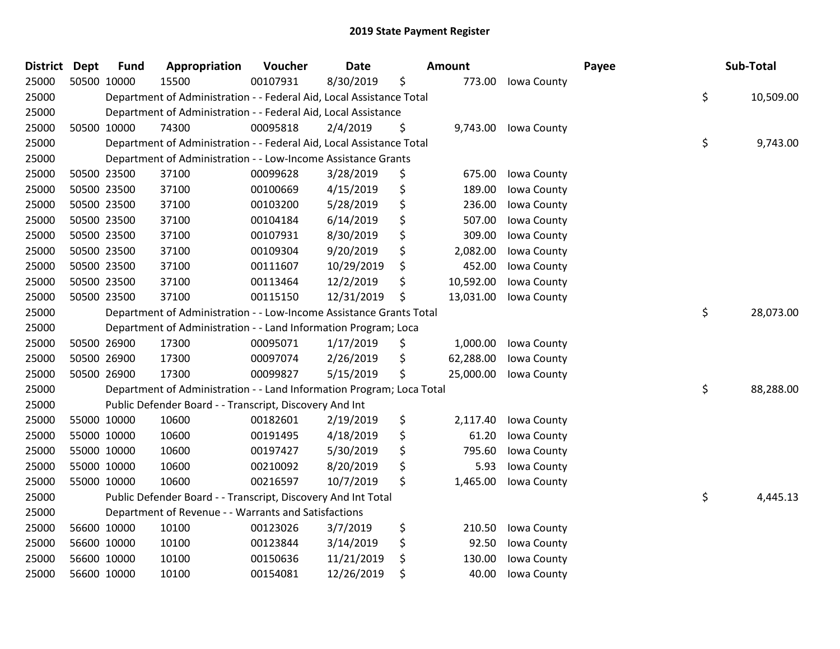| <b>District</b> | <b>Dept</b> | <b>Fund</b> | Appropriation                                                         | Voucher  | <b>Date</b> | Amount          |             | Payee | Sub-Total       |
|-----------------|-------------|-------------|-----------------------------------------------------------------------|----------|-------------|-----------------|-------------|-------|-----------------|
| 25000           |             | 50500 10000 | 15500                                                                 | 00107931 | 8/30/2019   | \$<br>773.00    | Iowa County |       |                 |
| 25000           |             |             | Department of Administration - - Federal Aid, Local Assistance Total  |          |             |                 |             |       | \$<br>10,509.00 |
| 25000           |             |             | Department of Administration - - Federal Aid, Local Assistance        |          |             |                 |             |       |                 |
| 25000           |             | 50500 10000 | 74300                                                                 | 00095818 | 2/4/2019    | \$<br>9,743.00  | Iowa County |       |                 |
| 25000           |             |             | Department of Administration - - Federal Aid, Local Assistance Total  |          |             |                 |             |       | \$<br>9,743.00  |
| 25000           |             |             | Department of Administration - - Low-Income Assistance Grants         |          |             |                 |             |       |                 |
| 25000           |             | 50500 23500 | 37100                                                                 | 00099628 | 3/28/2019   | \$<br>675.00    | Iowa County |       |                 |
| 25000           |             | 50500 23500 | 37100                                                                 | 00100669 | 4/15/2019   | \$<br>189.00    | Iowa County |       |                 |
| 25000           | 50500 23500 |             | 37100                                                                 | 00103200 | 5/28/2019   | \$<br>236.00    | Iowa County |       |                 |
| 25000           | 50500 23500 |             | 37100                                                                 | 00104184 | 6/14/2019   | \$<br>507.00    | Iowa County |       |                 |
| 25000           |             | 50500 23500 | 37100                                                                 | 00107931 | 8/30/2019   | \$<br>309.00    | Iowa County |       |                 |
| 25000           |             | 50500 23500 | 37100                                                                 | 00109304 | 9/20/2019   | \$<br>2,082.00  | Iowa County |       |                 |
| 25000           |             | 50500 23500 | 37100                                                                 | 00111607 | 10/29/2019  | \$<br>452.00    | Iowa County |       |                 |
| 25000           | 50500 23500 |             | 37100                                                                 | 00113464 | 12/2/2019   | \$<br>10,592.00 | Iowa County |       |                 |
| 25000           |             | 50500 23500 | 37100                                                                 | 00115150 | 12/31/2019  | \$<br>13,031.00 | Iowa County |       |                 |
| 25000           |             |             | Department of Administration - - Low-Income Assistance Grants Total   |          |             |                 |             |       | \$<br>28,073.00 |
| 25000           |             |             | Department of Administration - - Land Information Program; Loca       |          |             |                 |             |       |                 |
| 25000           |             | 50500 26900 | 17300                                                                 | 00095071 | 1/17/2019   | \$<br>1,000.00  | Iowa County |       |                 |
| 25000           | 50500 26900 |             | 17300                                                                 | 00097074 | 2/26/2019   | \$<br>62,288.00 | Iowa County |       |                 |
| 25000           | 50500 26900 |             | 17300                                                                 | 00099827 | 5/15/2019   | \$<br>25,000.00 | Iowa County |       |                 |
| 25000           |             |             | Department of Administration - - Land Information Program; Loca Total |          |             |                 |             |       | \$<br>88,288.00 |
| 25000           |             |             | Public Defender Board - - Transcript, Discovery And Int               |          |             |                 |             |       |                 |
| 25000           |             | 55000 10000 | 10600                                                                 | 00182601 | 2/19/2019   | \$<br>2,117.40  | Iowa County |       |                 |
| 25000           | 55000 10000 |             | 10600                                                                 | 00191495 | 4/18/2019   | \$<br>61.20     | Iowa County |       |                 |
| 25000           | 55000 10000 |             | 10600                                                                 | 00197427 | 5/30/2019   | \$<br>795.60    | Iowa County |       |                 |
| 25000           |             | 55000 10000 | 10600                                                                 | 00210092 | 8/20/2019   | \$<br>5.93      | Iowa County |       |                 |
| 25000           |             | 55000 10000 | 10600                                                                 | 00216597 | 10/7/2019   | \$<br>1,465.00  | Iowa County |       |                 |
| 25000           |             |             | Public Defender Board - - Transcript, Discovery And Int Total         |          |             |                 |             |       | \$<br>4,445.13  |
| 25000           |             |             | Department of Revenue - - Warrants and Satisfactions                  |          |             |                 |             |       |                 |
| 25000           |             | 56600 10000 | 10100                                                                 | 00123026 | 3/7/2019    | \$<br>210.50    | Iowa County |       |                 |
| 25000           |             | 56600 10000 | 10100                                                                 | 00123844 | 3/14/2019   | \$<br>92.50     | Iowa County |       |                 |
| 25000           |             | 56600 10000 | 10100                                                                 | 00150636 | 11/21/2019  | \$<br>130.00    | Iowa County |       |                 |
| 25000           |             | 56600 10000 | 10100                                                                 | 00154081 | 12/26/2019  | \$<br>40.00     | Iowa County |       |                 |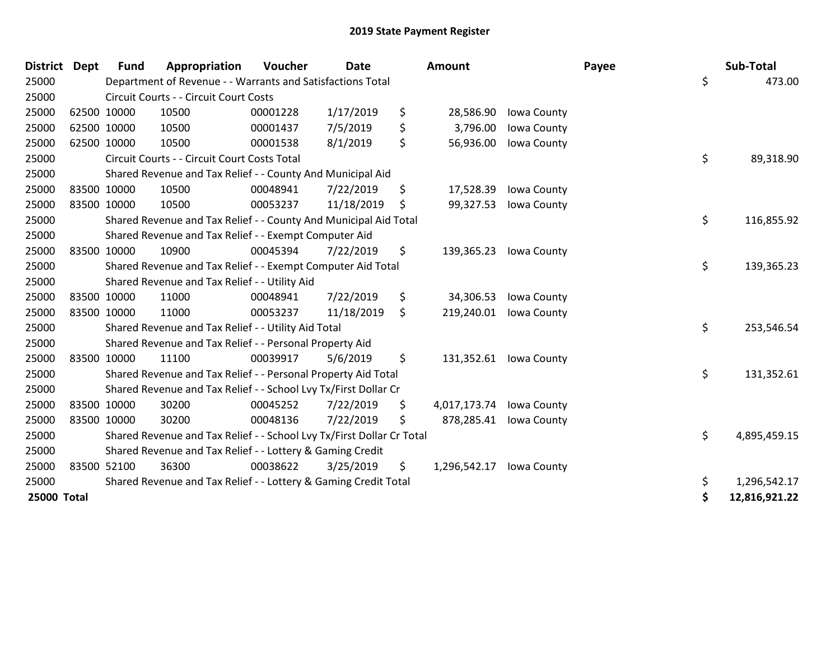| <b>District</b>    | Dept        | <b>Fund</b> | Appropriation                                                         | Voucher  | <b>Date</b> | Amount             |             | Payee | Sub-Total           |
|--------------------|-------------|-------------|-----------------------------------------------------------------------|----------|-------------|--------------------|-------------|-------|---------------------|
| 25000              |             |             | Department of Revenue - - Warrants and Satisfactions Total            |          |             |                    |             |       | \$<br>473.00        |
| 25000              |             |             | Circuit Courts - - Circuit Court Costs                                |          |             |                    |             |       |                     |
| 25000              | 62500 10000 |             | 10500                                                                 | 00001228 | 1/17/2019   | \$<br>28,586.90    | Iowa County |       |                     |
| 25000              | 62500 10000 |             | 10500                                                                 | 00001437 | 7/5/2019    | \$<br>3,796.00     | Iowa County |       |                     |
| 25000              | 62500 10000 |             | 10500                                                                 | 00001538 | 8/1/2019    | \$<br>56,936.00    | Iowa County |       |                     |
| 25000              |             |             | Circuit Courts - - Circuit Court Costs Total                          |          |             |                    |             |       | \$<br>89,318.90     |
| 25000              |             |             | Shared Revenue and Tax Relief - - County And Municipal Aid            |          |             |                    |             |       |                     |
| 25000              | 83500 10000 |             | 10500                                                                 | 00048941 | 7/22/2019   | \$<br>17,528.39    | Iowa County |       |                     |
| 25000              | 83500 10000 |             | 10500                                                                 | 00053237 | 11/18/2019  | \$<br>99,327.53    | Iowa County |       |                     |
| 25000              |             |             | Shared Revenue and Tax Relief - - County And Municipal Aid Total      |          |             |                    |             |       | \$<br>116,855.92    |
| 25000              |             |             | Shared Revenue and Tax Relief - - Exempt Computer Aid                 |          |             |                    |             |       |                     |
| 25000              | 83500 10000 |             | 10900                                                                 | 00045394 | 7/22/2019   | \$<br>139,365.23   | Iowa County |       |                     |
| 25000              |             |             | Shared Revenue and Tax Relief - - Exempt Computer Aid Total           |          |             |                    |             |       | \$<br>139,365.23    |
| 25000              |             |             | Shared Revenue and Tax Relief - - Utility Aid                         |          |             |                    |             |       |                     |
| 25000              | 83500 10000 |             | 11000                                                                 | 00048941 | 7/22/2019   | \$<br>34,306.53    | Iowa County |       |                     |
| 25000              | 83500 10000 |             | 11000                                                                 | 00053237 | 11/18/2019  | \$<br>219,240.01   | Iowa County |       |                     |
| 25000              |             |             | Shared Revenue and Tax Relief - - Utility Aid Total                   |          |             |                    |             |       | \$<br>253,546.54    |
| 25000              |             |             | Shared Revenue and Tax Relief - - Personal Property Aid               |          |             |                    |             |       |                     |
| 25000              | 83500 10000 |             | 11100                                                                 | 00039917 | 5/6/2019    | \$<br>131,352.61   | Iowa County |       |                     |
| 25000              |             |             | Shared Revenue and Tax Relief - - Personal Property Aid Total         |          |             |                    |             |       | \$<br>131,352.61    |
| 25000              |             |             | Shared Revenue and Tax Relief - - School Lvy Tx/First Dollar Cr       |          |             |                    |             |       |                     |
| 25000              | 83500 10000 |             | 30200                                                                 | 00045252 | 7/22/2019   | \$<br>4,017,173.74 | Iowa County |       |                     |
| 25000              | 83500 10000 |             | 30200                                                                 | 00048136 | 7/22/2019   | \$<br>878,285.41   | Iowa County |       |                     |
| 25000              |             |             | Shared Revenue and Tax Relief - - School Lvy Tx/First Dollar Cr Total |          |             |                    |             |       | \$<br>4,895,459.15  |
| 25000              |             |             | Shared Revenue and Tax Relief - - Lottery & Gaming Credit             |          |             |                    |             |       |                     |
| 25000              | 83500 52100 |             | 36300                                                                 | 00038622 | 3/25/2019   | \$<br>1,296,542.17 | Iowa County |       |                     |
| 25000              |             |             | Shared Revenue and Tax Relief - - Lottery & Gaming Credit Total       |          |             |                    |             |       | \$<br>1,296,542.17  |
| <b>25000 Total</b> |             |             |                                                                       |          |             |                    |             |       | \$<br>12,816,921.22 |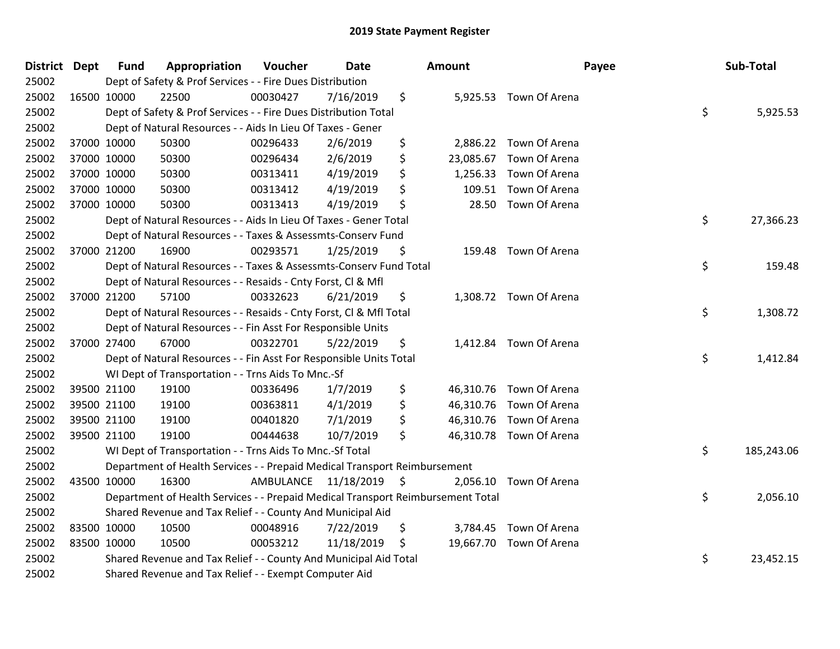| District Dept |             | <b>Fund</b> | Appropriation                                                                   | Voucher                 | Date       | Amount          |                         | Payee | Sub-Total  |
|---------------|-------------|-------------|---------------------------------------------------------------------------------|-------------------------|------------|-----------------|-------------------------|-------|------------|
| 25002         |             |             | Dept of Safety & Prof Services - - Fire Dues Distribution                       |                         |            |                 |                         |       |            |
| 25002         | 16500 10000 |             | 22500                                                                           | 00030427                | 7/16/2019  | \$              | 5,925.53 Town Of Arena  |       |            |
| 25002         |             |             | Dept of Safety & Prof Services - - Fire Dues Distribution Total                 |                         |            |                 |                         | \$    | 5,925.53   |
| 25002         |             |             | Dept of Natural Resources - - Aids In Lieu Of Taxes - Gener                     |                         |            |                 |                         |       |            |
| 25002         |             | 37000 10000 | 50300                                                                           | 00296433                | 2/6/2019   | \$<br>2,886.22  | Town Of Arena           |       |            |
| 25002         |             | 37000 10000 | 50300                                                                           | 00296434                | 2/6/2019   | \$<br>23,085.67 | Town Of Arena           |       |            |
| 25002         |             | 37000 10000 | 50300                                                                           | 00313411                | 4/19/2019  | \$<br>1,256.33  | Town Of Arena           |       |            |
| 25002         |             | 37000 10000 | 50300                                                                           | 00313412                | 4/19/2019  | \$<br>109.51    | Town Of Arena           |       |            |
| 25002         | 37000 10000 |             | 50300                                                                           | 00313413                | 4/19/2019  | \$<br>28.50     | Town Of Arena           |       |            |
| 25002         |             |             | Dept of Natural Resources - - Aids In Lieu Of Taxes - Gener Total               |                         |            |                 |                         | \$    | 27,366.23  |
| 25002         |             |             | Dept of Natural Resources - - Taxes & Assessmts-Conserv Fund                    |                         |            |                 |                         |       |            |
| 25002         |             | 37000 21200 | 16900                                                                           | 00293571                | 1/25/2019  | \$              | 159.48 Town Of Arena    |       |            |
| 25002         |             |             | Dept of Natural Resources - - Taxes & Assessmts-Conserv Fund Total              |                         |            |                 |                         | \$    | 159.48     |
| 25002         |             |             | Dept of Natural Resources - - Resaids - Cnty Forst, Cl & Mfl                    |                         |            |                 |                         |       |            |
| 25002         |             | 37000 21200 | 57100                                                                           | 00332623                | 6/21/2019  | \$              | 1,308.72 Town Of Arena  |       |            |
| 25002         |             |             | Dept of Natural Resources - - Resaids - Cnty Forst, CI & Mfl Total              |                         |            |                 |                         | \$    | 1,308.72   |
| 25002         |             |             | Dept of Natural Resources - - Fin Asst For Responsible Units                    |                         |            |                 |                         |       |            |
| 25002         |             | 37000 27400 | 67000                                                                           | 00322701                | 5/22/2019  | \$              | 1,412.84 Town Of Arena  |       |            |
| 25002         |             |             | Dept of Natural Resources - - Fin Asst For Responsible Units Total              |                         |            |                 |                         | \$    | 1,412.84   |
| 25002         |             |             | WI Dept of Transportation - - Trns Aids To Mnc.-Sf                              |                         |            |                 |                         |       |            |
| 25002         |             | 39500 21100 | 19100                                                                           | 00336496                | 1/7/2019   | \$              | 46,310.76 Town Of Arena |       |            |
| 25002         |             | 39500 21100 | 19100                                                                           | 00363811                | 4/1/2019   | \$              | 46,310.76 Town Of Arena |       |            |
| 25002         |             | 39500 21100 | 19100                                                                           | 00401820                | 7/1/2019   | \$              | 46,310.76 Town Of Arena |       |            |
| 25002         | 39500 21100 |             | 19100                                                                           | 00444638                | 10/7/2019  | \$              | 46,310.78 Town Of Arena |       |            |
| 25002         |             |             | WI Dept of Transportation - - Trns Aids To Mnc.-Sf Total                        |                         |            |                 |                         | \$    | 185,243.06 |
| 25002         |             |             | Department of Health Services - - Prepaid Medical Transport Reimbursement       |                         |            |                 |                         |       |            |
| 25002         | 43500 10000 |             | 16300                                                                           | AMBULANCE 11/18/2019 \$ |            | 2,056.10        | Town Of Arena           |       |            |
| 25002         |             |             | Department of Health Services - - Prepaid Medical Transport Reimbursement Total |                         |            |                 |                         | \$    | 2,056.10   |
| 25002         |             |             | Shared Revenue and Tax Relief - - County And Municipal Aid                      |                         |            |                 |                         |       |            |
| 25002         |             | 83500 10000 | 10500                                                                           | 00048916                | 7/22/2019  | \$<br>3,784.45  | Town Of Arena           |       |            |
| 25002         |             | 83500 10000 | 10500                                                                           | 00053212                | 11/18/2019 | \$<br>19,667.70 | Town Of Arena           |       |            |
| 25002         |             |             | Shared Revenue and Tax Relief - - County And Municipal Aid Total                |                         |            |                 |                         | \$    | 23,452.15  |
| 25002         |             |             | Shared Revenue and Tax Relief - - Exempt Computer Aid                           |                         |            |                 |                         |       |            |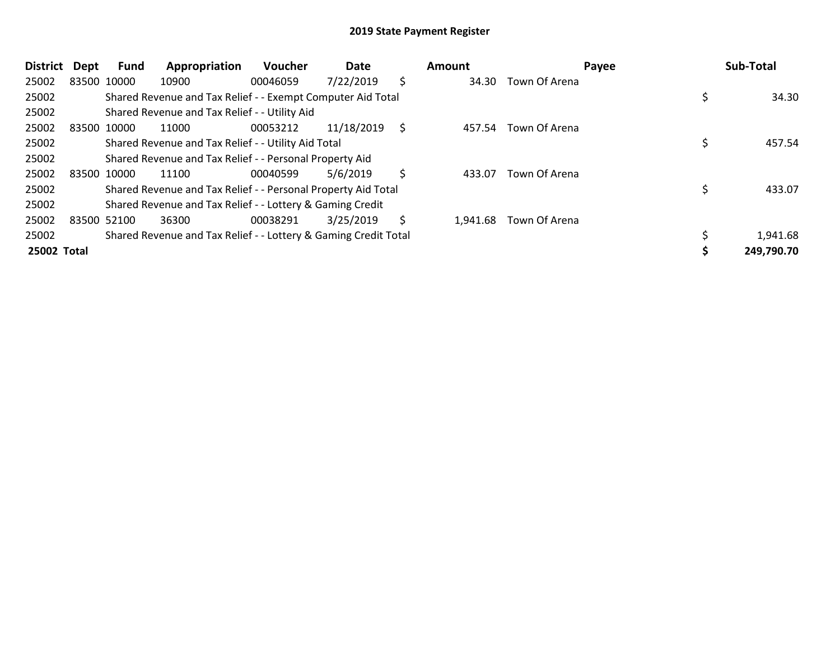| <b>District</b> | Dept        | Fund | Appropriation                                                   | Voucher  | Date       |    | Amount   |                     | Payee | Sub-Total  |
|-----------------|-------------|------|-----------------------------------------------------------------|----------|------------|----|----------|---------------------|-------|------------|
| 25002           | 83500 10000 |      | 10900                                                           | 00046059 | 7/22/2019  | \$ |          | 34.30 Town Of Arena |       |            |
| 25002           |             |      | Shared Revenue and Tax Relief - - Exempt Computer Aid Total     |          |            |    |          |                     |       | 34.30      |
| 25002           |             |      | Shared Revenue and Tax Relief - - Utility Aid                   |          |            |    |          |                     |       |            |
| 25002           | 83500 10000 |      | 11000                                                           | 00053212 | 11/18/2019 | \$ | 457.54   | Town Of Arena       |       |            |
| 25002           |             |      | Shared Revenue and Tax Relief - - Utility Aid Total             |          |            |    |          |                     |       | 457.54     |
| 25002           |             |      | Shared Revenue and Tax Relief - - Personal Property Aid         |          |            |    |          |                     |       |            |
| 25002           | 83500 10000 |      | 11100                                                           | 00040599 | 5/6/2019   | \$ | 433.07   | Town Of Arena       |       |            |
| 25002           |             |      | Shared Revenue and Tax Relief - - Personal Property Aid Total   |          |            |    |          |                     |       | 433.07     |
| 25002           |             |      | Shared Revenue and Tax Relief - - Lottery & Gaming Credit       |          |            |    |          |                     |       |            |
| 25002           | 83500 52100 |      | 36300                                                           | 00038291 | 3/25/2019  | S  | 1.941.68 | Town Of Arena       |       |            |
| 25002           |             |      | Shared Revenue and Tax Relief - - Lottery & Gaming Credit Total |          |            |    |          |                     |       | 1,941.68   |
| 25002 Total     |             |      |                                                                 |          |            |    |          |                     |       | 249,790.70 |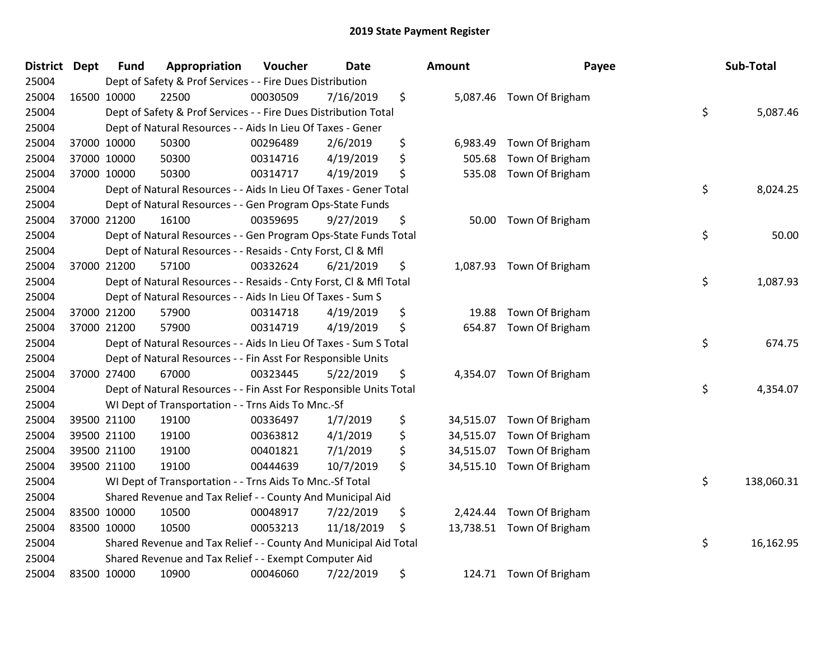| <b>District Dept</b> | <b>Fund</b> | Appropriation                                                      | Voucher  | <b>Date</b> | Amount          | Payee                     | Sub-Total        |
|----------------------|-------------|--------------------------------------------------------------------|----------|-------------|-----------------|---------------------------|------------------|
| 25004                |             | Dept of Safety & Prof Services - - Fire Dues Distribution          |          |             |                 |                           |                  |
| 25004                | 16500 10000 | 22500                                                              | 00030509 | 7/16/2019   | \$              | 5,087.46 Town Of Brigham  |                  |
| 25004                |             | Dept of Safety & Prof Services - - Fire Dues Distribution Total    |          |             |                 |                           | \$<br>5,087.46   |
| 25004                |             | Dept of Natural Resources - - Aids In Lieu Of Taxes - Gener        |          |             |                 |                           |                  |
| 25004                | 37000 10000 | 50300                                                              | 00296489 | 2/6/2019    | \$<br>6,983.49  | Town Of Brigham           |                  |
| 25004                | 37000 10000 | 50300                                                              | 00314716 | 4/19/2019   | \$<br>505.68    | Town Of Brigham           |                  |
| 25004                | 37000 10000 | 50300                                                              | 00314717 | 4/19/2019   | \$<br>535.08    | Town Of Brigham           |                  |
| 25004                |             | Dept of Natural Resources - - Aids In Lieu Of Taxes - Gener Total  |          |             |                 |                           | \$<br>8,024.25   |
| 25004                |             | Dept of Natural Resources - - Gen Program Ops-State Funds          |          |             |                 |                           |                  |
| 25004                | 37000 21200 | 16100                                                              | 00359695 | 9/27/2019   | \$              | 50.00 Town Of Brigham     |                  |
| 25004                |             | Dept of Natural Resources - - Gen Program Ops-State Funds Total    |          |             |                 |                           | \$<br>50.00      |
| 25004                |             | Dept of Natural Resources - - Resaids - Cnty Forst, Cl & Mfl       |          |             |                 |                           |                  |
| 25004                | 37000 21200 | 57100                                                              | 00332624 | 6/21/2019   | \$              | 1,087.93 Town Of Brigham  |                  |
| 25004                |             | Dept of Natural Resources - - Resaids - Cnty Forst, Cl & Mfl Total |          |             |                 |                           | \$<br>1,087.93   |
| 25004                |             | Dept of Natural Resources - - Aids In Lieu Of Taxes - Sum S        |          |             |                 |                           |                  |
| 25004                | 37000 21200 | 57900                                                              | 00314718 | 4/19/2019   | \$<br>19.88     | Town Of Brigham           |                  |
| 25004                | 37000 21200 | 57900                                                              | 00314719 | 4/19/2019   | \$              | 654.87 Town Of Brigham    |                  |
| 25004                |             | Dept of Natural Resources - - Aids In Lieu Of Taxes - Sum S Total  |          |             |                 |                           | \$<br>674.75     |
| 25004                |             | Dept of Natural Resources - - Fin Asst For Responsible Units       |          |             |                 |                           |                  |
| 25004                | 37000 27400 | 67000                                                              | 00323445 | 5/22/2019   | \$              | 4,354.07 Town Of Brigham  |                  |
| 25004                |             | Dept of Natural Resources - - Fin Asst For Responsible Units Total |          |             |                 |                           | \$<br>4,354.07   |
| 25004                |             | WI Dept of Transportation - - Trns Aids To Mnc.-Sf                 |          |             |                 |                           |                  |
| 25004                | 39500 21100 | 19100                                                              | 00336497 | 1/7/2019    | \$              | 34,515.07 Town Of Brigham |                  |
| 25004                | 39500 21100 | 19100                                                              | 00363812 | 4/1/2019    | \$<br>34,515.07 | Town Of Brigham           |                  |
| 25004                | 39500 21100 | 19100                                                              | 00401821 | 7/1/2019    | \$<br>34,515.07 | Town Of Brigham           |                  |
| 25004                | 39500 21100 | 19100                                                              | 00444639 | 10/7/2019   | \$<br>34,515.10 | Town Of Brigham           |                  |
| 25004                |             | WI Dept of Transportation - - Trns Aids To Mnc.-Sf Total           |          |             |                 |                           | \$<br>138,060.31 |
| 25004                |             | Shared Revenue and Tax Relief - - County And Municipal Aid         |          |             |                 |                           |                  |
| 25004                | 83500 10000 | 10500                                                              | 00048917 | 7/22/2019   | \$<br>2,424.44  | Town Of Brigham           |                  |
| 25004                | 83500 10000 | 10500                                                              | 00053213 | 11/18/2019  | \$              | 13,738.51 Town Of Brigham |                  |
| 25004                |             | Shared Revenue and Tax Relief - - County And Municipal Aid Total   |          |             |                 |                           | \$<br>16,162.95  |
| 25004                |             | Shared Revenue and Tax Relief - - Exempt Computer Aid              |          |             |                 |                           |                  |
| 25004                | 83500 10000 | 10900                                                              | 00046060 | 7/22/2019   | \$              | 124.71 Town Of Brigham    |                  |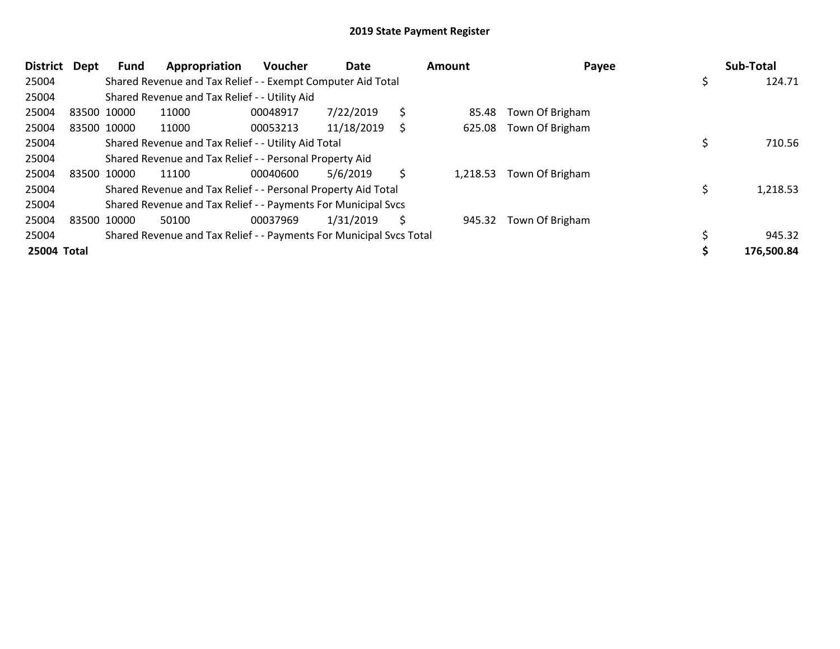| <b>District</b> | <b>Dept</b> | Fund | Appropriation                                                       | Voucher  | Date       |    | <b>Amount</b> | Payee           | Sub-Total  |
|-----------------|-------------|------|---------------------------------------------------------------------|----------|------------|----|---------------|-----------------|------------|
| 25004           |             |      | Shared Revenue and Tax Relief - - Exempt Computer Aid Total         |          |            |    |               |                 | 124.71     |
| 25004           |             |      | Shared Revenue and Tax Relief - - Utility Aid                       |          |            |    |               |                 |            |
| 25004           | 83500 10000 |      | 11000                                                               | 00048917 | 7/22/2019  | \$ | 85.48         | Town Of Brigham |            |
| 25004           | 83500 10000 |      | 11000                                                               | 00053213 | 11/18/2019 | S  | 625.08        | Town Of Brigham |            |
| 25004           |             |      | Shared Revenue and Tax Relief - - Utility Aid Total                 |          |            |    |               |                 | 710.56     |
| 25004           |             |      | Shared Revenue and Tax Relief - - Personal Property Aid             |          |            |    |               |                 |            |
| 25004           | 83500 10000 |      | 11100                                                               | 00040600 | 5/6/2019   | \$ | 1,218.53      | Town Of Brigham |            |
| 25004           |             |      | Shared Revenue and Tax Relief - - Personal Property Aid Total       |          |            |    |               |                 | 1,218.53   |
| 25004           |             |      | Shared Revenue and Tax Relief - - Payments For Municipal Svcs       |          |            |    |               |                 |            |
| 25004           | 83500 10000 |      | 50100                                                               | 00037969 | 1/31/2019  | \$ | 945.32        | Town Of Brigham |            |
| 25004           |             |      | Shared Revenue and Tax Relief - - Payments For Municipal Svcs Total |          |            |    |               |                 | 945.32     |
| 25004 Total     |             |      |                                                                     |          |            |    |               |                 | 176,500.84 |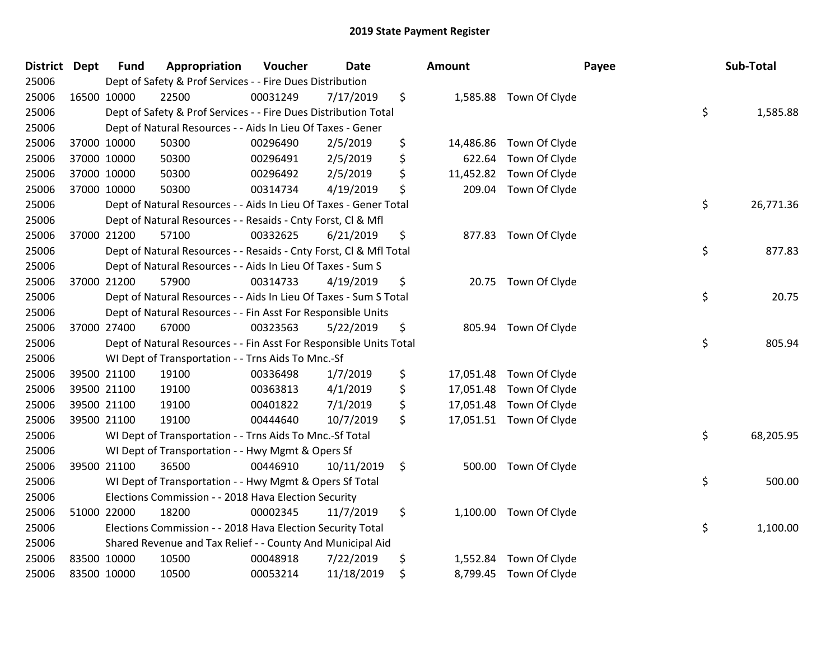| District Dept |             | <b>Fund</b> | Appropriation                                                      | Voucher  | Date       | <b>Amount</b>   |                         | Payee | Sub-Total |
|---------------|-------------|-------------|--------------------------------------------------------------------|----------|------------|-----------------|-------------------------|-------|-----------|
| 25006         |             |             | Dept of Safety & Prof Services - - Fire Dues Distribution          |          |            |                 |                         |       |           |
| 25006         |             | 16500 10000 | 22500                                                              | 00031249 | 7/17/2019  | \$              | 1,585.88 Town Of Clyde  |       |           |
| 25006         |             |             | Dept of Safety & Prof Services - - Fire Dues Distribution Total    |          |            |                 |                         | \$    | 1,585.88  |
| 25006         |             |             | Dept of Natural Resources - - Aids In Lieu Of Taxes - Gener        |          |            |                 |                         |       |           |
| 25006         |             | 37000 10000 | 50300                                                              | 00296490 | 2/5/2019   | \$<br>14,486.86 | Town Of Clyde           |       |           |
| 25006         |             | 37000 10000 | 50300                                                              | 00296491 | 2/5/2019   | \$<br>622.64    | Town Of Clyde           |       |           |
| 25006         |             | 37000 10000 | 50300                                                              | 00296492 | 2/5/2019   | \$<br>11,452.82 | Town Of Clyde           |       |           |
| 25006         |             | 37000 10000 | 50300                                                              | 00314734 | 4/19/2019  | \$<br>209.04    | Town Of Clyde           |       |           |
| 25006         |             |             | Dept of Natural Resources - - Aids In Lieu Of Taxes - Gener Total  |          |            |                 |                         | \$    | 26,771.36 |
| 25006         |             |             | Dept of Natural Resources - - Resaids - Cnty Forst, Cl & Mfl       |          |            |                 |                         |       |           |
| 25006         |             | 37000 21200 | 57100                                                              | 00332625 | 6/21/2019  | \$<br>877.83    | Town Of Clyde           |       |           |
| 25006         |             |             | Dept of Natural Resources - - Resaids - Cnty Forst, Cl & Mfl Total |          |            |                 |                         | \$    | 877.83    |
| 25006         |             |             | Dept of Natural Resources - - Aids In Lieu Of Taxes - Sum S        |          |            |                 |                         |       |           |
| 25006         |             | 37000 21200 | 57900                                                              | 00314733 | 4/19/2019  | \$              | 20.75 Town Of Clyde     |       |           |
| 25006         |             |             | Dept of Natural Resources - - Aids In Lieu Of Taxes - Sum S Total  |          |            |                 |                         | \$    | 20.75     |
| 25006         |             |             | Dept of Natural Resources - - Fin Asst For Responsible Units       |          |            |                 |                         |       |           |
| 25006         |             | 37000 27400 | 67000                                                              | 00323563 | 5/22/2019  | \$<br>805.94    | Town Of Clyde           |       |           |
| 25006         |             |             | Dept of Natural Resources - - Fin Asst For Responsible Units Total |          |            |                 |                         | \$    | 805.94    |
| 25006         |             |             | WI Dept of Transportation - - Trns Aids To Mnc.-Sf                 |          |            |                 |                         |       |           |
| 25006         |             | 39500 21100 | 19100                                                              | 00336498 | 1/7/2019   | \$              | 17,051.48 Town Of Clyde |       |           |
| 25006         |             | 39500 21100 | 19100                                                              | 00363813 | 4/1/2019   | \$<br>17,051.48 | Town Of Clyde           |       |           |
| 25006         |             | 39500 21100 | 19100                                                              | 00401822 | 7/1/2019   | \$<br>17,051.48 | Town Of Clyde           |       |           |
| 25006         |             | 39500 21100 | 19100                                                              | 00444640 | 10/7/2019  | \$              | 17,051.51 Town Of Clyde |       |           |
| 25006         |             |             | WI Dept of Transportation - - Trns Aids To Mnc.-Sf Total           |          |            |                 |                         | \$    | 68,205.95 |
| 25006         |             |             | WI Dept of Transportation - - Hwy Mgmt & Opers Sf                  |          |            |                 |                         |       |           |
| 25006         |             | 39500 21100 | 36500                                                              | 00446910 | 10/11/2019 | \$<br>500.00    | Town Of Clyde           |       |           |
| 25006         |             |             | WI Dept of Transportation - - Hwy Mgmt & Opers Sf Total            |          |            |                 |                         | \$    | 500.00    |
| 25006         |             |             | Elections Commission - - 2018 Hava Election Security               |          |            |                 |                         |       |           |
| 25006         |             | 51000 22000 | 18200                                                              | 00002345 | 11/7/2019  | \$              | 1,100.00 Town Of Clyde  |       |           |
| 25006         |             |             | Elections Commission - - 2018 Hava Election Security Total         |          |            |                 |                         | \$    | 1,100.00  |
| 25006         |             |             | Shared Revenue and Tax Relief - - County And Municipal Aid         |          |            |                 |                         |       |           |
| 25006         | 83500 10000 |             | 10500                                                              | 00048918 | 7/22/2019  | \$<br>1,552.84  | Town Of Clyde           |       |           |
| 25006         | 83500 10000 |             | 10500                                                              | 00053214 | 11/18/2019 | \$              | 8,799.45 Town Of Clyde  |       |           |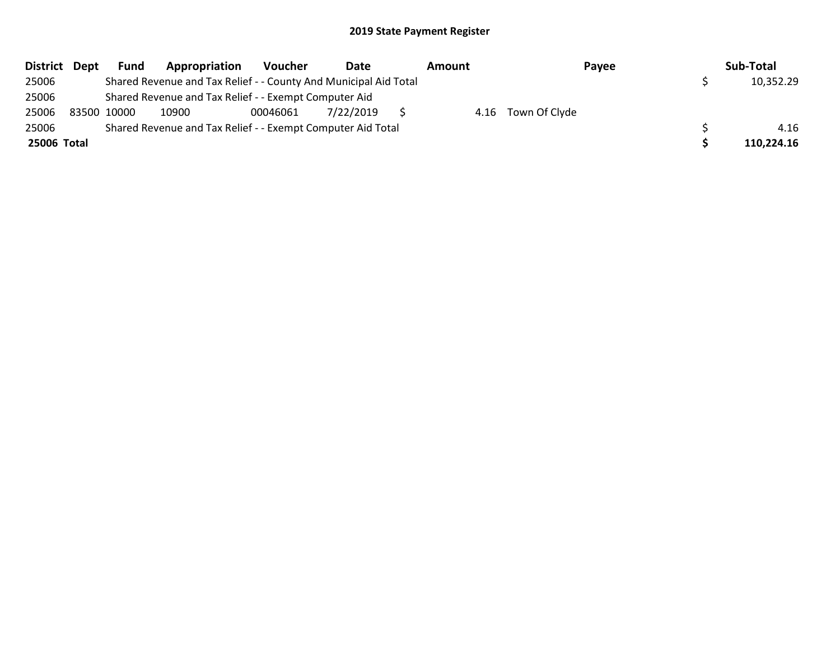|             | District Dept | <b>Fund</b> | Appropriation                                                    | Voucher  | Date      | Amount |                    | Payee | Sub-Total  |
|-------------|---------------|-------------|------------------------------------------------------------------|----------|-----------|--------|--------------------|-------|------------|
| 25006       |               |             | Shared Revenue and Tax Relief - - County And Municipal Aid Total |          |           |        |                    |       | 10,352.29  |
| 25006       |               |             | Shared Revenue and Tax Relief - - Exempt Computer Aid            |          |           |        |                    |       |            |
| 25006       |               | 83500 10000 | 10900                                                            | 00046061 | 7/22/2019 |        | 4.16 Town Of Clyde |       |            |
| 25006       |               |             | Shared Revenue and Tax Relief - - Exempt Computer Aid Total      |          |           |        |                    |       | 4.16       |
| 25006 Total |               |             |                                                                  |          |           |        |                    |       | 110,224.16 |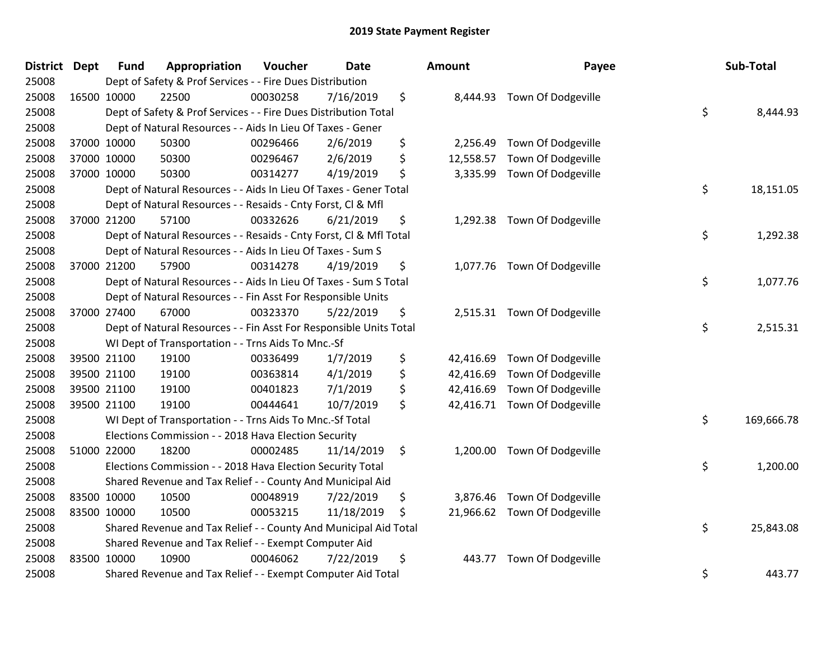| District | <b>Dept</b> | <b>Fund</b> | Appropriation                                                      | Voucher  | <b>Date</b> | Amount          | Payee                       | Sub-Total        |
|----------|-------------|-------------|--------------------------------------------------------------------|----------|-------------|-----------------|-----------------------------|------------------|
| 25008    |             |             | Dept of Safety & Prof Services - - Fire Dues Distribution          |          |             |                 |                             |                  |
| 25008    |             | 16500 10000 | 22500                                                              | 00030258 | 7/16/2019   | \$<br>8,444.93  | Town Of Dodgeville          |                  |
| 25008    |             |             | Dept of Safety & Prof Services - - Fire Dues Distribution Total    |          |             |                 |                             | \$<br>8,444.93   |
| 25008    |             |             | Dept of Natural Resources - - Aids In Lieu Of Taxes - Gener        |          |             |                 |                             |                  |
| 25008    |             | 37000 10000 | 50300                                                              | 00296466 | 2/6/2019    | \$<br>2,256.49  | Town Of Dodgeville          |                  |
| 25008    |             | 37000 10000 | 50300                                                              | 00296467 | 2/6/2019    | \$<br>12,558.57 | Town Of Dodgeville          |                  |
| 25008    |             | 37000 10000 | 50300                                                              | 00314277 | 4/19/2019   | \$<br>3,335.99  | Town Of Dodgeville          |                  |
| 25008    |             |             | Dept of Natural Resources - - Aids In Lieu Of Taxes - Gener Total  |          |             |                 |                             | \$<br>18,151.05  |
| 25008    |             |             | Dept of Natural Resources - - Resaids - Cnty Forst, Cl & Mfl       |          |             |                 |                             |                  |
| 25008    |             | 37000 21200 | 57100                                                              | 00332626 | 6/21/2019   | \$<br>1,292.38  | Town Of Dodgeville          |                  |
| 25008    |             |             | Dept of Natural Resources - - Resaids - Cnty Forst, Cl & Mfl Total |          |             |                 |                             | \$<br>1,292.38   |
| 25008    |             |             | Dept of Natural Resources - - Aids In Lieu Of Taxes - Sum S        |          |             |                 |                             |                  |
| 25008    |             | 37000 21200 | 57900                                                              | 00314278 | 4/19/2019   | \$              | 1,077.76 Town Of Dodgeville |                  |
| 25008    |             |             | Dept of Natural Resources - - Aids In Lieu Of Taxes - Sum S Total  |          |             |                 |                             | \$<br>1,077.76   |
| 25008    |             |             | Dept of Natural Resources - - Fin Asst For Responsible Units       |          |             |                 |                             |                  |
| 25008    |             | 37000 27400 | 67000                                                              | 00323370 | 5/22/2019   | \$              | 2,515.31 Town Of Dodgeville |                  |
| 25008    |             |             | Dept of Natural Resources - - Fin Asst For Responsible Units Total |          |             |                 |                             | \$<br>2,515.31   |
| 25008    |             |             | WI Dept of Transportation - - Trns Aids To Mnc.-Sf                 |          |             |                 |                             |                  |
| 25008    |             | 39500 21100 | 19100                                                              | 00336499 | 1/7/2019    | \$<br>42,416.69 | Town Of Dodgeville          |                  |
| 25008    |             | 39500 21100 | 19100                                                              | 00363814 | 4/1/2019    | \$<br>42,416.69 | Town Of Dodgeville          |                  |
| 25008    |             | 39500 21100 | 19100                                                              | 00401823 | 7/1/2019    | \$<br>42,416.69 | Town Of Dodgeville          |                  |
| 25008    |             | 39500 21100 | 19100                                                              | 00444641 | 10/7/2019   | \$<br>42,416.71 | Town Of Dodgeville          |                  |
| 25008    |             |             | WI Dept of Transportation - - Trns Aids To Mnc.-Sf Total           |          |             |                 |                             | \$<br>169,666.78 |
| 25008    |             |             | Elections Commission - - 2018 Hava Election Security               |          |             |                 |                             |                  |
| 25008    |             | 51000 22000 | 18200                                                              | 00002485 | 11/14/2019  | \$<br>1,200.00  | Town Of Dodgeville          |                  |
| 25008    |             |             | Elections Commission - - 2018 Hava Election Security Total         |          |             |                 |                             | \$<br>1,200.00   |
| 25008    |             |             | Shared Revenue and Tax Relief - - County And Municipal Aid         |          |             |                 |                             |                  |
| 25008    |             | 83500 10000 | 10500                                                              | 00048919 | 7/22/2019   | \$<br>3,876.46  | Town Of Dodgeville          |                  |
| 25008    |             | 83500 10000 | 10500                                                              | 00053215 | 11/18/2019  | \$<br>21,966.62 | Town Of Dodgeville          |                  |
| 25008    |             |             | Shared Revenue and Tax Relief - - County And Municipal Aid Total   |          |             |                 |                             | \$<br>25,843.08  |
| 25008    |             |             | Shared Revenue and Tax Relief - - Exempt Computer Aid              |          |             |                 |                             |                  |
| 25008    |             | 83500 10000 | 10900                                                              | 00046062 | 7/22/2019   | \$<br>443.77    | Town Of Dodgeville          |                  |
| 25008    |             |             | Shared Revenue and Tax Relief - - Exempt Computer Aid Total        |          |             |                 |                             | \$<br>443.77     |

| າount     | Payee              | Sub-Total        |
|-----------|--------------------|------------------|
| 8,444.93  | Town Of Dodgeville | \$<br>8,444.93   |
| 2,256.49  | Town Of Dodgeville |                  |
| 12,558.57 | Town Of Dodgeville |                  |
| 3,335.99  | Town Of Dodgeville |                  |
|           |                    | \$<br>18,151.05  |
| 1,292.38  | Town Of Dodgeville |                  |
|           |                    | \$<br>1,292.38   |
| 1,077.76  | Town Of Dodgeville |                  |
|           |                    | \$<br>1,077.76   |
| 2,515.31  | Town Of Dodgeville | \$<br>2,515.31   |
| 42,416.69 | Town Of Dodgeville |                  |
| 42,416.69 | Town Of Dodgeville |                  |
| 42,416.69 | Town Of Dodgeville |                  |
| 42,416.71 | Town Of Dodgeville |                  |
|           |                    | \$<br>169,666.78 |
| 1,200.00  | Town Of Dodgeville |                  |
|           |                    | \$<br>1,200.00   |
| 3,876.46  | Town Of Dodgeville |                  |
| 21,966.62 | Town Of Dodgeville |                  |
|           |                    | \$<br>25,843.08  |
| 443.77    | Town Of Dodgeville |                  |
|           |                    | \$<br>443.77     |
|           |                    |                  |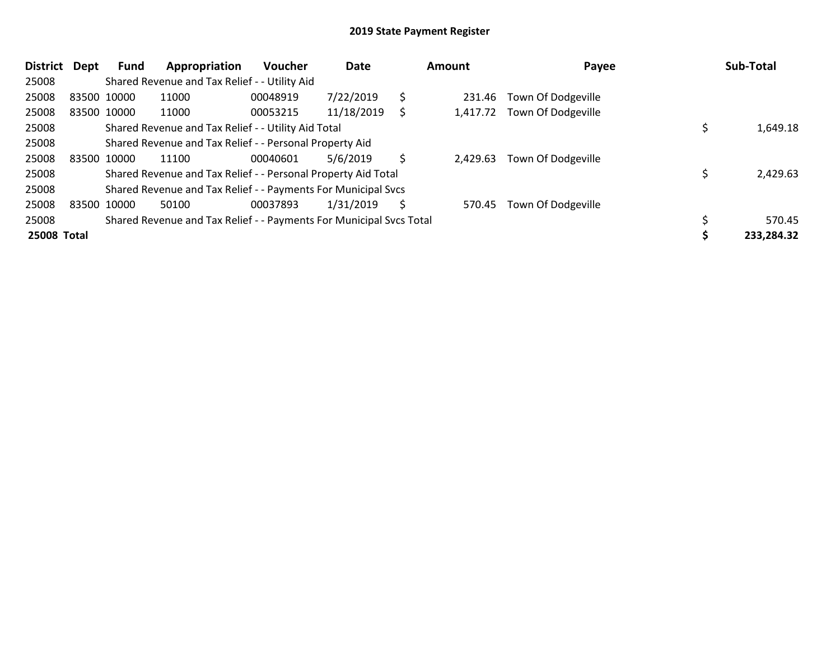| District    | Dept | <b>Fund</b> | Appropriation                                                       | <b>Voucher</b> | Date       |    | Amount   | Payee                     | Sub-Total  |
|-------------|------|-------------|---------------------------------------------------------------------|----------------|------------|----|----------|---------------------------|------------|
| 25008       |      |             | Shared Revenue and Tax Relief - - Utility Aid                       |                |            |    |          |                           |            |
| 25008       |      | 83500 10000 | 11000                                                               | 00048919       | 7/22/2019  | \$ | 231.46   | <b>Town Of Dodgeville</b> |            |
| 25008       |      | 83500 10000 | 11000                                                               | 00053215       | 11/18/2019 | S  | 1.417.72 | Town Of Dodgeville        |            |
| 25008       |      |             | Shared Revenue and Tax Relief - - Utility Aid Total                 |                |            |    |          |                           | 1,649.18   |
| 25008       |      |             | Shared Revenue and Tax Relief - - Personal Property Aid             |                |            |    |          |                           |            |
| 25008       |      | 83500 10000 | 11100                                                               | 00040601       | 5/6/2019   | Ś  | 2.429.63 | Town Of Dodgeville        |            |
| 25008       |      |             | Shared Revenue and Tax Relief - - Personal Property Aid Total       |                |            |    |          |                           | 2,429.63   |
| 25008       |      |             | Shared Revenue and Tax Relief - - Payments For Municipal Svcs       |                |            |    |          |                           |            |
| 25008       |      | 83500 10000 | 50100                                                               | 00037893       | 1/31/2019  | Ś  | 570.45   | Town Of Dodgeville        |            |
| 25008       |      |             | Shared Revenue and Tax Relief - - Payments For Municipal Svcs Total |                |            |    |          |                           | 570.45     |
| 25008 Total |      |             |                                                                     |                |            |    |          |                           | 233,284.32 |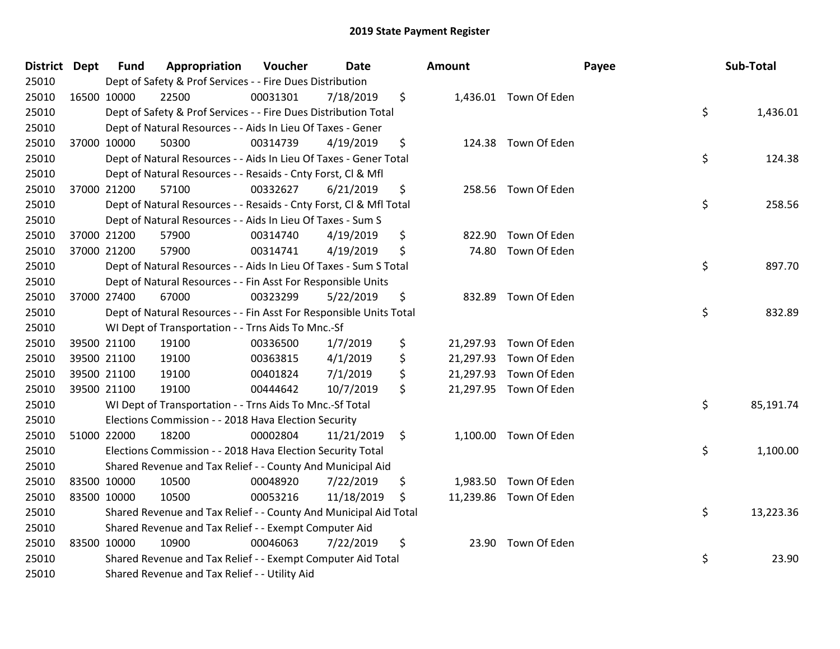| District Dept |             | <b>Fund</b> | Appropriation                                                      | Voucher  | <b>Date</b> | Amount       |                        | Payee | Sub-Total |
|---------------|-------------|-------------|--------------------------------------------------------------------|----------|-------------|--------------|------------------------|-------|-----------|
| 25010         |             |             | Dept of Safety & Prof Services - - Fire Dues Distribution          |          |             |              |                        |       |           |
| 25010         | 16500 10000 |             | 22500                                                              | 00031301 | 7/18/2019   | \$           | 1,436.01 Town Of Eden  |       |           |
| 25010         |             |             | Dept of Safety & Prof Services - - Fire Dues Distribution Total    |          |             |              |                        | \$    | 1,436.01  |
| 25010         |             |             | Dept of Natural Resources - - Aids In Lieu Of Taxes - Gener        |          |             |              |                        |       |           |
| 25010         | 37000 10000 |             | 50300                                                              | 00314739 | 4/19/2019   | \$           | 124.38 Town Of Eden    |       |           |
| 25010         |             |             | Dept of Natural Resources - - Aids In Lieu Of Taxes - Gener Total  |          |             |              |                        | \$    | 124.38    |
| 25010         |             |             | Dept of Natural Resources - - Resaids - Cnty Forst, Cl & Mfl       |          |             |              |                        |       |           |
| 25010         |             | 37000 21200 | 57100                                                              | 00332627 | 6/21/2019   | \$           | 258.56 Town Of Eden    |       |           |
| 25010         |             |             | Dept of Natural Resources - - Resaids - Cnty Forst, Cl & Mfl Total |          |             |              |                        | \$    | 258.56    |
| 25010         |             |             | Dept of Natural Resources - - Aids In Lieu Of Taxes - Sum S        |          |             |              |                        |       |           |
| 25010         |             | 37000 21200 | 57900                                                              | 00314740 | 4/19/2019   | \$<br>822.90 | Town Of Eden           |       |           |
| 25010         | 37000 21200 |             | 57900                                                              | 00314741 | 4/19/2019   | \$<br>74.80  | Town Of Eden           |       |           |
| 25010         |             |             | Dept of Natural Resources - - Aids In Lieu Of Taxes - Sum S Total  |          |             |              |                        | \$    | 897.70    |
| 25010         |             |             | Dept of Natural Resources - - Fin Asst For Responsible Units       |          |             |              |                        |       |           |
| 25010         | 37000 27400 |             | 67000                                                              | 00323299 | 5/22/2019   | \$<br>832.89 | Town Of Eden           |       |           |
| 25010         |             |             | Dept of Natural Resources - - Fin Asst For Responsible Units Total |          |             |              |                        | \$    | 832.89    |
| 25010         |             |             | WI Dept of Transportation - - Trns Aids To Mnc.-Sf                 |          |             |              |                        |       |           |
| 25010         |             | 39500 21100 | 19100                                                              | 00336500 | 1/7/2019    | \$           | 21,297.93 Town Of Eden |       |           |
| 25010         | 39500 21100 |             | 19100                                                              | 00363815 | 4/1/2019    | \$           | 21,297.93 Town Of Eden |       |           |
| 25010         |             | 39500 21100 | 19100                                                              | 00401824 | 7/1/2019    | \$           | 21,297.93 Town Of Eden |       |           |
| 25010         |             | 39500 21100 | 19100                                                              | 00444642 | 10/7/2019   | \$           | 21,297.95 Town Of Eden |       |           |
| 25010         |             |             | WI Dept of Transportation - - Trns Aids To Mnc.-Sf Total           |          |             |              |                        | \$    | 85,191.74 |
| 25010         |             |             | Elections Commission - - 2018 Hava Election Security               |          |             |              |                        |       |           |
| 25010         | 51000 22000 |             | 18200                                                              | 00002804 | 11/21/2019  | \$           | 1,100.00 Town Of Eden  |       |           |
| 25010         |             |             | Elections Commission - - 2018 Hava Election Security Total         |          |             |              |                        | \$    | 1,100.00  |
| 25010         |             |             | Shared Revenue and Tax Relief - - County And Municipal Aid         |          |             |              |                        |       |           |
| 25010         | 83500 10000 |             | 10500                                                              | 00048920 | 7/22/2019   | \$           | 1,983.50 Town Of Eden  |       |           |
| 25010         | 83500 10000 |             | 10500                                                              | 00053216 | 11/18/2019  | \$           | 11,239.86 Town Of Eden |       |           |
| 25010         |             |             | Shared Revenue and Tax Relief - - County And Municipal Aid Total   |          |             |              |                        | \$    | 13,223.36 |
| 25010         |             |             | Shared Revenue and Tax Relief - - Exempt Computer Aid              |          |             |              |                        |       |           |
| 25010         | 83500 10000 |             | 10900                                                              | 00046063 | 7/22/2019   | \$           | 23.90 Town Of Eden     |       |           |
| 25010         |             |             | Shared Revenue and Tax Relief - - Exempt Computer Aid Total        |          |             |              |                        | \$    | 23.90     |
| 25010         |             |             | Shared Revenue and Tax Relief - - Utility Aid                      |          |             |              |                        |       |           |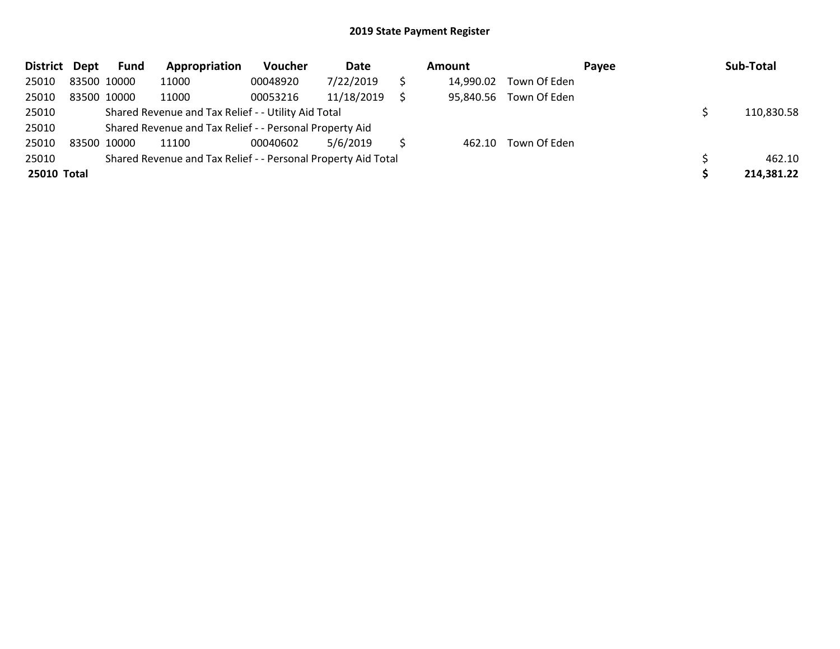| District Dept      |             | Fund        | Appropriation                                                 | Voucher  | Date       | Amount |           |              | Payee | Sub-Total |            |
|--------------------|-------------|-------------|---------------------------------------------------------------|----------|------------|--------|-----------|--------------|-------|-----------|------------|
| 25010              |             | 83500 10000 | 11000                                                         | 00048920 | 7/22/2019  |        | 14,990.02 | Town Of Eden |       |           |            |
| 25010              | 83500 10000 |             | 11000                                                         | 00053216 | 11/18/2019 |        | 95,840.56 | Town Of Eden |       |           |            |
| 25010              |             |             | Shared Revenue and Tax Relief - - Utility Aid Total           |          |            |        |           |              |       |           | 110,830.58 |
| 25010              |             |             | Shared Revenue and Tax Relief - - Personal Property Aid       |          |            |        |           |              |       |           |            |
| 25010              | 83500 10000 |             | 11100                                                         | 00040602 | 5/6/2019   |        | 462.10    | Town Of Eden |       |           |            |
| 25010              |             |             | Shared Revenue and Tax Relief - - Personal Property Aid Total |          |            |        |           |              |       |           | 462.10     |
| <b>25010 Total</b> |             |             |                                                               |          |            |        |           |              |       |           | 214,381.22 |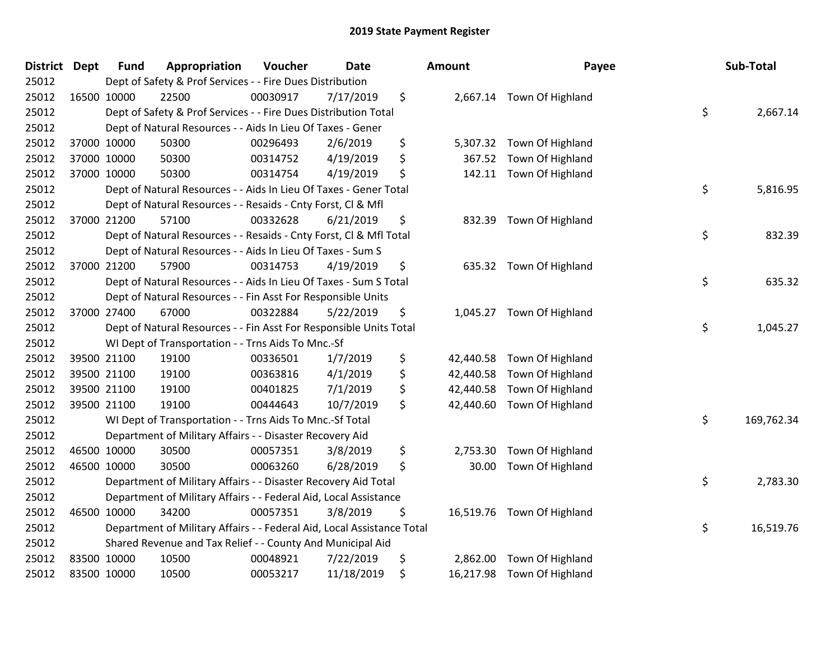| <b>District Dept</b> | <b>Fund</b> | Appropriation                                                          | Voucher  | <b>Date</b> | Amount          | Payee                      | Sub-Total        |
|----------------------|-------------|------------------------------------------------------------------------|----------|-------------|-----------------|----------------------------|------------------|
| 25012                |             | Dept of Safety & Prof Services - - Fire Dues Distribution              |          |             |                 |                            |                  |
| 25012                | 16500 10000 | 22500                                                                  | 00030917 | 7/17/2019   | \$              | 2,667.14 Town Of Highland  |                  |
| 25012                |             | Dept of Safety & Prof Services - - Fire Dues Distribution Total        |          |             |                 |                            | \$<br>2,667.14   |
| 25012                |             | Dept of Natural Resources - - Aids In Lieu Of Taxes - Gener            |          |             |                 |                            |                  |
| 25012                | 37000 10000 | 50300                                                                  | 00296493 | 2/6/2019    | \$<br>5,307.32  | Town Of Highland           |                  |
| 25012                | 37000 10000 | 50300                                                                  | 00314752 | 4/19/2019   | \$<br>367.52    | Town Of Highland           |                  |
| 25012                | 37000 10000 | 50300                                                                  | 00314754 | 4/19/2019   | \$<br>142.11    | Town Of Highland           |                  |
| 25012                |             | Dept of Natural Resources - - Aids In Lieu Of Taxes - Gener Total      |          |             |                 |                            | \$<br>5,816.95   |
| 25012                |             | Dept of Natural Resources - - Resaids - Cnty Forst, Cl & Mfl           |          |             |                 |                            |                  |
| 25012                | 37000 21200 | 57100                                                                  | 00332628 | 6/21/2019   | \$<br>832.39    | Town Of Highland           |                  |
| 25012                |             | Dept of Natural Resources - - Resaids - Cnty Forst, Cl & Mfl Total     |          |             |                 |                            | \$<br>832.39     |
| 25012                |             | Dept of Natural Resources - - Aids In Lieu Of Taxes - Sum S            |          |             |                 |                            |                  |
| 25012                | 37000 21200 | 57900                                                                  | 00314753 | 4/19/2019   | \$              | 635.32 Town Of Highland    |                  |
| 25012                |             | Dept of Natural Resources - - Aids In Lieu Of Taxes - Sum S Total      |          |             |                 |                            | \$<br>635.32     |
| 25012                |             | Dept of Natural Resources - - Fin Asst For Responsible Units           |          |             |                 |                            |                  |
| 25012                | 37000 27400 | 67000                                                                  | 00322884 | 5/22/2019   | \$<br>1,045.27  | Town Of Highland           |                  |
| 25012                |             | Dept of Natural Resources - - Fin Asst For Responsible Units Total     |          |             |                 |                            | \$<br>1,045.27   |
| 25012                |             | WI Dept of Transportation - - Trns Aids To Mnc.-Sf                     |          |             |                 |                            |                  |
| 25012                | 39500 21100 | 19100                                                                  | 00336501 | 1/7/2019    | \$<br>42,440.58 | Town Of Highland           |                  |
| 25012                | 39500 21100 | 19100                                                                  | 00363816 | 4/1/2019    | \$<br>42,440.58 | Town Of Highland           |                  |
| 25012                | 39500 21100 | 19100                                                                  | 00401825 | 7/1/2019    | \$<br>42,440.58 | Town Of Highland           |                  |
| 25012                | 39500 21100 | 19100                                                                  | 00444643 | 10/7/2019   | \$<br>42,440.60 | Town Of Highland           |                  |
| 25012                |             | WI Dept of Transportation - - Trns Aids To Mnc.-Sf Total               |          |             |                 |                            | \$<br>169,762.34 |
| 25012                |             | Department of Military Affairs - - Disaster Recovery Aid               |          |             |                 |                            |                  |
| 25012                | 46500 10000 | 30500                                                                  | 00057351 | 3/8/2019    | \$<br>2,753.30  | Town Of Highland           |                  |
| 25012                | 46500 10000 | 30500                                                                  | 00063260 | 6/28/2019   | \$<br>30.00     | Town Of Highland           |                  |
| 25012                |             | Department of Military Affairs - - Disaster Recovery Aid Total         |          |             |                 |                            | \$<br>2,783.30   |
| 25012                |             | Department of Military Affairs - - Federal Aid, Local Assistance       |          |             |                 |                            |                  |
| 25012                | 46500 10000 | 34200                                                                  | 00057351 | 3/8/2019    | \$              | 16,519.76 Town Of Highland |                  |
| 25012                |             | Department of Military Affairs - - Federal Aid, Local Assistance Total |          |             |                 |                            | \$<br>16,519.76  |
| 25012                |             | Shared Revenue and Tax Relief - - County And Municipal Aid             |          |             |                 |                            |                  |
| 25012                | 83500 10000 | 10500                                                                  | 00048921 | 7/22/2019   | \$<br>2,862.00  | Town Of Highland           |                  |
| 25012                | 83500 10000 | 10500                                                                  | 00053217 | 11/18/2019  | \$              | 16,217.98 Town Of Highland |                  |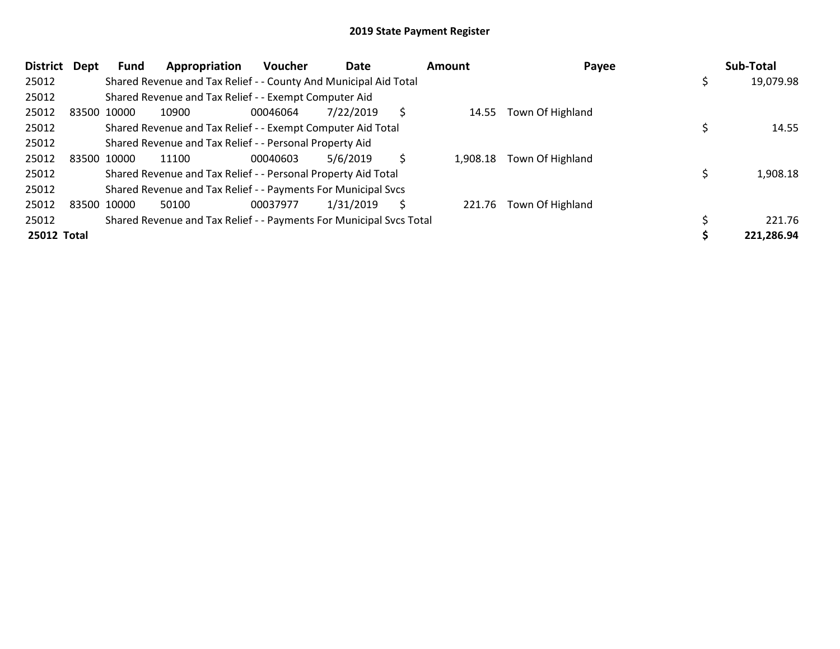| <b>District</b> | Dept        | Fund        | Appropriation                                                       | <b>Voucher</b> | Date      |    | Amount   | Payee            | Sub-Total  |
|-----------------|-------------|-------------|---------------------------------------------------------------------|----------------|-----------|----|----------|------------------|------------|
| 25012           |             |             | Shared Revenue and Tax Relief - - County And Municipal Aid Total    |                |           |    |          |                  | 19,079.98  |
| 25012           |             |             | Shared Revenue and Tax Relief - - Exempt Computer Aid               |                |           |    |          |                  |            |
| 25012           | 83500 10000 |             | 10900                                                               | 00046064       | 7/22/2019 | \$ | 14.55    | Town Of Highland |            |
| 25012           |             |             | Shared Revenue and Tax Relief - - Exempt Computer Aid Total         |                |           |    |          |                  | 14.55      |
| 25012           |             |             | Shared Revenue and Tax Relief - - Personal Property Aid             |                |           |    |          |                  |            |
| 25012           |             | 83500 10000 | 11100                                                               | 00040603       | 5/6/2019  | Ś. | 1.908.18 | Town Of Highland |            |
| 25012           |             |             | Shared Revenue and Tax Relief - - Personal Property Aid Total       |                |           |    |          |                  | 1,908.18   |
| 25012           |             |             | Shared Revenue and Tax Relief - - Payments For Municipal Svcs       |                |           |    |          |                  |            |
| 25012           |             | 83500 10000 | 50100                                                               | 00037977       | 1/31/2019 | \$ | 221.76   | Town Of Highland |            |
| 25012           |             |             | Shared Revenue and Tax Relief - - Payments For Municipal Svcs Total |                |           |    |          |                  | 221.76     |
| 25012 Total     |             |             |                                                                     |                |           |    |          |                  | 221,286.94 |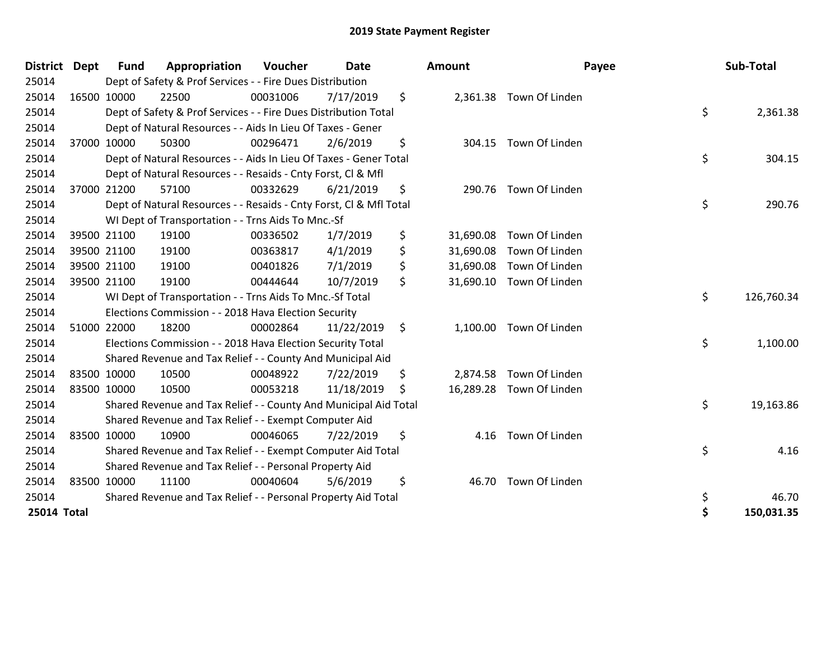| <b>District Dept</b> |             | <b>Fund</b> | Appropriation                                                      | Voucher  | <b>Date</b> |     | Amount    | Payee                    | Sub-Total        |
|----------------------|-------------|-------------|--------------------------------------------------------------------|----------|-------------|-----|-----------|--------------------------|------------------|
| 25014                |             |             | Dept of Safety & Prof Services - - Fire Dues Distribution          |          |             |     |           |                          |                  |
| 25014                |             | 16500 10000 | 22500                                                              | 00031006 | 7/17/2019   | \$  |           | 2,361.38 Town Of Linden  |                  |
| 25014                |             |             | Dept of Safety & Prof Services - - Fire Dues Distribution Total    |          |             |     |           |                          | \$<br>2,361.38   |
| 25014                |             |             | Dept of Natural Resources - - Aids In Lieu Of Taxes - Gener        |          |             |     |           |                          |                  |
| 25014                |             | 37000 10000 | 50300                                                              | 00296471 | 2/6/2019    | \$  |           | 304.15 Town Of Linden    |                  |
| 25014                |             |             | Dept of Natural Resources - - Aids In Lieu Of Taxes - Gener Total  |          |             |     |           |                          | \$<br>304.15     |
| 25014                |             |             | Dept of Natural Resources - - Resaids - Cnty Forst, CI & Mfl       |          |             |     |           |                          |                  |
| 25014                | 37000 21200 |             | 57100                                                              | 00332629 | 6/21/2019   | \$  |           | 290.76 Town Of Linden    |                  |
| 25014                |             |             | Dept of Natural Resources - - Resaids - Cnty Forst, Cl & Mfl Total |          |             |     |           |                          | \$<br>290.76     |
| 25014                |             |             | WI Dept of Transportation - - Trns Aids To Mnc.-Sf                 |          |             |     |           |                          |                  |
| 25014                |             | 39500 21100 | 19100                                                              | 00336502 | 1/7/2019    | \$  | 31,690.08 | Town Of Linden           |                  |
| 25014                |             | 39500 21100 | 19100                                                              | 00363817 | 4/1/2019    | \$  | 31,690.08 | Town Of Linden           |                  |
| 25014                |             | 39500 21100 | 19100                                                              | 00401826 | 7/1/2019    | \$  |           | 31,690.08 Town Of Linden |                  |
| 25014                | 39500 21100 |             | 19100                                                              | 00444644 | 10/7/2019   | \$  |           | 31,690.10 Town Of Linden |                  |
| 25014                |             |             | WI Dept of Transportation - - Trns Aids To Mnc.-Sf Total           |          |             |     |           |                          | \$<br>126,760.34 |
| 25014                |             |             | Elections Commission - - 2018 Hava Election Security               |          |             |     |           |                          |                  |
| 25014                |             | 51000 22000 | 18200                                                              | 00002864 | 11/22/2019  | \$  |           | 1,100.00 Town Of Linden  |                  |
| 25014                |             |             | Elections Commission - - 2018 Hava Election Security Total         |          |             |     |           |                          | \$<br>1,100.00   |
| 25014                |             |             | Shared Revenue and Tax Relief - - County And Municipal Aid         |          |             |     |           |                          |                  |
| 25014                | 83500 10000 |             | 10500                                                              | 00048922 | 7/22/2019   | \$  |           | 2,874.58 Town Of Linden  |                  |
| 25014                | 83500 10000 |             | 10500                                                              | 00053218 | 11/18/2019  | \$. |           | 16,289.28 Town Of Linden |                  |
| 25014                |             |             | Shared Revenue and Tax Relief - - County And Municipal Aid Total   |          |             |     |           |                          | \$<br>19,163.86  |
| 25014                |             |             | Shared Revenue and Tax Relief - - Exempt Computer Aid              |          |             |     |           |                          |                  |
| 25014                | 83500 10000 |             | 10900                                                              | 00046065 | 7/22/2019   | \$  | 4.16      | Town Of Linden           |                  |
| 25014                |             |             | Shared Revenue and Tax Relief - - Exempt Computer Aid Total        |          |             |     |           |                          | \$<br>4.16       |
| 25014                |             |             | Shared Revenue and Tax Relief - - Personal Property Aid            |          |             |     |           |                          |                  |
| 25014                | 83500 10000 |             | 11100                                                              | 00040604 | 5/6/2019    | \$  | 46.70     | Town Of Linden           |                  |
| 25014                |             |             | Shared Revenue and Tax Relief - - Personal Property Aid Total      |          |             |     |           |                          | \$<br>46.70      |
| <b>25014 Total</b>   |             |             |                                                                    |          |             |     |           |                          | 150,031.35       |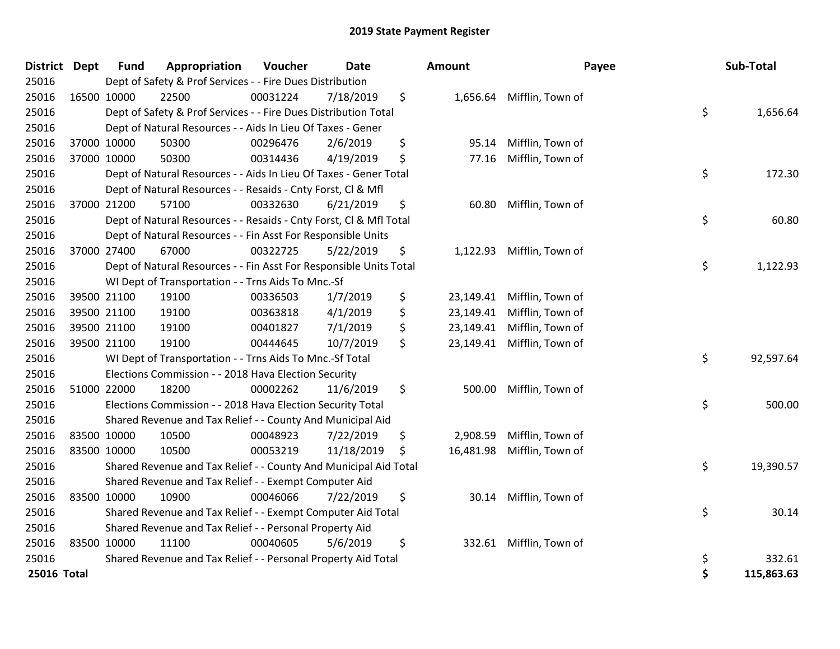| District Dept |             | <b>Fund</b> | Appropriation                                                      | Voucher  | Date       | <b>Amount</b>   | Payee            | Sub-Total        |
|---------------|-------------|-------------|--------------------------------------------------------------------|----------|------------|-----------------|------------------|------------------|
| 25016         |             |             | Dept of Safety & Prof Services - - Fire Dues Distribution          |          |            |                 |                  |                  |
| 25016         | 16500 10000 |             | 22500                                                              | 00031224 | 7/18/2019  | \$<br>1,656.64  | Mifflin, Town of |                  |
| 25016         |             |             | Dept of Safety & Prof Services - - Fire Dues Distribution Total    |          |            |                 |                  | \$<br>1,656.64   |
| 25016         |             |             | Dept of Natural Resources - - Aids In Lieu Of Taxes - Gener        |          |            |                 |                  |                  |
| 25016         |             | 37000 10000 | 50300                                                              | 00296476 | 2/6/2019   | \$<br>95.14     | Mifflin, Town of |                  |
| 25016         |             | 37000 10000 | 50300                                                              | 00314436 | 4/19/2019  | \$<br>77.16     | Mifflin, Town of |                  |
| 25016         |             |             | Dept of Natural Resources - - Aids In Lieu Of Taxes - Gener Total  |          |            |                 |                  | \$<br>172.30     |
| 25016         |             |             | Dept of Natural Resources - - Resaids - Cnty Forst, Cl & Mfl       |          |            |                 |                  |                  |
| 25016         |             | 37000 21200 | 57100                                                              | 00332630 | 6/21/2019  | \$<br>60.80     | Mifflin, Town of |                  |
| 25016         |             |             | Dept of Natural Resources - - Resaids - Cnty Forst, CI & Mfl Total |          |            |                 |                  | \$<br>60.80      |
| 25016         |             |             | Dept of Natural Resources - - Fin Asst For Responsible Units       |          |            |                 |                  |                  |
| 25016         |             | 37000 27400 | 67000                                                              | 00322725 | 5/22/2019  | \$<br>1,122.93  | Mifflin, Town of |                  |
| 25016         |             |             | Dept of Natural Resources - - Fin Asst For Responsible Units Total |          |            |                 |                  | \$<br>1,122.93   |
| 25016         |             |             | WI Dept of Transportation - - Trns Aids To Mnc.-Sf                 |          |            |                 |                  |                  |
| 25016         |             | 39500 21100 | 19100                                                              | 00336503 | 1/7/2019   | \$<br>23,149.41 | Mifflin, Town of |                  |
| 25016         |             | 39500 21100 | 19100                                                              | 00363818 | 4/1/2019   | \$<br>23,149.41 | Mifflin, Town of |                  |
| 25016         | 39500 21100 |             | 19100                                                              | 00401827 | 7/1/2019   | \$<br>23,149.41 | Mifflin, Town of |                  |
| 25016         | 39500 21100 |             | 19100                                                              | 00444645 | 10/7/2019  | \$<br>23,149.41 | Mifflin, Town of |                  |
| 25016         |             |             | WI Dept of Transportation - - Trns Aids To Mnc.-Sf Total           |          |            |                 |                  | \$<br>92,597.64  |
| 25016         |             |             | Elections Commission - - 2018 Hava Election Security               |          |            |                 |                  |                  |
| 25016         | 51000 22000 |             | 18200                                                              | 00002262 | 11/6/2019  | \$<br>500.00    | Mifflin, Town of |                  |
| 25016         |             |             | Elections Commission - - 2018 Hava Election Security Total         |          |            |                 |                  | \$<br>500.00     |
| 25016         |             |             | Shared Revenue and Tax Relief - - County And Municipal Aid         |          |            |                 |                  |                  |
| 25016         |             | 83500 10000 | 10500                                                              | 00048923 | 7/22/2019  | \$<br>2,908.59  | Mifflin, Town of |                  |
| 25016         |             | 83500 10000 | 10500                                                              | 00053219 | 11/18/2019 | \$<br>16,481.98 | Mifflin, Town of |                  |
| 25016         |             |             | Shared Revenue and Tax Relief - - County And Municipal Aid Total   |          |            |                 |                  | \$<br>19,390.57  |
| 25016         |             |             | Shared Revenue and Tax Relief - - Exempt Computer Aid              |          |            |                 |                  |                  |
| 25016         | 83500 10000 |             | 10900                                                              | 00046066 | 7/22/2019  | \$<br>30.14     | Mifflin, Town of |                  |
| 25016         |             |             | Shared Revenue and Tax Relief - - Exempt Computer Aid Total        |          |            |                 |                  | \$<br>30.14      |
| 25016         |             |             | Shared Revenue and Tax Relief - - Personal Property Aid            |          |            |                 |                  |                  |
| 25016         | 83500 10000 |             | 11100                                                              | 00040605 | 5/6/2019   | \$<br>332.61    | Mifflin, Town of |                  |
| 25016         |             |             | Shared Revenue and Tax Relief - - Personal Property Aid Total      |          |            |                 |                  | \$<br>332.61     |
| 25016 Total   |             |             |                                                                    |          |            |                 |                  | \$<br>115,863.63 |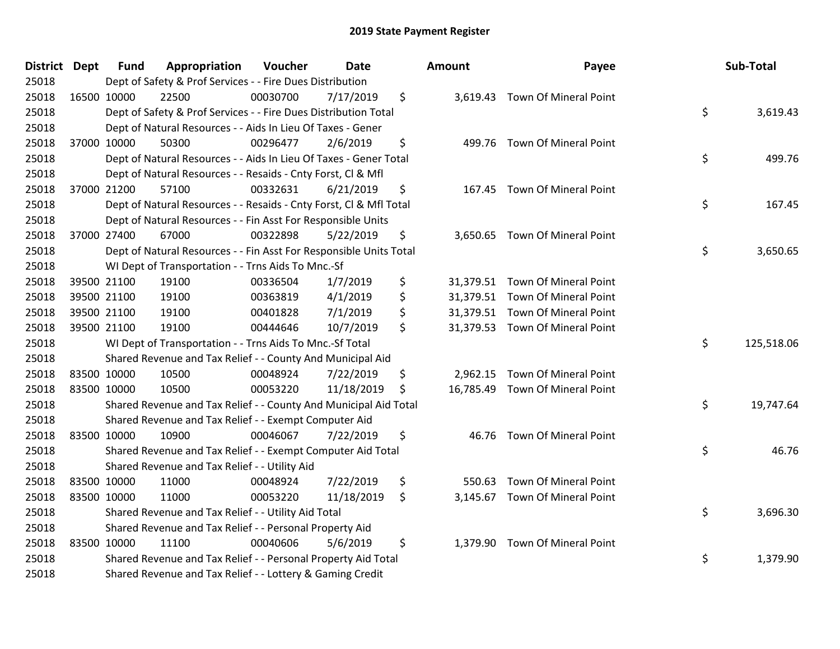| District Dept | <b>Fund</b> | Appropriation                                                      | Voucher  | Date       | <b>Amount</b>  | Payee                           | Sub-Total        |
|---------------|-------------|--------------------------------------------------------------------|----------|------------|----------------|---------------------------------|------------------|
| 25018         |             | Dept of Safety & Prof Services - - Fire Dues Distribution          |          |            |                |                                 |                  |
| 25018         | 16500 10000 | 22500                                                              | 00030700 | 7/17/2019  | \$             | 3,619.43 Town Of Mineral Point  |                  |
| 25018         |             | Dept of Safety & Prof Services - - Fire Dues Distribution Total    |          |            |                |                                 | \$<br>3,619.43   |
| 25018         |             | Dept of Natural Resources - - Aids In Lieu Of Taxes - Gener        |          |            |                |                                 |                  |
| 25018         | 37000 10000 | 50300                                                              | 00296477 | 2/6/2019   | \$             | 499.76 Town Of Mineral Point    |                  |
| 25018         |             | Dept of Natural Resources - - Aids In Lieu Of Taxes - Gener Total  |          |            |                |                                 | \$<br>499.76     |
| 25018         |             | Dept of Natural Resources - - Resaids - Cnty Forst, Cl & Mfl       |          |            |                |                                 |                  |
| 25018         | 37000 21200 | 57100                                                              | 00332631 | 6/21/2019  | \$             | 167.45 Town Of Mineral Point    |                  |
| 25018         |             | Dept of Natural Resources - - Resaids - Cnty Forst, CI & Mfl Total |          |            |                |                                 | \$<br>167.45     |
| 25018         |             | Dept of Natural Resources - - Fin Asst For Responsible Units       |          |            |                |                                 |                  |
| 25018         | 37000 27400 | 67000                                                              | 00322898 | 5/22/2019  | \$             | 3,650.65 Town Of Mineral Point  |                  |
| 25018         |             | Dept of Natural Resources - - Fin Asst For Responsible Units Total |          |            |                |                                 | \$<br>3,650.65   |
| 25018         |             | WI Dept of Transportation - - Trns Aids To Mnc.-Sf                 |          |            |                |                                 |                  |
| 25018         | 39500 21100 | 19100                                                              | 00336504 | 1/7/2019   | \$             | 31,379.51 Town Of Mineral Point |                  |
| 25018         | 39500 21100 | 19100                                                              | 00363819 | 4/1/2019   | \$             | 31,379.51 Town Of Mineral Point |                  |
| 25018         | 39500 21100 | 19100                                                              | 00401828 | 7/1/2019   | \$             | 31,379.51 Town Of Mineral Point |                  |
| 25018         | 39500 21100 | 19100                                                              | 00444646 | 10/7/2019  | \$             | 31,379.53 Town Of Mineral Point |                  |
| 25018         |             | WI Dept of Transportation - - Trns Aids To Mnc.-Sf Total           |          |            |                |                                 | \$<br>125,518.06 |
| 25018         |             | Shared Revenue and Tax Relief - - County And Municipal Aid         |          |            |                |                                 |                  |
| 25018         | 83500 10000 | 10500                                                              | 00048924 | 7/22/2019  | \$             | 2,962.15 Town Of Mineral Point  |                  |
| 25018         | 83500 10000 | 10500                                                              | 00053220 | 11/18/2019 | \$             | 16,785.49 Town Of Mineral Point |                  |
| 25018         |             | Shared Revenue and Tax Relief - - County And Municipal Aid Total   |          |            |                |                                 | \$<br>19,747.64  |
| 25018         |             | Shared Revenue and Tax Relief - - Exempt Computer Aid              |          |            |                |                                 |                  |
| 25018         | 83500 10000 | 10900                                                              | 00046067 | 7/22/2019  | \$<br>46.76    | Town Of Mineral Point           |                  |
| 25018         |             | Shared Revenue and Tax Relief - - Exempt Computer Aid Total        |          |            |                |                                 | \$<br>46.76      |
| 25018         |             | Shared Revenue and Tax Relief - - Utility Aid                      |          |            |                |                                 |                  |
| 25018         | 83500 10000 | 11000                                                              | 00048924 | 7/22/2019  | \$<br>550.63   | Town Of Mineral Point           |                  |
| 25018         | 83500 10000 | 11000                                                              | 00053220 | 11/18/2019 | \$             | 3,145.67 Town Of Mineral Point  |                  |
| 25018         |             | Shared Revenue and Tax Relief - - Utility Aid Total                |          |            |                |                                 | \$<br>3,696.30   |
| 25018         |             | Shared Revenue and Tax Relief - - Personal Property Aid            |          |            |                |                                 |                  |
| 25018         | 83500 10000 | 11100                                                              | 00040606 | 5/6/2019   | \$<br>1,379.90 | Town Of Mineral Point           |                  |
| 25018         |             | Shared Revenue and Tax Relief - - Personal Property Aid Total      |          |            |                |                                 | \$<br>1,379.90   |
| 25018         |             | Shared Revenue and Tax Relief - - Lottery & Gaming Credit          |          |            |                |                                 |                  |

| lount     | Payee                                                                                                                                    | Sub-Total        |
|-----------|------------------------------------------------------------------------------------------------------------------------------------------|------------------|
| 3,619.43  | <b>Town Of Mineral Point</b>                                                                                                             | \$<br>3,619.43   |
| 499.76    | <b>Town Of Mineral Point</b>                                                                                                             | \$<br>499.76     |
| 167.45    | <b>Town Of Mineral Point</b>                                                                                                             | \$<br>167.45     |
| 3,650.65  | <b>Town Of Mineral Point</b>                                                                                                             | \$<br>3,650.65   |
|           | 31,379.51 Town Of Mineral Point<br>31,379.51 Town Of Mineral Point<br>31,379.51 Town Of Mineral Point<br>31,379.53 Town Of Mineral Point |                  |
| 16,785.49 | 2,962.15 Town Of Mineral Point<br>Town Of Mineral Point                                                                                  | \$<br>125,518.06 |
|           |                                                                                                                                          | \$<br>19,747.64  |
| 46.76     | <b>Town Of Mineral Point</b>                                                                                                             | \$<br>46.76      |
|           | 550.63 Town Of Mineral Point<br>3,145.67 Town Of Mineral Point                                                                           |                  |
|           |                                                                                                                                          | \$<br>3,696.30   |
| 1,379.90  | Town Of Mineral Point                                                                                                                    | \$<br>1,379.90   |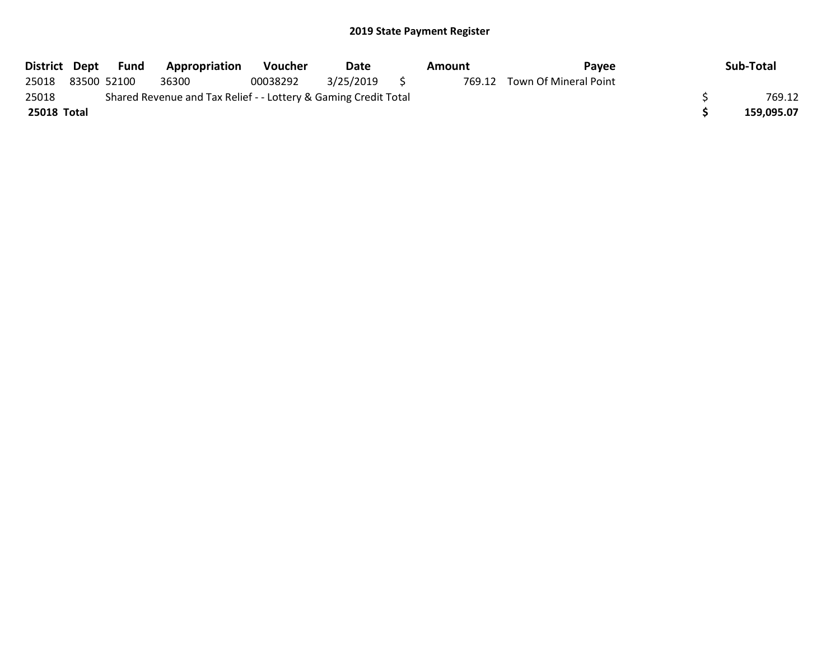|             |                                                                 | District Dept Fund | <b>Appropriation</b> | <b>Voucher</b> | Date      |  | Amount | Pavee                        |  | Sub-Total  |
|-------------|-----------------------------------------------------------------|--------------------|----------------------|----------------|-----------|--|--------|------------------------------|--|------------|
| 25018       | 83500 52100                                                     |                    | 36300                | 00038292       | 3/25/2019 |  |        | 769.12 Town Of Mineral Point |  |            |
| 25018       | Shared Revenue and Tax Relief - - Lottery & Gaming Credit Total |                    |                      |                |           |  |        |                              |  |            |
| 25018 Total |                                                                 |                    |                      |                |           |  |        |                              |  | 159,095.07 |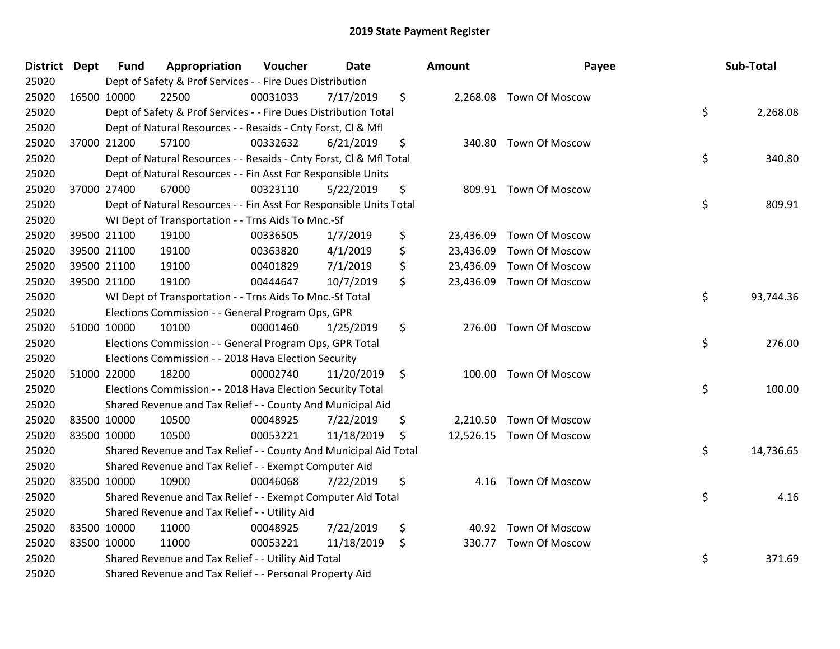| District Dept |             | <b>Fund</b> | Appropriation                                                      | Voucher  | <b>Date</b> | <b>Amount</b>   | Payee                    | Sub-Total       |
|---------------|-------------|-------------|--------------------------------------------------------------------|----------|-------------|-----------------|--------------------------|-----------------|
| 25020         |             |             | Dept of Safety & Prof Services - - Fire Dues Distribution          |          |             |                 |                          |                 |
| 25020         |             | 16500 10000 | 22500                                                              | 00031033 | 7/17/2019   | \$              | 2,268.08 Town Of Moscow  |                 |
| 25020         |             |             | Dept of Safety & Prof Services - - Fire Dues Distribution Total    |          |             |                 |                          | \$<br>2,268.08  |
| 25020         |             |             | Dept of Natural Resources - - Resaids - Cnty Forst, Cl & Mfl       |          |             |                 |                          |                 |
| 25020         |             | 37000 21200 | 57100                                                              | 00332632 | 6/21/2019   | \$<br>340.80    | <b>Town Of Moscow</b>    |                 |
| 25020         |             |             | Dept of Natural Resources - - Resaids - Cnty Forst, CI & Mfl Total |          |             |                 |                          | \$<br>340.80    |
| 25020         |             |             | Dept of Natural Resources - - Fin Asst For Responsible Units       |          |             |                 |                          |                 |
| 25020         |             | 37000 27400 | 67000                                                              | 00323110 | 5/22/2019   | \$              | 809.91 Town Of Moscow    |                 |
| 25020         |             |             | Dept of Natural Resources - - Fin Asst For Responsible Units Total |          |             |                 |                          | \$<br>809.91    |
| 25020         |             |             | WI Dept of Transportation - - Trns Aids To Mnc.-Sf                 |          |             |                 |                          |                 |
| 25020         |             | 39500 21100 | 19100                                                              | 00336505 | 1/7/2019    | \$              | 23,436.09 Town Of Moscow |                 |
| 25020         |             | 39500 21100 | 19100                                                              | 00363820 | 4/1/2019    | \$<br>23,436.09 | Town Of Moscow           |                 |
| 25020         |             | 39500 21100 | 19100                                                              | 00401829 | 7/1/2019    | \$              | 23,436.09 Town Of Moscow |                 |
| 25020         |             | 39500 21100 | 19100                                                              | 00444647 | 10/7/2019   | \$              | 23,436.09 Town Of Moscow |                 |
| 25020         |             |             | WI Dept of Transportation - - Trns Aids To Mnc.-Sf Total           |          |             |                 |                          | \$<br>93,744.36 |
| 25020         |             |             | Elections Commission - - General Program Ops, GPR                  |          |             |                 |                          |                 |
| 25020         |             | 51000 10000 | 10100                                                              | 00001460 | 1/25/2019   | \$<br>276.00    | <b>Town Of Moscow</b>    |                 |
| 25020         |             |             | Elections Commission - - General Program Ops, GPR Total            |          |             |                 |                          | \$<br>276.00    |
| 25020         |             |             | Elections Commission - - 2018 Hava Election Security               |          |             |                 |                          |                 |
| 25020         |             | 51000 22000 | 18200                                                              | 00002740 | 11/20/2019  | \$              | 100.00 Town Of Moscow    |                 |
| 25020         |             |             | Elections Commission - - 2018 Hava Election Security Total         |          |             |                 |                          | \$<br>100.00    |
| 25020         |             |             | Shared Revenue and Tax Relief - - County And Municipal Aid         |          |             |                 |                          |                 |
| 25020         |             | 83500 10000 | 10500                                                              | 00048925 | 7/22/2019   | \$              | 2,210.50 Town Of Moscow  |                 |
| 25020         |             | 83500 10000 | 10500                                                              | 00053221 | 11/18/2019  | \$              | 12,526.15 Town Of Moscow |                 |
| 25020         |             |             | Shared Revenue and Tax Relief - - County And Municipal Aid Total   |          |             |                 |                          | \$<br>14,736.65 |
| 25020         |             |             | Shared Revenue and Tax Relief - - Exempt Computer Aid              |          |             |                 |                          |                 |
| 25020         |             | 83500 10000 | 10900                                                              | 00046068 | 7/22/2019   | \$<br>4.16      | <b>Town Of Moscow</b>    |                 |
| 25020         |             |             | Shared Revenue and Tax Relief - - Exempt Computer Aid Total        |          |             |                 |                          | \$<br>4.16      |
| 25020         |             |             | Shared Revenue and Tax Relief - - Utility Aid                      |          |             |                 |                          |                 |
| 25020         |             | 83500 10000 | 11000                                                              | 00048925 | 7/22/2019   | \$              | 40.92 Town Of Moscow     |                 |
| 25020         | 83500 10000 |             | 11000                                                              | 00053221 | 11/18/2019  | \$              | 330.77 Town Of Moscow    |                 |
| 25020         |             |             | Shared Revenue and Tax Relief - - Utility Aid Total                |          |             |                 |                          | \$<br>371.69    |
| 25020         |             |             | Shared Revenue and Tax Relief - - Personal Property Aid            |          |             |                 |                          |                 |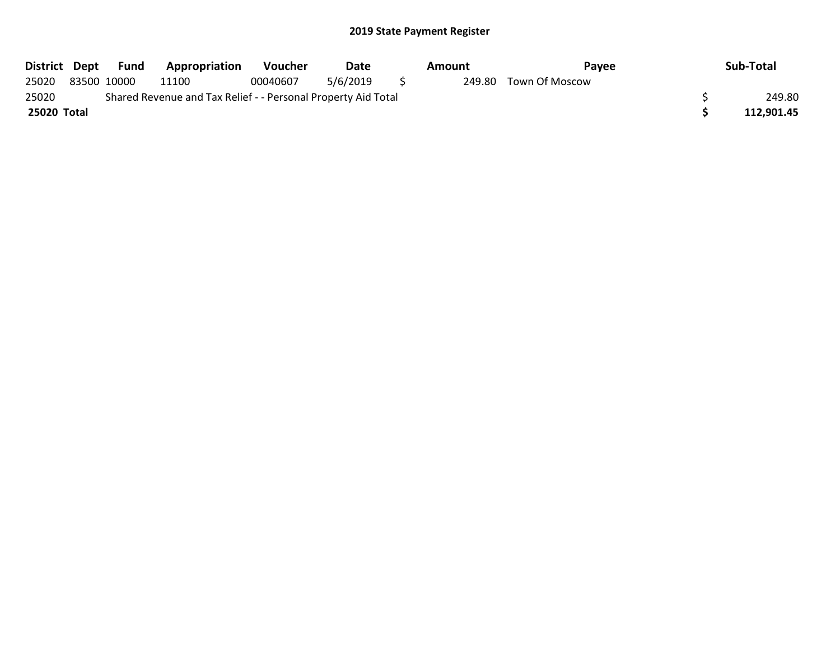| District Dept |                                                               | Fund        | <b>Appropriation</b> | <b>Voucher</b> | Date     |              | Amount | Pavee                 |  | Sub-Total  |
|---------------|---------------------------------------------------------------|-------------|----------------------|----------------|----------|--------------|--------|-----------------------|--|------------|
| 25020         |                                                               | 83500 10000 | 11100                | 00040607       | 5/6/2019 | $\mathbf{S}$ |        | 249.80 Town Of Moscow |  |            |
| 25020         | Shared Revenue and Tax Relief - - Personal Property Aid Total |             |                      |                |          |              |        |                       |  |            |
| 25020 Total   |                                                               |             |                      |                |          |              |        |                       |  | 112.901.45 |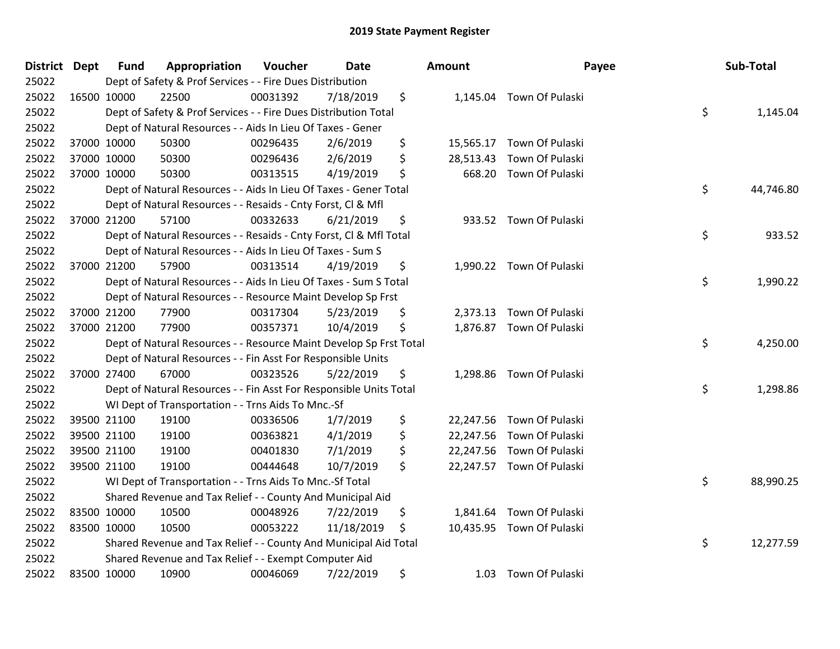| District Dept |             | <b>Fund</b> | Appropriation                                                      | Voucher  | <b>Date</b> | Amount          |                           | Payee | Sub-Total |
|---------------|-------------|-------------|--------------------------------------------------------------------|----------|-------------|-----------------|---------------------------|-------|-----------|
| 25022         |             |             | Dept of Safety & Prof Services - - Fire Dues Distribution          |          |             |                 |                           |       |           |
| 25022         | 16500 10000 |             | 22500                                                              | 00031392 | 7/18/2019   | \$              | 1,145.04 Town Of Pulaski  |       |           |
| 25022         |             |             | Dept of Safety & Prof Services - - Fire Dues Distribution Total    |          |             |                 |                           | \$    | 1,145.04  |
| 25022         |             |             | Dept of Natural Resources - - Aids In Lieu Of Taxes - Gener        |          |             |                 |                           |       |           |
| 25022         |             | 37000 10000 | 50300                                                              | 00296435 | 2/6/2019    | \$              | 15,565.17 Town Of Pulaski |       |           |
| 25022         |             | 37000 10000 | 50300                                                              | 00296436 | 2/6/2019    | \$<br>28,513.43 | Town Of Pulaski           |       |           |
| 25022         | 37000 10000 |             | 50300                                                              | 00313515 | 4/19/2019   | \$<br>668.20    | Town Of Pulaski           |       |           |
| 25022         |             |             | Dept of Natural Resources - - Aids In Lieu Of Taxes - Gener Total  |          |             |                 |                           | \$    | 44,746.80 |
| 25022         |             |             | Dept of Natural Resources - - Resaids - Cnty Forst, Cl & Mfl       |          |             |                 |                           |       |           |
| 25022         |             | 37000 21200 | 57100                                                              | 00332633 | 6/21/2019   | \$              | 933.52 Town Of Pulaski    |       |           |
| 25022         |             |             | Dept of Natural Resources - - Resaids - Cnty Forst, Cl & Mfl Total |          |             |                 |                           | \$    | 933.52    |
| 25022         |             |             | Dept of Natural Resources - - Aids In Lieu Of Taxes - Sum S        |          |             |                 |                           |       |           |
| 25022         |             | 37000 21200 | 57900                                                              | 00313514 | 4/19/2019   | \$              | 1,990.22 Town Of Pulaski  |       |           |
| 25022         |             |             | Dept of Natural Resources - - Aids In Lieu Of Taxes - Sum S Total  |          |             |                 |                           | \$    | 1,990.22  |
| 25022         |             |             | Dept of Natural Resources - - Resource Maint Develop Sp Frst       |          |             |                 |                           |       |           |
| 25022         |             | 37000 21200 | 77900                                                              | 00317304 | 5/23/2019   | \$              | 2,373.13 Town Of Pulaski  |       |           |
| 25022         | 37000 21200 |             | 77900                                                              | 00357371 | 10/4/2019   | \$              | 1,876.87 Town Of Pulaski  |       |           |
| 25022         |             |             | Dept of Natural Resources - - Resource Maint Develop Sp Frst Total |          |             |                 |                           | \$    | 4,250.00  |
| 25022         |             |             | Dept of Natural Resources - - Fin Asst For Responsible Units       |          |             |                 |                           |       |           |
| 25022         |             | 37000 27400 | 67000                                                              | 00323526 | 5/22/2019   | \$              | 1,298.86 Town Of Pulaski  |       |           |
| 25022         |             |             | Dept of Natural Resources - - Fin Asst For Responsible Units Total |          |             |                 |                           | \$    | 1,298.86  |
| 25022         |             |             | WI Dept of Transportation - - Trns Aids To Mnc.-Sf                 |          |             |                 |                           |       |           |
| 25022         |             | 39500 21100 | 19100                                                              | 00336506 | 1/7/2019    | \$              | 22,247.56 Town Of Pulaski |       |           |
| 25022         |             | 39500 21100 | 19100                                                              | 00363821 | 4/1/2019    | \$              | 22,247.56 Town Of Pulaski |       |           |
| 25022         |             | 39500 21100 | 19100                                                              | 00401830 | 7/1/2019    | \$              | 22,247.56 Town Of Pulaski |       |           |
| 25022         |             | 39500 21100 | 19100                                                              | 00444648 | 10/7/2019   | \$              | 22,247.57 Town Of Pulaski |       |           |
| 25022         |             |             | WI Dept of Transportation - - Trns Aids To Mnc.-Sf Total           |          |             |                 |                           | \$    | 88,990.25 |
| 25022         |             |             | Shared Revenue and Tax Relief - - County And Municipal Aid         |          |             |                 |                           |       |           |
| 25022         | 83500 10000 |             | 10500                                                              | 00048926 | 7/22/2019   | \$<br>1,841.64  | Town Of Pulaski           |       |           |
| 25022         | 83500 10000 |             | 10500                                                              | 00053222 | 11/18/2019  | \$              | 10,435.95 Town Of Pulaski |       |           |
| 25022         |             |             | Shared Revenue and Tax Relief - - County And Municipal Aid Total   |          |             |                 |                           | \$    | 12,277.59 |
| 25022         |             |             | Shared Revenue and Tax Relief - - Exempt Computer Aid              |          |             |                 |                           |       |           |
| 25022         | 83500 10000 |             | 10900                                                              | 00046069 | 7/22/2019   | \$<br>1.03      | Town Of Pulaski           |       |           |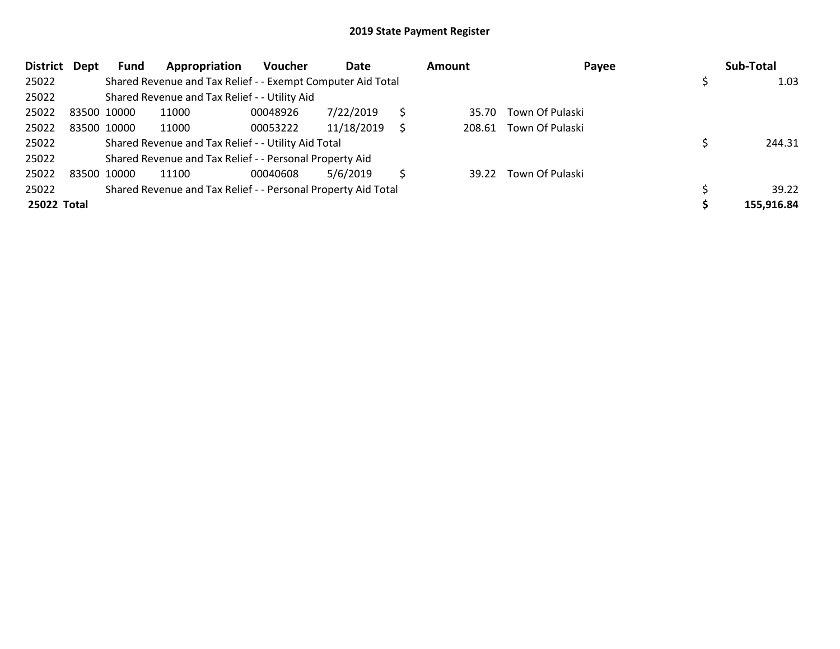| <b>District</b> | Dept        | Fund        | Appropriation                                                 | <b>Voucher</b> | Date       |   | Amount | Payee                 | Sub-Total  |
|-----------------|-------------|-------------|---------------------------------------------------------------|----------------|------------|---|--------|-----------------------|------------|
| 25022           |             |             | Shared Revenue and Tax Relief - - Exempt Computer Aid Total   |                |            |   |        |                       | 1.03       |
| 25022           |             |             | Shared Revenue and Tax Relief - - Utility Aid                 |                |            |   |        |                       |            |
| 25022           | 83500 10000 |             | 11000                                                         | 00048926       | 7/22/2019  |   | 35.70  | Town Of Pulaski       |            |
| 25022           |             | 83500 10000 | 11000                                                         | 00053222       | 11/18/2019 | S | 208.61 | Town Of Pulaski       |            |
| 25022           |             |             | Shared Revenue and Tax Relief - - Utility Aid Total           |                |            |   |        |                       | 244.31     |
| 25022           |             |             | Shared Revenue and Tax Relief - - Personal Property Aid       |                |            |   |        |                       |            |
| 25022           | 83500 10000 |             | 11100                                                         | 00040608       | 5/6/2019   |   |        | 39.22 Town Of Pulaski |            |
| 25022           |             |             | Shared Revenue and Tax Relief - - Personal Property Aid Total |                |            |   |        |                       | 39.22      |
| 25022 Total     |             |             |                                                               |                |            |   |        |                       | 155,916.84 |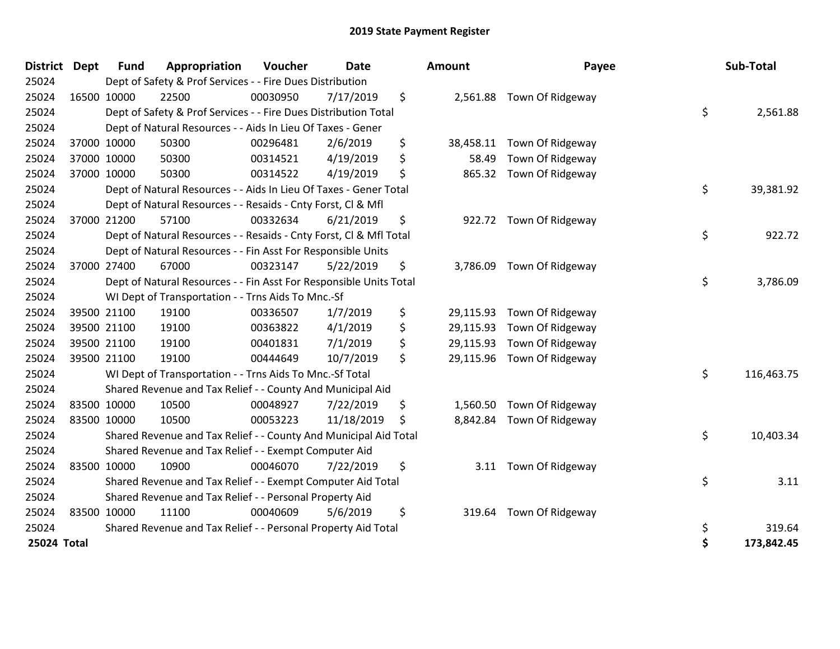| <b>District Dept</b> | <b>Fund</b> | Appropriation                                                      | Voucher  | <b>Date</b> |    | <b>Amount</b> | Payee                     | Sub-Total        |
|----------------------|-------------|--------------------------------------------------------------------|----------|-------------|----|---------------|---------------------------|------------------|
| 25024                |             | Dept of Safety & Prof Services - - Fire Dues Distribution          |          |             |    |               |                           |                  |
| 25024                | 16500 10000 | 22500                                                              | 00030950 | 7/17/2019   | \$ |               | 2,561.88 Town Of Ridgeway |                  |
| 25024                |             | Dept of Safety & Prof Services - - Fire Dues Distribution Total    |          |             |    |               |                           | \$<br>2,561.88   |
| 25024                |             | Dept of Natural Resources - - Aids In Lieu Of Taxes - Gener        |          |             |    |               |                           |                  |
| 25024                | 37000 10000 | 50300                                                              | 00296481 | 2/6/2019    | \$ | 38,458.11     | Town Of Ridgeway          |                  |
| 25024                | 37000 10000 | 50300                                                              | 00314521 | 4/19/2019   | \$ | 58.49         | Town Of Ridgeway          |                  |
| 25024                | 37000 10000 | 50300                                                              | 00314522 | 4/19/2019   | \$ | 865.32        | Town Of Ridgeway          |                  |
| 25024                |             | Dept of Natural Resources - - Aids In Lieu Of Taxes - Gener Total  |          |             |    |               |                           | \$<br>39,381.92  |
| 25024                |             | Dept of Natural Resources - - Resaids - Cnty Forst, Cl & Mfl       |          |             |    |               |                           |                  |
| 25024                | 37000 21200 | 57100                                                              | 00332634 | 6/21/2019   | \$ |               | 922.72 Town Of Ridgeway   |                  |
| 25024                |             | Dept of Natural Resources - - Resaids - Cnty Forst, Cl & Mfl Total |          |             |    |               |                           | \$<br>922.72     |
| 25024                |             | Dept of Natural Resources - - Fin Asst For Responsible Units       |          |             |    |               |                           |                  |
| 25024                | 37000 27400 | 67000                                                              | 00323147 | 5/22/2019   | \$ | 3,786.09      | Town Of Ridgeway          |                  |
| 25024                |             | Dept of Natural Resources - - Fin Asst For Responsible Units Total |          |             |    |               |                           | \$<br>3,786.09   |
| 25024                |             | WI Dept of Transportation - - Trns Aids To Mnc.-Sf                 |          |             |    |               |                           |                  |
| 25024                | 39500 21100 | 19100                                                              | 00336507 | 1/7/2019    | \$ | 29,115.93     | Town Of Ridgeway          |                  |
| 25024                | 39500 21100 | 19100                                                              | 00363822 | 4/1/2019    | \$ | 29,115.93     | Town Of Ridgeway          |                  |
| 25024                | 39500 21100 | 19100                                                              | 00401831 | 7/1/2019    | \$ | 29,115.93     | Town Of Ridgeway          |                  |
| 25024                | 39500 21100 | 19100                                                              | 00444649 | 10/7/2019   | \$ | 29,115.96     | Town Of Ridgeway          |                  |
| 25024                |             | WI Dept of Transportation - - Trns Aids To Mnc.-Sf Total           |          |             |    |               |                           | \$<br>116,463.75 |
| 25024                |             | Shared Revenue and Tax Relief - - County And Municipal Aid         |          |             |    |               |                           |                  |
| 25024                | 83500 10000 | 10500                                                              | 00048927 | 7/22/2019   | \$ | 1,560.50      | Town Of Ridgeway          |                  |
| 25024                | 83500 10000 | 10500                                                              | 00053223 | 11/18/2019  | Ŝ. | 8,842.84      | Town Of Ridgeway          |                  |
| 25024                |             | Shared Revenue and Tax Relief - - County And Municipal Aid Total   |          |             |    |               |                           | \$<br>10,403.34  |
| 25024                |             | Shared Revenue and Tax Relief - - Exempt Computer Aid              |          |             |    |               |                           |                  |
| 25024                | 83500 10000 | 10900                                                              | 00046070 | 7/22/2019   | \$ | 3.11          | Town Of Ridgeway          |                  |
| 25024                |             | Shared Revenue and Tax Relief - - Exempt Computer Aid Total        |          |             |    |               |                           | \$<br>3.11       |
| 25024                |             | Shared Revenue and Tax Relief - - Personal Property Aid            |          |             |    |               |                           |                  |
| 25024                | 83500 10000 | 11100                                                              | 00040609 | 5/6/2019    | \$ | 319.64        | Town Of Ridgeway          |                  |
| 25024                |             | Shared Revenue and Tax Relief - - Personal Property Aid Total      |          |             |    |               |                           | \$<br>319.64     |
| 25024 Total          |             |                                                                    |          |             |    |               |                           | \$<br>173,842.45 |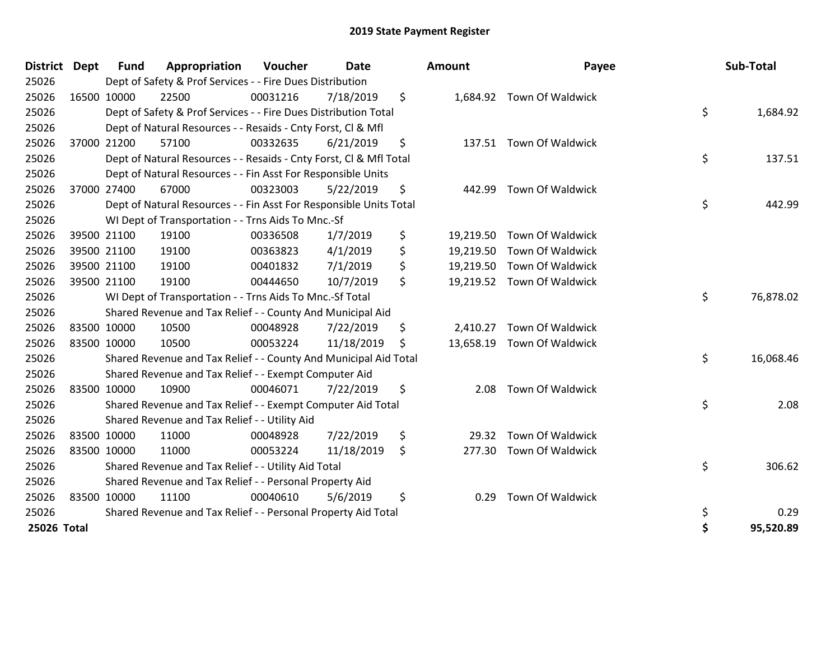| <b>District</b> | <b>Dept</b> | <b>Fund</b> | Appropriation                                                      | Voucher  | <b>Date</b> | <b>Amount</b>   | Payee                      | Sub-Total       |
|-----------------|-------------|-------------|--------------------------------------------------------------------|----------|-------------|-----------------|----------------------------|-----------------|
| 25026           |             |             | Dept of Safety & Prof Services - - Fire Dues Distribution          |          |             |                 |                            |                 |
| 25026           |             | 16500 10000 | 22500                                                              | 00031216 | 7/18/2019   | \$              | 1,684.92 Town Of Waldwick  |                 |
| 25026           |             |             | Dept of Safety & Prof Services - - Fire Dues Distribution Total    |          |             |                 |                            | \$<br>1,684.92  |
| 25026           |             |             | Dept of Natural Resources - - Resaids - Cnty Forst, CI & Mfl       |          |             |                 |                            |                 |
| 25026           |             | 37000 21200 | 57100                                                              | 00332635 | 6/21/2019   | \$              | 137.51 Town Of Waldwick    |                 |
| 25026           |             |             | Dept of Natural Resources - - Resaids - Cnty Forst, CI & Mfl Total |          |             |                 |                            | \$<br>137.51    |
| 25026           |             |             | Dept of Natural Resources - - Fin Asst For Responsible Units       |          |             |                 |                            |                 |
| 25026           |             | 37000 27400 | 67000                                                              | 00323003 | 5/22/2019   | \$<br>442.99    | Town Of Waldwick           |                 |
| 25026           |             |             | Dept of Natural Resources - - Fin Asst For Responsible Units Total |          |             |                 |                            | \$<br>442.99    |
| 25026           |             |             | WI Dept of Transportation - - Trns Aids To Mnc.-Sf                 |          |             |                 |                            |                 |
| 25026           |             | 39500 21100 | 19100                                                              | 00336508 | 1/7/2019    | \$              | 19,219.50 Town Of Waldwick |                 |
| 25026           |             | 39500 21100 | 19100                                                              | 00363823 | 4/1/2019    | \$<br>19,219.50 | Town Of Waldwick           |                 |
| 25026           |             | 39500 21100 | 19100                                                              | 00401832 | 7/1/2019    | \$              | 19,219.50 Town Of Waldwick |                 |
| 25026           |             | 39500 21100 | 19100                                                              | 00444650 | 10/7/2019   | \$              | 19,219.52 Town Of Waldwick |                 |
| 25026           |             |             | WI Dept of Transportation - - Trns Aids To Mnc.-Sf Total           |          |             |                 |                            | \$<br>76,878.02 |
| 25026           |             |             | Shared Revenue and Tax Relief - - County And Municipal Aid         |          |             |                 |                            |                 |
| 25026           |             | 83500 10000 | 10500                                                              | 00048928 | 7/22/2019   | \$<br>2,410.27  | Town Of Waldwick           |                 |
| 25026           |             | 83500 10000 | 10500                                                              | 00053224 | 11/18/2019  | \$              | 13,658.19 Town Of Waldwick |                 |
| 25026           |             |             | Shared Revenue and Tax Relief - - County And Municipal Aid Total   |          |             |                 |                            | \$<br>16,068.46 |
| 25026           |             |             | Shared Revenue and Tax Relief - - Exempt Computer Aid              |          |             |                 |                            |                 |
| 25026           |             | 83500 10000 | 10900                                                              | 00046071 | 7/22/2019   | \$<br>2.08      | Town Of Waldwick           |                 |
| 25026           |             |             | Shared Revenue and Tax Relief - - Exempt Computer Aid Total        |          |             |                 |                            | \$<br>2.08      |
| 25026           |             |             | Shared Revenue and Tax Relief - - Utility Aid                      |          |             |                 |                            |                 |
| 25026           |             | 83500 10000 | 11000                                                              | 00048928 | 7/22/2019   | \$<br>29.32     | Town Of Waldwick           |                 |
| 25026           |             | 83500 10000 | 11000                                                              | 00053224 | 11/18/2019  | \$<br>277.30    | Town Of Waldwick           |                 |
| 25026           |             |             | Shared Revenue and Tax Relief - - Utility Aid Total                |          |             |                 |                            | \$<br>306.62    |
| 25026           |             |             | Shared Revenue and Tax Relief - - Personal Property Aid            |          |             |                 |                            |                 |
| 25026           |             | 83500 10000 | 11100                                                              | 00040610 | 5/6/2019    | \$<br>0.29      | Town Of Waldwick           |                 |
| 25026           |             |             | Shared Revenue and Tax Relief - - Personal Property Aid Total      |          |             |                 |                            | \$<br>0.29      |
| 25026 Total     |             |             |                                                                    |          |             |                 |                            | \$<br>95,520.89 |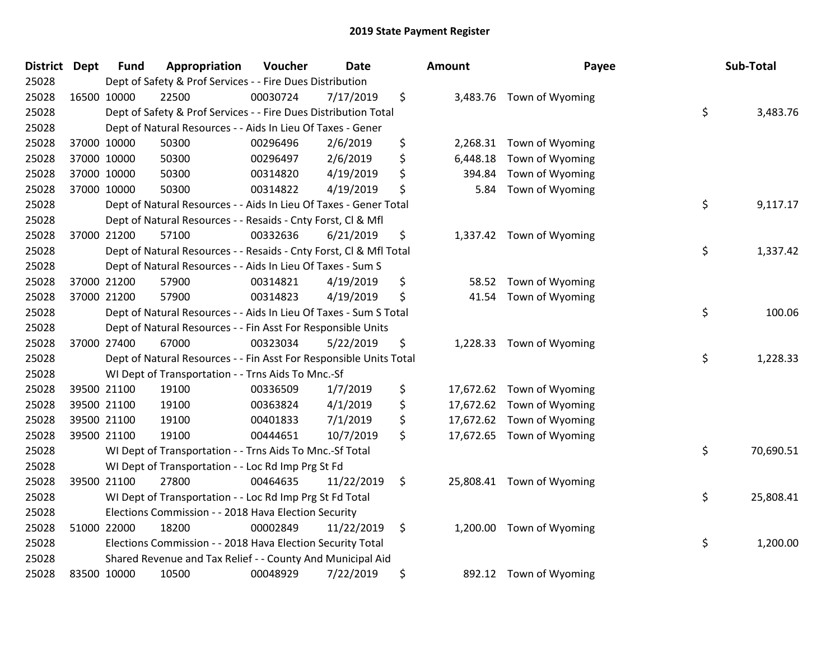| <b>District</b> | <b>Dept</b> | <b>Fund</b> | Appropriation                                                      | Voucher  | <b>Date</b> | Amount         | Payee                     | Sub-Total       |
|-----------------|-------------|-------------|--------------------------------------------------------------------|----------|-------------|----------------|---------------------------|-----------------|
| 25028           |             |             | Dept of Safety & Prof Services - - Fire Dues Distribution          |          |             |                |                           |                 |
| 25028           |             | 16500 10000 | 22500                                                              | 00030724 | 7/17/2019   | \$             | 3,483.76 Town of Wyoming  |                 |
| 25028           |             |             | Dept of Safety & Prof Services - - Fire Dues Distribution Total    |          |             |                |                           | \$<br>3,483.76  |
| 25028           |             |             | Dept of Natural Resources - - Aids In Lieu Of Taxes - Gener        |          |             |                |                           |                 |
| 25028           |             | 37000 10000 | 50300                                                              | 00296496 | 2/6/2019    | \$<br>2,268.31 | Town of Wyoming           |                 |
| 25028           |             | 37000 10000 | 50300                                                              | 00296497 | 2/6/2019    | \$<br>6,448.18 | Town of Wyoming           |                 |
| 25028           |             | 37000 10000 | 50300                                                              | 00314820 | 4/19/2019   | \$<br>394.84   | Town of Wyoming           |                 |
| 25028           |             | 37000 10000 | 50300                                                              | 00314822 | 4/19/2019   | \$<br>5.84     | Town of Wyoming           |                 |
| 25028           |             |             | Dept of Natural Resources - - Aids In Lieu Of Taxes - Gener Total  |          |             |                |                           | \$<br>9,117.17  |
| 25028           |             |             | Dept of Natural Resources - - Resaids - Cnty Forst, CI & Mfl       |          |             |                |                           |                 |
| 25028           |             | 37000 21200 | 57100                                                              | 00332636 | 6/21/2019   | \$             | 1,337.42 Town of Wyoming  |                 |
| 25028           |             |             | Dept of Natural Resources - - Resaids - Cnty Forst, Cl & Mfl Total |          |             |                |                           | \$<br>1,337.42  |
| 25028           |             |             | Dept of Natural Resources - - Aids In Lieu Of Taxes - Sum S        |          |             |                |                           |                 |
| 25028           |             | 37000 21200 | 57900                                                              | 00314821 | 4/19/2019   | \$             | 58.52 Town of Wyoming     |                 |
| 25028           |             | 37000 21200 | 57900                                                              | 00314823 | 4/19/2019   | \$<br>41.54    | Town of Wyoming           |                 |
| 25028           |             |             | Dept of Natural Resources - - Aids In Lieu Of Taxes - Sum S Total  |          |             |                |                           | \$<br>100.06    |
| 25028           |             |             | Dept of Natural Resources - - Fin Asst For Responsible Units       |          |             |                |                           |                 |
| 25028           |             | 37000 27400 | 67000                                                              | 00323034 | 5/22/2019   | \$<br>1,228.33 | Town of Wyoming           |                 |
| 25028           |             |             | Dept of Natural Resources - - Fin Asst For Responsible Units Total |          |             |                |                           | \$<br>1,228.33  |
| 25028           |             |             | WI Dept of Transportation - - Trns Aids To Mnc.-Sf                 |          |             |                |                           |                 |
| 25028           |             | 39500 21100 | 19100                                                              | 00336509 | 1/7/2019    | \$             | 17,672.62 Town of Wyoming |                 |
| 25028           |             | 39500 21100 | 19100                                                              | 00363824 | 4/1/2019    | \$             | 17,672.62 Town of Wyoming |                 |
| 25028           |             | 39500 21100 | 19100                                                              | 00401833 | 7/1/2019    | \$             | 17,672.62 Town of Wyoming |                 |
| 25028           |             | 39500 21100 | 19100                                                              | 00444651 | 10/7/2019   | \$             | 17,672.65 Town of Wyoming |                 |
| 25028           |             |             | WI Dept of Transportation - - Trns Aids To Mnc.-Sf Total           |          |             |                |                           | \$<br>70,690.51 |
| 25028           |             |             | WI Dept of Transportation - - Loc Rd Imp Prg St Fd                 |          |             |                |                           |                 |
| 25028           |             | 39500 21100 | 27800                                                              | 00464635 | 11/22/2019  | \$             | 25,808.41 Town of Wyoming |                 |
| 25028           |             |             | WI Dept of Transportation - - Loc Rd Imp Prg St Fd Total           |          |             |                |                           | \$<br>25,808.41 |
| 25028           |             |             | Elections Commission - - 2018 Hava Election Security               |          |             |                |                           |                 |
| 25028           |             | 51000 22000 | 18200                                                              | 00002849 | 11/22/2019  | \$<br>1,200.00 | Town of Wyoming           |                 |
| 25028           |             |             | Elections Commission - - 2018 Hava Election Security Total         |          |             |                |                           | \$<br>1,200.00  |
| 25028           |             |             | Shared Revenue and Tax Relief - - County And Municipal Aid         |          |             |                |                           |                 |
| 25028           |             | 83500 10000 | 10500                                                              | 00048929 | 7/22/2019   | \$             | 892.12 Town of Wyoming    |                 |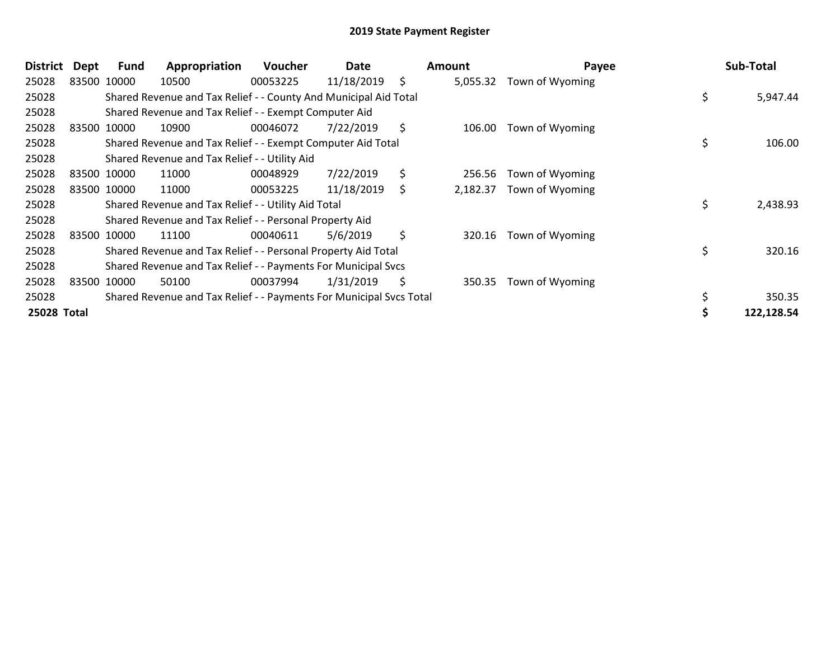| <b>District</b> | Dept        | <b>Fund</b> | Appropriation                                                       | Voucher  | Date       |     | Amount   | Payee           | Sub-Total      |
|-----------------|-------------|-------------|---------------------------------------------------------------------|----------|------------|-----|----------|-----------------|----------------|
| 25028           | 83500 10000 |             | 10500                                                               | 00053225 | 11/18/2019 | \$  | 5,055.32 | Town of Wyoming |                |
| 25028           |             |             | Shared Revenue and Tax Relief - - County And Municipal Aid Total    |          |            |     |          |                 | \$<br>5,947.44 |
| 25028           |             |             | Shared Revenue and Tax Relief - - Exempt Computer Aid               |          |            |     |          |                 |                |
| 25028           |             | 83500 10000 | 10900                                                               | 00046072 | 7/22/2019  | \$  | 106.00   | Town of Wyoming |                |
| 25028           |             |             | Shared Revenue and Tax Relief - - Exempt Computer Aid Total         |          |            |     |          |                 | \$<br>106.00   |
| 25028           |             |             | Shared Revenue and Tax Relief - - Utility Aid                       |          |            |     |          |                 |                |
| 25028           |             | 83500 10000 | 11000                                                               | 00048929 | 7/22/2019  | \$  | 256.56   | Town of Wyoming |                |
| 25028           |             | 83500 10000 | 11000                                                               | 00053225 | 11/18/2019 | \$. | 2,182.37 | Town of Wyoming |                |
| 25028           |             |             | Shared Revenue and Tax Relief - - Utility Aid Total                 |          |            |     |          |                 | \$<br>2,438.93 |
| 25028           |             |             | Shared Revenue and Tax Relief - - Personal Property Aid             |          |            |     |          |                 |                |
| 25028           |             | 83500 10000 | 11100                                                               | 00040611 | 5/6/2019   | \$  | 320.16   | Town of Wyoming |                |
| 25028           |             |             | Shared Revenue and Tax Relief - - Personal Property Aid Total       |          |            |     |          |                 | \$<br>320.16   |
| 25028           |             |             | Shared Revenue and Tax Relief - - Payments For Municipal Svcs       |          |            |     |          |                 |                |
| 25028           |             | 83500 10000 | 50100                                                               | 00037994 | 1/31/2019  | \$  | 350.35   | Town of Wyoming |                |
| 25028           |             |             | Shared Revenue and Tax Relief - - Payments For Municipal Svcs Total |          |            |     |          |                 | 350.35         |
| 25028 Total     |             |             |                                                                     |          |            |     |          |                 | 122,128.54     |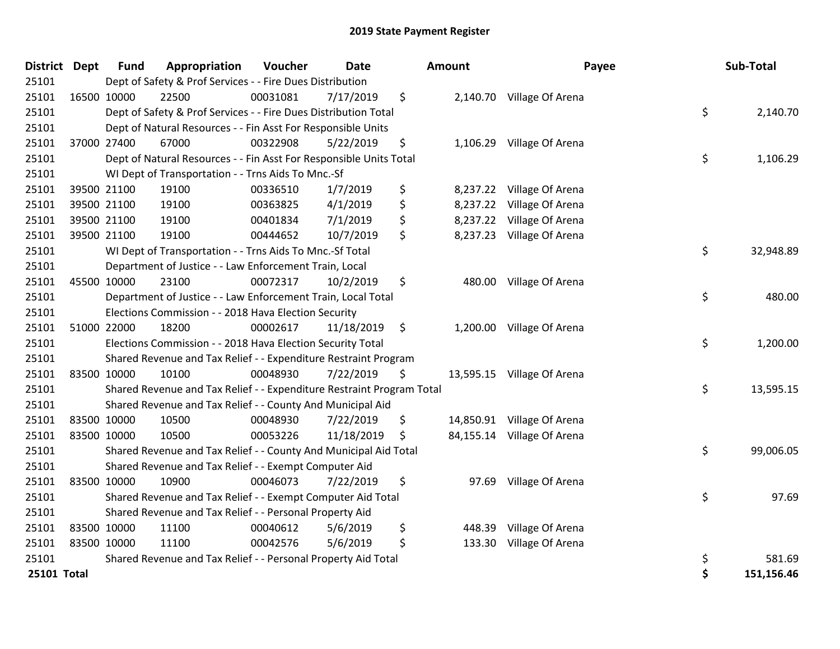| <b>District Dept</b> |             | <b>Fund</b> | Appropriation                                                         | <b>Voucher</b> | <b>Date</b> |     | Amount   | Payee                      | Sub-Total        |
|----------------------|-------------|-------------|-----------------------------------------------------------------------|----------------|-------------|-----|----------|----------------------------|------------------|
| 25101                |             |             | Dept of Safety & Prof Services - - Fire Dues Distribution             |                |             |     |          |                            |                  |
| 25101                | 16500 10000 |             | 22500                                                                 | 00031081       | 7/17/2019   | \$  |          | 2,140.70 Village Of Arena  |                  |
| 25101                |             |             | Dept of Safety & Prof Services - - Fire Dues Distribution Total       |                |             |     |          |                            | \$<br>2,140.70   |
| 25101                |             |             | Dept of Natural Resources - - Fin Asst For Responsible Units          |                |             |     |          |                            |                  |
| 25101                |             | 37000 27400 | 67000                                                                 | 00322908       | 5/22/2019   | \$  |          | 1,106.29 Village Of Arena  |                  |
| 25101                |             |             | Dept of Natural Resources - - Fin Asst For Responsible Units Total    |                |             |     |          |                            | \$<br>1,106.29   |
| 25101                |             |             | WI Dept of Transportation - - Trns Aids To Mnc.-Sf                    |                |             |     |          |                            |                  |
| 25101                |             | 39500 21100 | 19100                                                                 | 00336510       | 1/7/2019    | \$  |          | 8,237.22 Village Of Arena  |                  |
| 25101                |             | 39500 21100 | 19100                                                                 | 00363825       | 4/1/2019    | \$  | 8,237.22 | Village Of Arena           |                  |
| 25101                |             | 39500 21100 | 19100                                                                 | 00401834       | 7/1/2019    | \$  | 8,237.22 | Village Of Arena           |                  |
| 25101                |             | 39500 21100 | 19100                                                                 | 00444652       | 10/7/2019   | \$  |          | 8,237.23 Village Of Arena  |                  |
| 25101                |             |             | WI Dept of Transportation - - Trns Aids To Mnc.-Sf Total              |                |             |     |          |                            | \$<br>32,948.89  |
| 25101                |             |             | Department of Justice - - Law Enforcement Train, Local                |                |             |     |          |                            |                  |
| 25101                |             | 45500 10000 | 23100                                                                 | 00072317       | 10/2/2019   | \$  |          | 480.00 Village Of Arena    |                  |
| 25101                |             |             | Department of Justice - - Law Enforcement Train, Local Total          |                |             |     |          |                            | \$<br>480.00     |
| 25101                |             |             | Elections Commission - - 2018 Hava Election Security                  |                |             |     |          |                            |                  |
| 25101                |             | 51000 22000 | 18200                                                                 | 00002617       | 11/18/2019  | \$  |          | 1,200.00 Village Of Arena  |                  |
| 25101                |             |             | Elections Commission - - 2018 Hava Election Security Total            |                |             |     |          |                            | \$<br>1,200.00   |
| 25101                |             |             | Shared Revenue and Tax Relief - - Expenditure Restraint Program       |                |             |     |          |                            |                  |
| 25101                | 83500 10000 |             | 10100                                                                 | 00048930       | 7/22/2019   | \$. |          | 13,595.15 Village Of Arena |                  |
| 25101                |             |             | Shared Revenue and Tax Relief - - Expenditure Restraint Program Total |                |             |     |          |                            | \$<br>13,595.15  |
| 25101                |             |             | Shared Revenue and Tax Relief - - County And Municipal Aid            |                |             |     |          |                            |                  |
| 25101                |             | 83500 10000 | 10500                                                                 | 00048930       | 7/22/2019   | \$  |          | 14,850.91 Village Of Arena |                  |
| 25101                | 83500 10000 |             | 10500                                                                 | 00053226       | 11/18/2019  | \$  |          | 84,155.14 Village Of Arena |                  |
| 25101                |             |             | Shared Revenue and Tax Relief - - County And Municipal Aid Total      |                |             |     |          |                            | \$<br>99,006.05  |
| 25101                |             |             | Shared Revenue and Tax Relief - - Exempt Computer Aid                 |                |             |     |          |                            |                  |
| 25101                |             | 83500 10000 | 10900                                                                 | 00046073       | 7/22/2019   | \$  | 97.69    | Village Of Arena           |                  |
| 25101                |             |             | Shared Revenue and Tax Relief - - Exempt Computer Aid Total           |                |             |     |          |                            | \$<br>97.69      |
| 25101                |             |             | Shared Revenue and Tax Relief - - Personal Property Aid               |                |             |     |          |                            |                  |
| 25101                | 83500 10000 |             | 11100                                                                 | 00040612       | 5/6/2019    | \$  | 448.39   | Village Of Arena           |                  |
| 25101                |             | 83500 10000 | 11100                                                                 | 00042576       | 5/6/2019    | \$  | 133.30   | Village Of Arena           |                  |
| 25101                |             |             | Shared Revenue and Tax Relief - - Personal Property Aid Total         |                |             |     |          |                            | \$<br>581.69     |
| 25101 Total          |             |             |                                                                       |                |             |     |          |                            | \$<br>151,156.46 |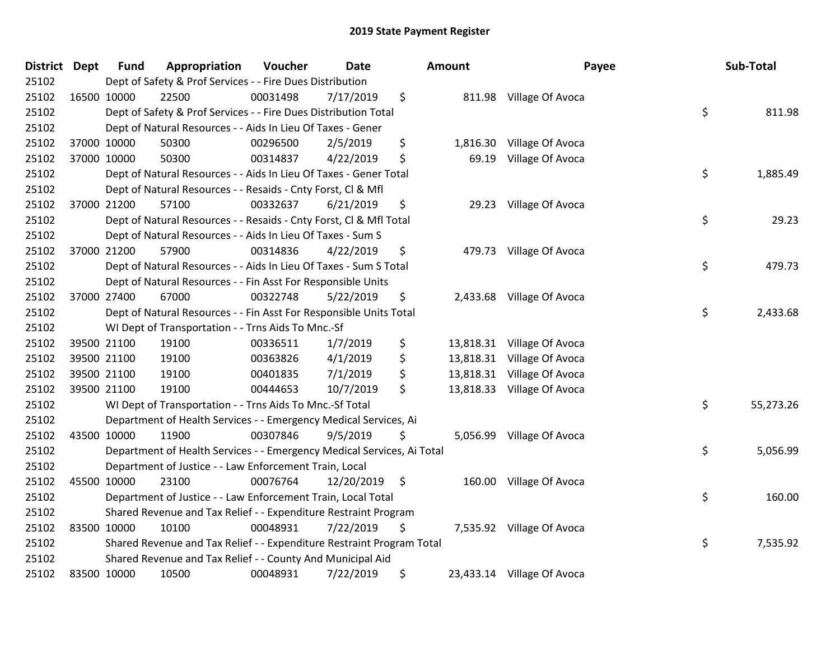| <b>District Dept</b> |             | <b>Fund</b> | Appropriation                                                          | Voucher  | <b>Date</b> |                    | <b>Amount</b> | Payee                      | Sub-Total       |
|----------------------|-------------|-------------|------------------------------------------------------------------------|----------|-------------|--------------------|---------------|----------------------------|-----------------|
| 25102                |             |             | Dept of Safety & Prof Services - - Fire Dues Distribution              |          |             |                    |               |                            |                 |
| 25102                |             | 16500 10000 | 22500                                                                  | 00031498 | 7/17/2019   | \$                 |               | 811.98 Village Of Avoca    |                 |
| 25102                |             |             | Dept of Safety & Prof Services - - Fire Dues Distribution Total        |          |             |                    |               |                            | \$<br>811.98    |
| 25102                |             |             | Dept of Natural Resources - - Aids In Lieu Of Taxes - Gener            |          |             |                    |               |                            |                 |
| 25102                |             | 37000 10000 | 50300                                                                  | 00296500 | 2/5/2019    | \$                 | 1,816.30      | Village Of Avoca           |                 |
| 25102                |             | 37000 10000 | 50300                                                                  | 00314837 | 4/22/2019   | \$                 | 69.19         | Village Of Avoca           |                 |
| 25102                |             |             | Dept of Natural Resources - - Aids In Lieu Of Taxes - Gener Total      |          |             |                    |               |                            | \$<br>1,885.49  |
| 25102                |             |             | Dept of Natural Resources - - Resaids - Cnty Forst, Cl & Mfl           |          |             |                    |               |                            |                 |
| 25102                |             | 37000 21200 | 57100                                                                  | 00332637 | 6/21/2019   | \$                 |               | 29.23 Village Of Avoca     |                 |
| 25102                |             |             | Dept of Natural Resources - - Resaids - Cnty Forst, CI & Mfl Total     |          |             |                    |               |                            | \$<br>29.23     |
| 25102                |             |             | Dept of Natural Resources - - Aids In Lieu Of Taxes - Sum S            |          |             |                    |               |                            |                 |
| 25102                |             | 37000 21200 | 57900                                                                  | 00314836 | 4/22/2019   | \$                 |               | 479.73 Village Of Avoca    |                 |
| 25102                |             |             | Dept of Natural Resources - - Aids In Lieu Of Taxes - Sum S Total      |          |             |                    |               |                            | \$<br>479.73    |
| 25102                |             |             | Dept of Natural Resources - - Fin Asst For Responsible Units           |          |             |                    |               |                            |                 |
| 25102                |             | 37000 27400 | 67000                                                                  | 00322748 | 5/22/2019   | \$                 | 2,433.68      | Village Of Avoca           |                 |
| 25102                |             |             | Dept of Natural Resources - - Fin Asst For Responsible Units Total     |          |             |                    |               |                            | \$<br>2,433.68  |
| 25102                |             |             | WI Dept of Transportation - - Trns Aids To Mnc.-Sf                     |          |             |                    |               |                            |                 |
| 25102                |             | 39500 21100 | 19100                                                                  | 00336511 | 1/7/2019    | \$                 |               | 13,818.31 Village Of Avoca |                 |
| 25102                |             | 39500 21100 | 19100                                                                  | 00363826 | 4/1/2019    | \$                 | 13,818.31     | Village Of Avoca           |                 |
| 25102                |             | 39500 21100 | 19100                                                                  | 00401835 | 7/1/2019    | \$                 | 13,818.31     | Village Of Avoca           |                 |
| 25102                |             | 39500 21100 | 19100                                                                  | 00444653 | 10/7/2019   | \$                 | 13,818.33     | Village Of Avoca           |                 |
| 25102                |             |             | WI Dept of Transportation - - Trns Aids To Mnc.-Sf Total               |          |             |                    |               |                            | \$<br>55,273.26 |
| 25102                |             |             | Department of Health Services - - Emergency Medical Services, Ai       |          |             |                    |               |                            |                 |
| 25102                |             | 43500 10000 | 11900                                                                  | 00307846 | 9/5/2019    | \$                 | 5,056.99      | Village Of Avoca           |                 |
| 25102                |             |             | Department of Health Services - - Emergency Medical Services, Ai Total |          |             |                    |               |                            | \$<br>5,056.99  |
| 25102                |             |             | Department of Justice - - Law Enforcement Train, Local                 |          |             |                    |               |                            |                 |
| 25102                |             | 45500 10000 | 23100                                                                  | 00076764 | 12/20/2019  | $\ddot{\varsigma}$ | 160.00        | Village Of Avoca           |                 |
| 25102                |             |             | Department of Justice - - Law Enforcement Train, Local Total           |          |             |                    |               |                            | \$<br>160.00    |
| 25102                |             |             | Shared Revenue and Tax Relief - - Expenditure Restraint Program        |          |             |                    |               |                            |                 |
| 25102                | 83500 10000 |             | 10100                                                                  | 00048931 | 7/22/2019   | S                  |               | 7,535.92 Village Of Avoca  |                 |
| 25102                |             |             | Shared Revenue and Tax Relief - - Expenditure Restraint Program Total  |          |             |                    |               |                            | \$<br>7,535.92  |
| 25102                |             |             | Shared Revenue and Tax Relief - - County And Municipal Aid             |          |             |                    |               |                            |                 |
| 25102                | 83500 10000 |             | 10500                                                                  | 00048931 | 7/22/2019   | \$                 |               | 23,433.14 Village Of Avoca |                 |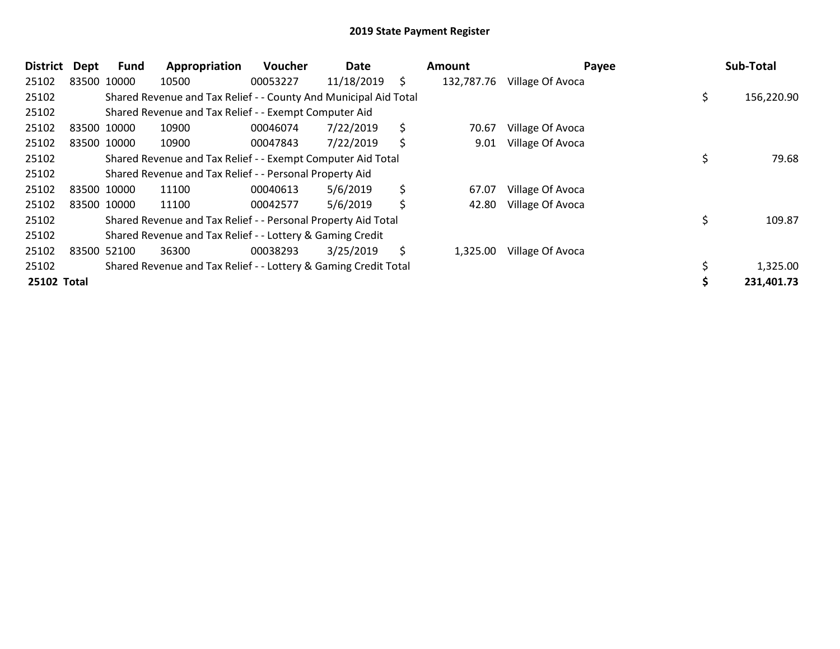| <b>District</b> | <b>Dept</b> | <b>Fund</b> | Appropriation                                                    | Voucher  | Date       |     | Amount     | Payee            | Sub-Total        |
|-----------------|-------------|-------------|------------------------------------------------------------------|----------|------------|-----|------------|------------------|------------------|
| 25102           |             | 83500 10000 | 10500                                                            | 00053227 | 11/18/2019 | \$. | 132,787.76 | Village Of Avoca |                  |
| 25102           |             |             | Shared Revenue and Tax Relief - - County And Municipal Aid Total |          |            |     |            |                  | \$<br>156,220.90 |
| 25102           |             |             | Shared Revenue and Tax Relief - - Exempt Computer Aid            |          |            |     |            |                  |                  |
| 25102           |             | 83500 10000 | 10900                                                            | 00046074 | 7/22/2019  | \$  | 70.67      | Village Of Avoca |                  |
| 25102           |             | 83500 10000 | 10900                                                            | 00047843 | 7/22/2019  | \$  | 9.01       | Village Of Avoca |                  |
| 25102           |             |             | Shared Revenue and Tax Relief - - Exempt Computer Aid Total      |          |            |     |            |                  | 79.68            |
| 25102           |             |             | Shared Revenue and Tax Relief - - Personal Property Aid          |          |            |     |            |                  |                  |
| 25102           |             | 83500 10000 | 11100                                                            | 00040613 | 5/6/2019   | \$  | 67.07      | Village Of Avoca |                  |
| 25102           |             | 83500 10000 | 11100                                                            | 00042577 | 5/6/2019   | \$  | 42.80      | Village Of Avoca |                  |
| 25102           |             |             | Shared Revenue and Tax Relief - - Personal Property Aid Total    |          |            |     |            |                  | \$<br>109.87     |
| 25102           |             |             | Shared Revenue and Tax Relief - - Lottery & Gaming Credit        |          |            |     |            |                  |                  |
| 25102           |             | 83500 52100 | 36300                                                            | 00038293 | 3/25/2019  | \$  | 1,325.00   | Village Of Avoca |                  |
| 25102           |             |             | Shared Revenue and Tax Relief - - Lottery & Gaming Credit Total  |          |            |     |            |                  | 1,325.00         |
| 25102 Total     |             |             |                                                                  |          |            |     |            |                  | 231,401.73       |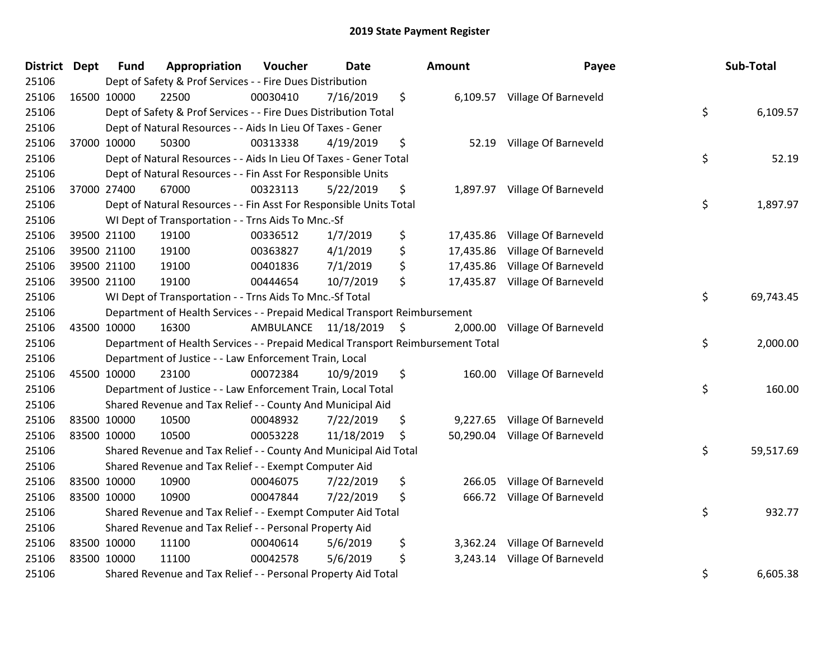| <b>District Dept</b> |             | <b>Fund</b> | Appropriation                                                                   | Voucher   | <b>Date</b> |         | Amount    | Payee                          | Sub-Total       |
|----------------------|-------------|-------------|---------------------------------------------------------------------------------|-----------|-------------|---------|-----------|--------------------------------|-----------------|
| 25106                |             |             | Dept of Safety & Prof Services - - Fire Dues Distribution                       |           |             |         |           |                                |                 |
| 25106                | 16500 10000 |             | 22500                                                                           | 00030410  | 7/16/2019   | \$      |           | 6,109.57 Village Of Barneveld  |                 |
| 25106                |             |             | Dept of Safety & Prof Services - - Fire Dues Distribution Total                 |           |             |         |           |                                | \$<br>6,109.57  |
| 25106                |             |             | Dept of Natural Resources - - Aids In Lieu Of Taxes - Gener                     |           |             |         |           |                                |                 |
| 25106                |             | 37000 10000 | 50300                                                                           | 00313338  | 4/19/2019   | \$      | 52.19     | Village Of Barneveld           |                 |
| 25106                |             |             | Dept of Natural Resources - - Aids In Lieu Of Taxes - Gener Total               |           |             |         |           |                                | \$<br>52.19     |
| 25106                |             |             | Dept of Natural Resources - - Fin Asst For Responsible Units                    |           |             |         |           |                                |                 |
| 25106                |             | 37000 27400 | 67000                                                                           | 00323113  | 5/22/2019   | \$      |           | 1,897.97 Village Of Barneveld  |                 |
| 25106                |             |             | Dept of Natural Resources - - Fin Asst For Responsible Units Total              |           |             |         |           |                                | \$<br>1,897.97  |
| 25106                |             |             | WI Dept of Transportation - - Trns Aids To Mnc.-Sf                              |           |             |         |           |                                |                 |
| 25106                |             | 39500 21100 | 19100                                                                           | 00336512  | 1/7/2019    | \$      | 17,435.86 | Village Of Barneveld           |                 |
| 25106                |             | 39500 21100 | 19100                                                                           | 00363827  | 4/1/2019    | \$      | 17,435.86 | Village Of Barneveld           |                 |
| 25106                |             | 39500 21100 | 19100                                                                           | 00401836  | 7/1/2019    | \$      |           | 17,435.86 Village Of Barneveld |                 |
| 25106                |             | 39500 21100 | 19100                                                                           | 00444654  | 10/7/2019   | \$      | 17,435.87 | Village Of Barneveld           |                 |
| 25106                |             |             | WI Dept of Transportation - - Trns Aids To Mnc.-Sf Total                        |           |             |         |           |                                | \$<br>69,743.45 |
| 25106                |             |             | Department of Health Services - - Prepaid Medical Transport Reimbursement       |           |             |         |           |                                |                 |
| 25106                |             | 43500 10000 | 16300                                                                           | AMBULANCE | 11/18/2019  | $\zeta$ | 2,000.00  | Village Of Barneveld           |                 |
| 25106                |             |             | Department of Health Services - - Prepaid Medical Transport Reimbursement Total |           |             |         |           |                                | \$<br>2,000.00  |
| 25106                |             |             | Department of Justice - - Law Enforcement Train, Local                          |           |             |         |           |                                |                 |
| 25106                |             | 45500 10000 | 23100                                                                           | 00072384  | 10/9/2019   | \$      | 160.00    | Village Of Barneveld           |                 |
| 25106                |             |             | Department of Justice - - Law Enforcement Train, Local Total                    |           |             |         |           |                                | \$<br>160.00    |
| 25106                |             |             | Shared Revenue and Tax Relief - - County And Municipal Aid                      |           |             |         |           |                                |                 |
| 25106                | 83500 10000 |             | 10500                                                                           | 00048932  | 7/22/2019   | \$      | 9,227.65  | Village Of Barneveld           |                 |
| 25106                | 83500 10000 |             | 10500                                                                           | 00053228  | 11/18/2019  | \$      |           | 50,290.04 Village Of Barneveld |                 |
| 25106                |             |             | Shared Revenue and Tax Relief - - County And Municipal Aid Total                |           |             |         |           |                                | \$<br>59,517.69 |
| 25106                |             |             | Shared Revenue and Tax Relief - - Exempt Computer Aid                           |           |             |         |           |                                |                 |
| 25106                |             | 83500 10000 | 10900                                                                           | 00046075  | 7/22/2019   | \$      | 266.05    | Village Of Barneveld           |                 |
| 25106                | 83500 10000 |             | 10900                                                                           | 00047844  | 7/22/2019   | \$      | 666.72    | Village Of Barneveld           |                 |
| 25106                |             |             | Shared Revenue and Tax Relief - - Exempt Computer Aid Total                     |           |             |         |           |                                | \$<br>932.77    |
| 25106                |             |             | Shared Revenue and Tax Relief - - Personal Property Aid                         |           |             |         |           |                                |                 |
| 25106                | 83500 10000 |             | 11100                                                                           | 00040614  | 5/6/2019    | \$      | 3,362.24  | Village Of Barneveld           |                 |
| 25106                | 83500 10000 |             | 11100                                                                           | 00042578  | 5/6/2019    | \$      | 3,243.14  | Village Of Barneveld           |                 |
| 25106                |             |             | Shared Revenue and Tax Relief - - Personal Property Aid Total                   |           |             |         |           |                                | \$<br>6,605.38  |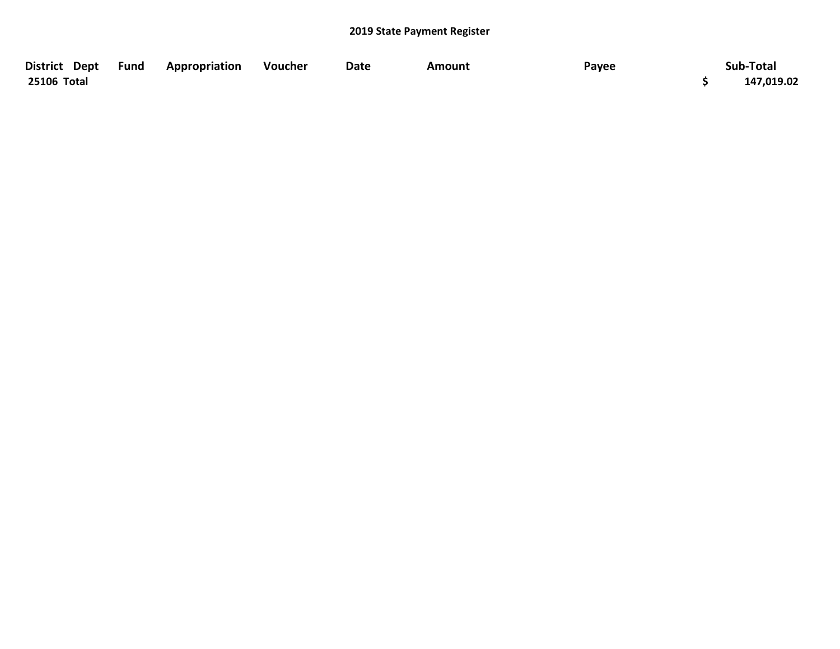| District Dept Fund | Appropriation | Voucher | Date | Amount | Payee | Sub-Total  |
|--------------------|---------------|---------|------|--------|-------|------------|
| 25106 Total        |               |         |      |        |       | 147,019.02 |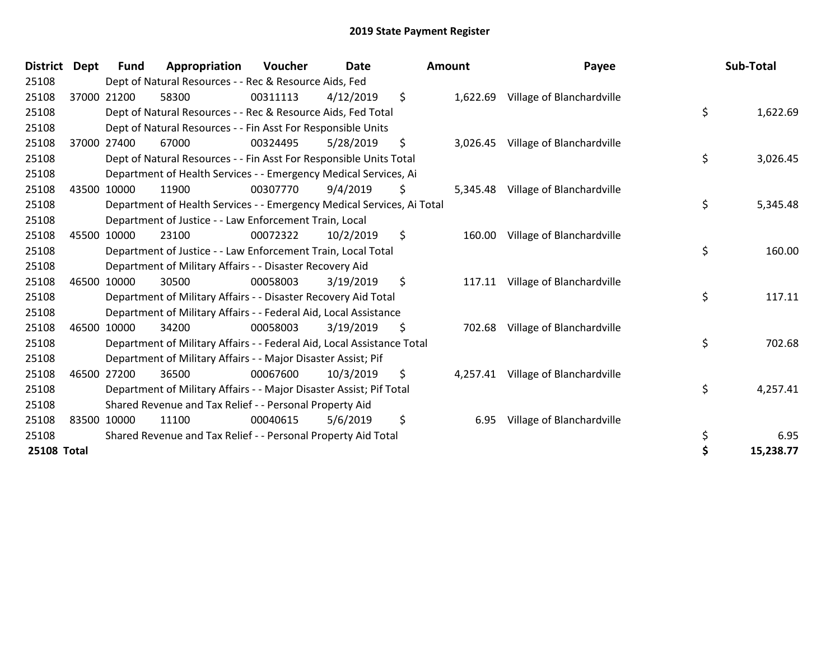| <b>District</b>    | <b>Dept</b> | <b>Fund</b> | Appropriation                                                          | Voucher  | <b>Date</b> |    | Amount   | Payee                     | Sub-Total       |
|--------------------|-------------|-------------|------------------------------------------------------------------------|----------|-------------|----|----------|---------------------------|-----------------|
| 25108              |             |             | Dept of Natural Resources - - Rec & Resource Aids, Fed                 |          |             |    |          |                           |                 |
| 25108              |             | 37000 21200 | 58300                                                                  | 00311113 | 4/12/2019   | \$ | 1,622.69 | Village of Blanchardville |                 |
| 25108              |             |             | Dept of Natural Resources - - Rec & Resource Aids, Fed Total           |          |             |    |          |                           | \$<br>1,622.69  |
| 25108              |             |             | Dept of Natural Resources - - Fin Asst For Responsible Units           |          |             |    |          |                           |                 |
| 25108              |             | 37000 27400 | 67000                                                                  | 00324495 | 5/28/2019   | \$ | 3,026.45 | Village of Blanchardville |                 |
| 25108              |             |             | Dept of Natural Resources - - Fin Asst For Responsible Units Total     |          |             |    |          |                           | \$<br>3,026.45  |
| 25108              |             |             | Department of Health Services - - Emergency Medical Services, Ai       |          |             |    |          |                           |                 |
| 25108              | 43500       | 10000       | 11900                                                                  | 00307770 | 9/4/2019    | S. | 5,345.48 | Village of Blanchardville |                 |
| 25108              |             |             | Department of Health Services - - Emergency Medical Services, Ai Total |          |             |    |          |                           | \$<br>5,345.48  |
| 25108              |             |             | Department of Justice - - Law Enforcement Train, Local                 |          |             |    |          |                           |                 |
| 25108              | 45500       | 10000       | 23100                                                                  | 00072322 | 10/2/2019   | \$ | 160.00   | Village of Blanchardville |                 |
| 25108              |             |             | Department of Justice - - Law Enforcement Train, Local Total           |          |             |    |          |                           | \$<br>160.00    |
| 25108              |             |             | Department of Military Affairs - - Disaster Recovery Aid               |          |             |    |          |                           |                 |
| 25108              |             | 46500 10000 | 30500                                                                  | 00058003 | 3/19/2019   | \$ | 117.11   | Village of Blanchardville |                 |
| 25108              |             |             | Department of Military Affairs - - Disaster Recovery Aid Total         |          |             |    |          |                           | \$<br>117.11    |
| 25108              |             |             | Department of Military Affairs - - Federal Aid, Local Assistance       |          |             |    |          |                           |                 |
| 25108              | 46500       | 10000       | 34200                                                                  | 00058003 | 3/19/2019   | \$ | 702.68   | Village of Blanchardville |                 |
| 25108              |             |             | Department of Military Affairs - - Federal Aid, Local Assistance Total |          |             |    |          |                           | \$<br>702.68    |
| 25108              |             |             | Department of Military Affairs - - Major Disaster Assist; Pif          |          |             |    |          |                           |                 |
| 25108              |             | 46500 27200 | 36500                                                                  | 00067600 | 10/3/2019   | \$ | 4,257.41 | Village of Blanchardville |                 |
| 25108              |             |             | Department of Military Affairs - - Major Disaster Assist; Pif Total    |          |             |    |          |                           | \$<br>4,257.41  |
| 25108              |             |             | Shared Revenue and Tax Relief - - Personal Property Aid                |          |             |    |          |                           |                 |
| 25108              | 83500       | 10000       | 11100                                                                  | 00040615 | 5/6/2019    | \$ | 6.95     | Village of Blanchardville |                 |
| 25108              |             |             | Shared Revenue and Tax Relief - - Personal Property Aid Total          |          |             |    |          |                           | \$<br>6.95      |
| <b>25108 Total</b> |             |             |                                                                        |          |             |    |          |                           | \$<br>15,238.77 |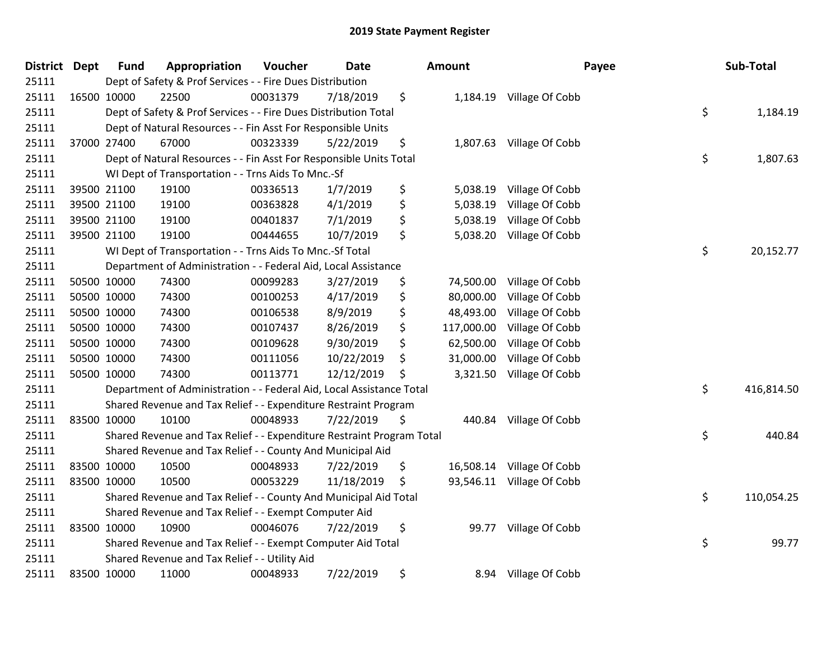| District Dept | <b>Fund</b> | Appropriation                                                         | Voucher  | <b>Date</b> | Amount           |                          | Payee | Sub-Total  |
|---------------|-------------|-----------------------------------------------------------------------|----------|-------------|------------------|--------------------------|-------|------------|
| 25111         |             | Dept of Safety & Prof Services - - Fire Dues Distribution             |          |             |                  |                          |       |            |
| 25111         | 16500 10000 | 22500                                                                 | 00031379 | 7/18/2019   | \$               | 1,184.19 Village Of Cobb |       |            |
| 25111         |             | Dept of Safety & Prof Services - - Fire Dues Distribution Total       |          |             |                  |                          | \$    | 1,184.19   |
| 25111         |             | Dept of Natural Resources - - Fin Asst For Responsible Units          |          |             |                  |                          |       |            |
| 25111         | 37000 27400 | 67000                                                                 | 00323339 | 5/22/2019   | \$<br>1,807.63   | Village Of Cobb          |       |            |
| 25111         |             | Dept of Natural Resources - - Fin Asst For Responsible Units Total    |          |             |                  |                          | \$    | 1,807.63   |
| 25111         |             | WI Dept of Transportation - - Trns Aids To Mnc.-Sf                    |          |             |                  |                          |       |            |
| 25111         | 39500 21100 | 19100                                                                 | 00336513 | 1/7/2019    | \$<br>5,038.19   | Village Of Cobb          |       |            |
| 25111         | 39500 21100 | 19100                                                                 | 00363828 | 4/1/2019    | \$<br>5,038.19   | Village Of Cobb          |       |            |
| 25111         | 39500 21100 | 19100                                                                 | 00401837 | 7/1/2019    | \$<br>5,038.19   | Village Of Cobb          |       |            |
| 25111         | 39500 21100 | 19100                                                                 | 00444655 | 10/7/2019   | \$<br>5,038.20   | Village Of Cobb          |       |            |
| 25111         |             | WI Dept of Transportation - - Trns Aids To Mnc.-Sf Total              |          |             |                  |                          | \$    | 20,152.77  |
| 25111         |             | Department of Administration - - Federal Aid, Local Assistance        |          |             |                  |                          |       |            |
| 25111         | 50500 10000 | 74300                                                                 | 00099283 | 3/27/2019   | \$<br>74,500.00  | Village Of Cobb          |       |            |
| 25111         | 50500 10000 | 74300                                                                 | 00100253 | 4/17/2019   | \$<br>80,000.00  | Village Of Cobb          |       |            |
| 25111         | 50500 10000 | 74300                                                                 | 00106538 | 8/9/2019    | \$<br>48,493.00  | Village Of Cobb          |       |            |
| 25111         | 50500 10000 | 74300                                                                 | 00107437 | 8/26/2019   | \$<br>117,000.00 | Village Of Cobb          |       |            |
| 25111         | 50500 10000 | 74300                                                                 | 00109628 | 9/30/2019   | \$<br>62,500.00  | Village Of Cobb          |       |            |
| 25111         | 50500 10000 | 74300                                                                 | 00111056 | 10/22/2019  | \$<br>31,000.00  | Village Of Cobb          |       |            |
| 25111         | 50500 10000 | 74300                                                                 | 00113771 | 12/12/2019  | \$<br>3,321.50   | Village Of Cobb          |       |            |
| 25111         |             | Department of Administration - - Federal Aid, Local Assistance Total  |          |             |                  |                          | \$    | 416,814.50 |
| 25111         |             | Shared Revenue and Tax Relief - - Expenditure Restraint Program       |          |             |                  |                          |       |            |
| 25111         | 83500 10000 | 10100                                                                 | 00048933 | 7/22/2019   | \$               | 440.84 Village Of Cobb   |       |            |
| 25111         |             | Shared Revenue and Tax Relief - - Expenditure Restraint Program Total |          |             |                  |                          | \$    | 440.84     |
| 25111         |             | Shared Revenue and Tax Relief - - County And Municipal Aid            |          |             |                  |                          |       |            |
| 25111         | 83500 10000 | 10500                                                                 | 00048933 | 7/22/2019   | \$<br>16,508.14  | Village Of Cobb          |       |            |
| 25111         | 83500 10000 | 10500                                                                 | 00053229 | 11/18/2019  | \$<br>93,546.11  | Village Of Cobb          |       |            |
| 25111         |             | Shared Revenue and Tax Relief - - County And Municipal Aid Total      |          |             |                  |                          | \$    | 110,054.25 |
| 25111         |             | Shared Revenue and Tax Relief - - Exempt Computer Aid                 |          |             |                  |                          |       |            |
| 25111         | 83500 10000 | 10900                                                                 | 00046076 | 7/22/2019   | \$<br>99.77      | Village Of Cobb          |       |            |
| 25111         |             | Shared Revenue and Tax Relief - - Exempt Computer Aid Total           |          |             |                  |                          | \$    | 99.77      |
| 25111         |             | Shared Revenue and Tax Relief - - Utility Aid                         |          |             |                  |                          |       |            |
| 25111         | 83500 10000 | 11000                                                                 | 00048933 | 7/22/2019   | \$<br>8.94       | Village Of Cobb          |       |            |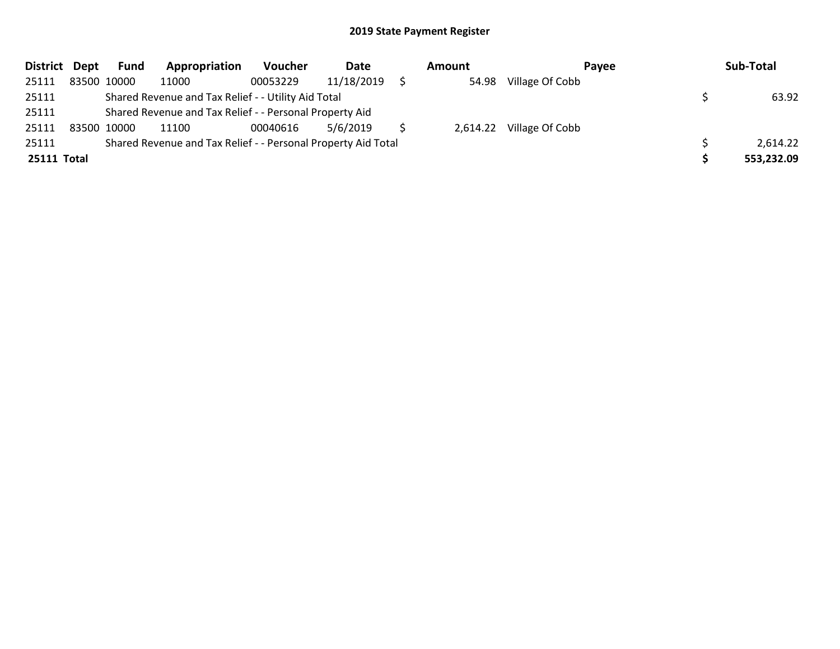| District Dept | <b>Fund</b> | Appropriation                                                 | Voucher  | Date       | Amount | Payee                    | Sub-Total  |
|---------------|-------------|---------------------------------------------------------------|----------|------------|--------|--------------------------|------------|
| 25111         | 83500 10000 | 11000                                                         | 00053229 | 11/18/2019 |        | 54.98 Village Of Cobb    |            |
| 25111         |             | Shared Revenue and Tax Relief - - Utility Aid Total           |          |            |        |                          | 63.92      |
| 25111         |             | Shared Revenue and Tax Relief - - Personal Property Aid       |          |            |        |                          |            |
| 25111         | 83500 10000 | 11100                                                         | 00040616 | 5/6/2019   |        | 2,614.22 Village Of Cobb |            |
| 25111         |             | Shared Revenue and Tax Relief - - Personal Property Aid Total |          |            |        |                          | 2,614.22   |
| 25111 Total   |             |                                                               |          |            |        |                          | 553,232.09 |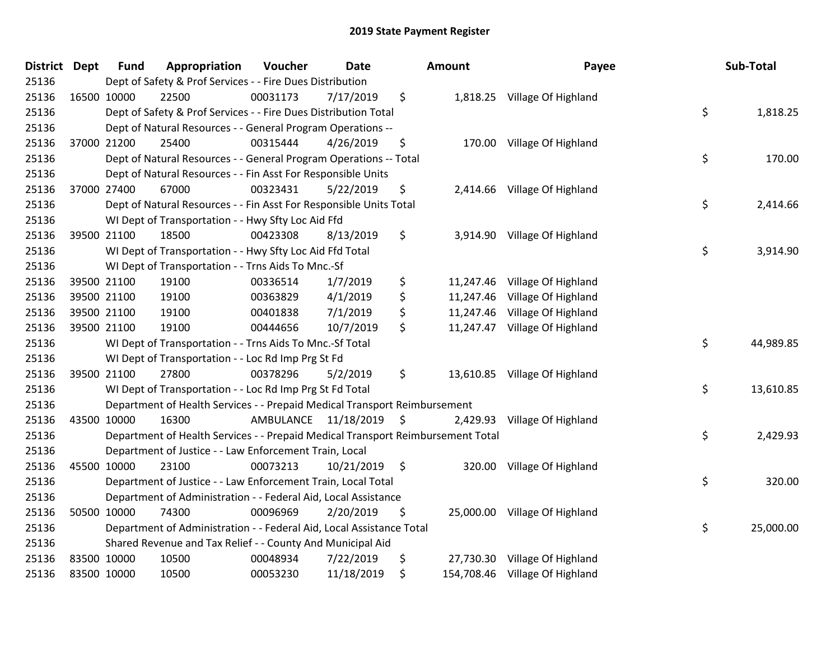| District Dept | <b>Fund</b> | Appropriation                                                                   | Voucher                 | <b>Date</b> |      | Amount    | Payee                          | Sub-Total       |
|---------------|-------------|---------------------------------------------------------------------------------|-------------------------|-------------|------|-----------|--------------------------------|-----------------|
| 25136         |             | Dept of Safety & Prof Services - - Fire Dues Distribution                       |                         |             |      |           |                                |                 |
| 25136         | 16500 10000 | 22500                                                                           | 00031173                | 7/17/2019   | \$   |           | 1,818.25 Village Of Highland   |                 |
| 25136         |             | Dept of Safety & Prof Services - - Fire Dues Distribution Total                 |                         |             |      |           |                                | \$<br>1,818.25  |
| 25136         |             | Dept of Natural Resources - - General Program Operations --                     |                         |             |      |           |                                |                 |
| 25136         | 37000 21200 | 25400                                                                           | 00315444                | 4/26/2019   | \$   | 170.00    | Village Of Highland            |                 |
| 25136         |             | Dept of Natural Resources - - General Program Operations -- Total               |                         |             |      |           |                                | \$<br>170.00    |
| 25136         |             | Dept of Natural Resources - - Fin Asst For Responsible Units                    |                         |             |      |           |                                |                 |
| 25136         | 37000 27400 | 67000                                                                           | 00323431                | 5/22/2019   | \$   |           | 2,414.66 Village Of Highland   |                 |
| 25136         |             | Dept of Natural Resources - - Fin Asst For Responsible Units Total              |                         |             |      |           |                                | \$<br>2,414.66  |
| 25136         |             | WI Dept of Transportation - - Hwy Sfty Loc Aid Ffd                              |                         |             |      |           |                                |                 |
| 25136         | 39500 21100 | 18500                                                                           | 00423308                | 8/13/2019   | \$   |           | 3,914.90 Village Of Highland   |                 |
| 25136         |             | WI Dept of Transportation - - Hwy Sfty Loc Aid Ffd Total                        |                         |             |      |           |                                | \$<br>3,914.90  |
| 25136         |             | WI Dept of Transportation - - Trns Aids To Mnc.-Sf                              |                         |             |      |           |                                |                 |
| 25136         | 39500 21100 | 19100                                                                           | 00336514                | 1/7/2019    | \$   | 11,247.46 | Village Of Highland            |                 |
| 25136         | 39500 21100 | 19100                                                                           | 00363829                | 4/1/2019    | \$   | 11,247.46 | Village Of Highland            |                 |
| 25136         | 39500 21100 | 19100                                                                           | 00401838                | 7/1/2019    | \$   | 11,247.46 | Village Of Highland            |                 |
| 25136         | 39500 21100 | 19100                                                                           | 00444656                | 10/7/2019   | \$   |           | 11,247.47 Village Of Highland  |                 |
| 25136         |             | WI Dept of Transportation - - Trns Aids To Mnc.-Sf Total                        |                         |             |      |           |                                | \$<br>44,989.85 |
| 25136         |             | WI Dept of Transportation - - Loc Rd Imp Prg St Fd                              |                         |             |      |           |                                |                 |
| 25136         | 39500 21100 | 27800                                                                           | 00378296                | 5/2/2019    | \$   |           | 13,610.85 Village Of Highland  |                 |
| 25136         |             | WI Dept of Transportation - - Loc Rd Imp Prg St Fd Total                        |                         |             |      |           |                                | \$<br>13,610.85 |
| 25136         |             | Department of Health Services - - Prepaid Medical Transport Reimbursement       |                         |             |      |           |                                |                 |
| 25136         | 43500 10000 | 16300                                                                           | AMBULANCE 11/18/2019 \$ |             |      |           | 2,429.93 Village Of Highland   |                 |
| 25136         |             | Department of Health Services - - Prepaid Medical Transport Reimbursement Total |                         |             |      |           |                                | \$<br>2,429.93  |
| 25136         |             | Department of Justice - - Law Enforcement Train, Local                          |                         |             |      |           |                                |                 |
| 25136         | 45500 10000 | 23100                                                                           | 00073213                | 10/21/2019  | - \$ | 320.00    | Village Of Highland            |                 |
| 25136         |             | Department of Justice - - Law Enforcement Train, Local Total                    |                         |             |      |           |                                | \$<br>320.00    |
| 25136         |             | Department of Administration - - Federal Aid, Local Assistance                  |                         |             |      |           |                                |                 |
| 25136         | 50500 10000 | 74300                                                                           | 00096969                | 2/20/2019   | \$   |           | 25,000.00 Village Of Highland  |                 |
| 25136         |             | Department of Administration - - Federal Aid, Local Assistance Total            |                         |             |      |           |                                | \$<br>25,000.00 |
| 25136         |             | Shared Revenue and Tax Relief - - County And Municipal Aid                      |                         |             |      |           |                                |                 |
| 25136         | 83500 10000 | 10500                                                                           | 00048934                | 7/22/2019   | \$   | 27,730.30 | Village Of Highland            |                 |
| 25136         | 83500 10000 | 10500                                                                           | 00053230                | 11/18/2019  | \$   |           | 154,708.46 Village Of Highland |                 |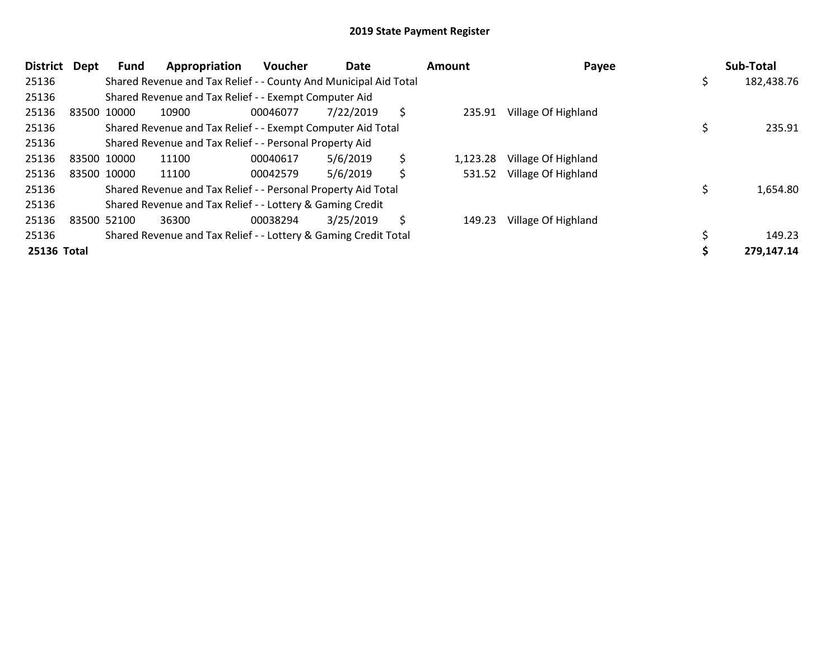| <b>District</b> | Dept | Fund        | Appropriation                                                    | <b>Voucher</b> | Date      | Amount         | Payee               | Sub-Total  |
|-----------------|------|-------------|------------------------------------------------------------------|----------------|-----------|----------------|---------------------|------------|
| 25136           |      |             | Shared Revenue and Tax Relief - - County And Municipal Aid Total |                |           |                |                     | 182,438.76 |
| 25136           |      |             | Shared Revenue and Tax Relief - - Exempt Computer Aid            |                |           |                |                     |            |
| 25136           |      | 83500 10000 | 10900                                                            | 00046077       | 7/22/2019 | \$<br>235.91   | Village Of Highland |            |
| 25136           |      |             | Shared Revenue and Tax Relief - - Exempt Computer Aid Total      |                |           |                |                     | 235.91     |
| 25136           |      |             | Shared Revenue and Tax Relief - - Personal Property Aid          |                |           |                |                     |            |
| 25136           |      | 83500 10000 | 11100                                                            | 00040617       | 5/6/2019  | \$<br>1,123.28 | Village Of Highland |            |
| 25136           |      | 83500 10000 | 11100                                                            | 00042579       | 5/6/2019  | \$<br>531.52   | Village Of Highland |            |
| 25136           |      |             | Shared Revenue and Tax Relief - - Personal Property Aid Total    |                |           |                |                     | 1,654.80   |
| 25136           |      |             | Shared Revenue and Tax Relief - - Lottery & Gaming Credit        |                |           |                |                     |            |
| 25136           |      | 83500 52100 | 36300                                                            | 00038294       | 3/25/2019 | \$<br>149.23   | Village Of Highland |            |
| 25136           |      |             | Shared Revenue and Tax Relief - - Lottery & Gaming Credit Total  |                |           |                |                     | 149.23     |
| 25136 Total     |      |             |                                                                  |                |           |                |                     | 279,147.14 |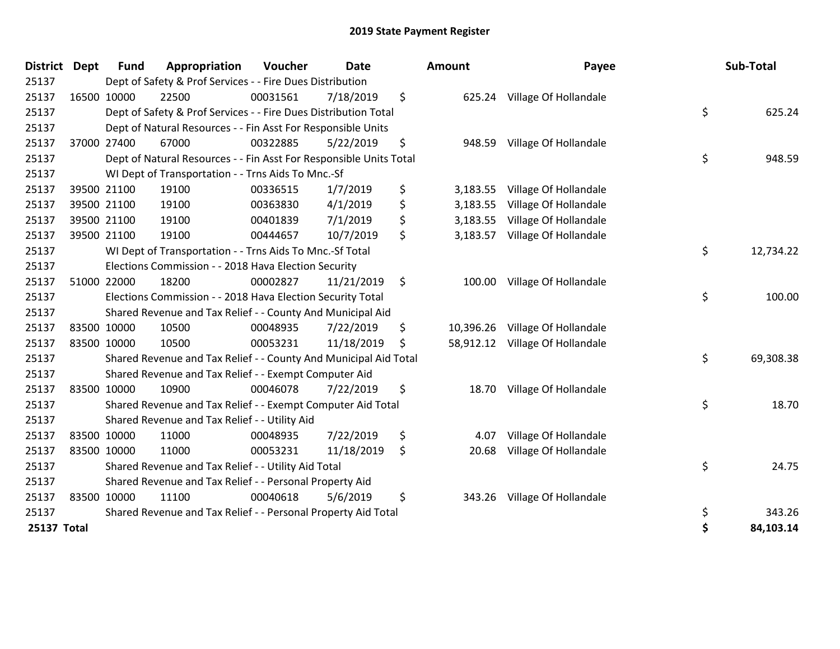| <b>District</b> | <b>Dept</b> | <b>Fund</b> | Appropriation                                                      | Voucher  | <b>Date</b> | Amount          | Payee                           | Sub-Total       |
|-----------------|-------------|-------------|--------------------------------------------------------------------|----------|-------------|-----------------|---------------------------------|-----------------|
| 25137           |             |             | Dept of Safety & Prof Services - - Fire Dues Distribution          |          |             |                 |                                 |                 |
| 25137           |             | 16500 10000 | 22500                                                              | 00031561 | 7/18/2019   | \$              | 625.24 Village Of Hollandale    |                 |
| 25137           |             |             | Dept of Safety & Prof Services - - Fire Dues Distribution Total    |          |             |                 |                                 | \$<br>625.24    |
| 25137           |             |             | Dept of Natural Resources - - Fin Asst For Responsible Units       |          |             |                 |                                 |                 |
| 25137           |             | 37000 27400 | 67000                                                              | 00322885 | 5/22/2019   | \$<br>948.59    | Village Of Hollandale           |                 |
| 25137           |             |             | Dept of Natural Resources - - Fin Asst For Responsible Units Total |          |             |                 |                                 | \$<br>948.59    |
| 25137           |             |             | WI Dept of Transportation - - Trns Aids To Mnc.-Sf                 |          |             |                 |                                 |                 |
| 25137           |             | 39500 21100 | 19100                                                              | 00336515 | 1/7/2019    | \$<br>3,183.55  | Village Of Hollandale           |                 |
| 25137           |             | 39500 21100 | 19100                                                              | 00363830 | 4/1/2019    | \$<br>3,183.55  | Village Of Hollandale           |                 |
| 25137           |             | 39500 21100 | 19100                                                              | 00401839 | 7/1/2019    | \$<br>3,183.55  | Village Of Hollandale           |                 |
| 25137           |             | 39500 21100 | 19100                                                              | 00444657 | 10/7/2019   | \$<br>3,183.57  | Village Of Hollandale           |                 |
| 25137           |             |             | WI Dept of Transportation - - Trns Aids To Mnc.-Sf Total           |          |             |                 |                                 | \$<br>12,734.22 |
| 25137           |             |             | Elections Commission - - 2018 Hava Election Security               |          |             |                 |                                 |                 |
| 25137           |             | 51000 22000 | 18200                                                              | 00002827 | 11/21/2019  | \$<br>100.00    | Village Of Hollandale           |                 |
| 25137           |             |             | Elections Commission - - 2018 Hava Election Security Total         |          |             |                 |                                 | \$<br>100.00    |
| 25137           |             |             | Shared Revenue and Tax Relief - - County And Municipal Aid         |          |             |                 |                                 |                 |
| 25137           |             | 83500 10000 | 10500                                                              | 00048935 | 7/22/2019   | \$<br>10,396.26 | Village Of Hollandale           |                 |
| 25137           |             | 83500 10000 | 10500                                                              | 00053231 | 11/18/2019  | \$              | 58,912.12 Village Of Hollandale |                 |
| 25137           |             |             | Shared Revenue and Tax Relief - - County And Municipal Aid Total   |          |             |                 |                                 | \$<br>69,308.38 |
| 25137           |             |             | Shared Revenue and Tax Relief - - Exempt Computer Aid              |          |             |                 |                                 |                 |
| 25137           |             | 83500 10000 | 10900                                                              | 00046078 | 7/22/2019   | \$<br>18.70     | Village Of Hollandale           |                 |
| 25137           |             |             | Shared Revenue and Tax Relief - - Exempt Computer Aid Total        |          |             |                 |                                 | \$<br>18.70     |
| 25137           |             |             | Shared Revenue and Tax Relief - - Utility Aid                      |          |             |                 |                                 |                 |
| 25137           |             | 83500 10000 | 11000                                                              | 00048935 | 7/22/2019   | \$<br>4.07      | Village Of Hollandale           |                 |
| 25137           |             | 83500 10000 | 11000                                                              | 00053231 | 11/18/2019  | \$<br>20.68     | Village Of Hollandale           |                 |
| 25137           |             |             | Shared Revenue and Tax Relief - - Utility Aid Total                |          |             |                 |                                 | \$<br>24.75     |
| 25137           |             |             | Shared Revenue and Tax Relief - - Personal Property Aid            |          |             |                 |                                 |                 |
| 25137           |             | 83500 10000 | 11100                                                              | 00040618 | 5/6/2019    | \$<br>343.26    | Village Of Hollandale           |                 |
| 25137           |             |             | Shared Revenue and Tax Relief - - Personal Property Aid Total      |          |             |                 |                                 | \$<br>343.26    |
| 25137 Total     |             |             |                                                                    |          |             |                 |                                 | \$<br>84,103.14 |

| ount      | Payee                 |          | Sub-Total |
|-----------|-----------------------|----------|-----------|
| 625.24    | Village Of Hollandale |          |           |
|           |                       | \$       | 625.24    |
| 948.59    | Village Of Hollandale | \$       | 948.59    |
|           |                       |          |           |
| 3,183.55  | Village Of Hollandale |          |           |
| 3,183.55  | Village Of Hollandale |          |           |
| 3,183.55  | Village Of Hollandale |          |           |
| 3,183.57  | Village Of Hollandale |          |           |
|           |                       | \$       | 12,734.22 |
| 100.00    | Village Of Hollandale |          |           |
|           |                       | \$       | 100.00    |
| 10,396.26 | Village Of Hollandale |          |           |
| 58,912.12 | Village Of Hollandale |          |           |
|           |                       | \$       | 69,308.38 |
| 18.70     | Village Of Hollandale |          |           |
|           |                       | \$       | 18.70     |
| 4.07      | Village Of Hollandale |          |           |
| 20.68     | Village Of Hollandale |          |           |
|           |                       | \$       | 24.75     |
| 343.26    | Village Of Hollandale |          |           |
|           |                       | \$<br>\$ | 343.26    |
|           |                       |          | 84,103.14 |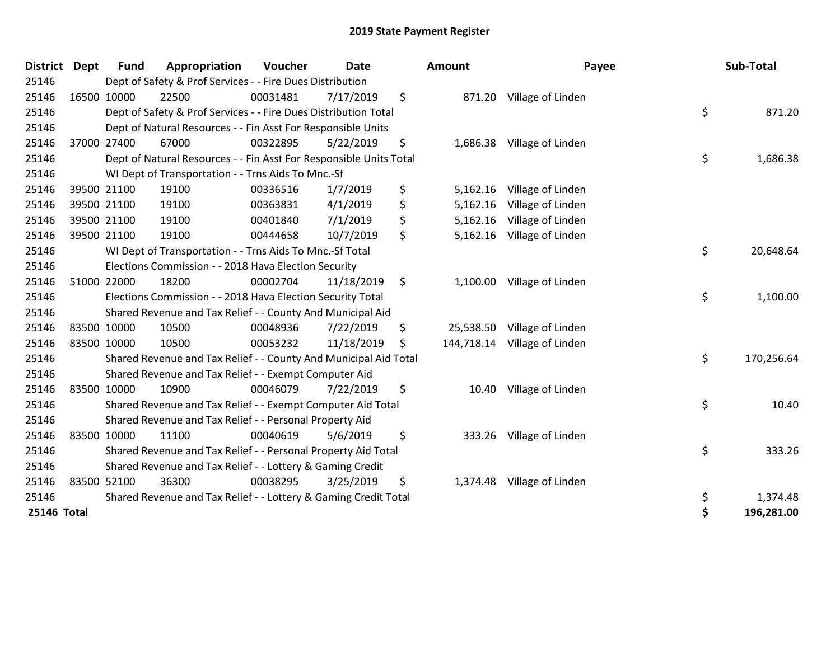| <b>District</b> | <b>Dept</b> | <b>Fund</b> | Appropriation                                                      | Voucher  | <b>Date</b> | Amount          | Payee                        | Sub-Total        |
|-----------------|-------------|-------------|--------------------------------------------------------------------|----------|-------------|-----------------|------------------------------|------------------|
| 25146           |             |             | Dept of Safety & Prof Services - - Fire Dues Distribution          |          |             |                 |                              |                  |
| 25146           |             | 16500 10000 | 22500                                                              | 00031481 | 7/17/2019   | \$              | 871.20 Village of Linden     |                  |
| 25146           |             |             | Dept of Safety & Prof Services - - Fire Dues Distribution Total    |          |             |                 |                              | \$<br>871.20     |
| 25146           |             |             | Dept of Natural Resources - - Fin Asst For Responsible Units       |          |             |                 |                              |                  |
| 25146           |             | 37000 27400 | 67000                                                              | 00322895 | 5/22/2019   | \$              | 1,686.38 Village of Linden   |                  |
| 25146           |             |             | Dept of Natural Resources - - Fin Asst For Responsible Units Total |          |             |                 |                              | \$<br>1,686.38   |
| 25146           |             |             | WI Dept of Transportation - - Trns Aids To Mnc.-Sf                 |          |             |                 |                              |                  |
| 25146           |             | 39500 21100 | 19100                                                              | 00336516 | 1/7/2019    | \$<br>5,162.16  | Village of Linden            |                  |
| 25146           |             | 39500 21100 | 19100                                                              | 00363831 | 4/1/2019    | \$<br>5,162.16  | Village of Linden            |                  |
| 25146           |             | 39500 21100 | 19100                                                              | 00401840 | 7/1/2019    | \$<br>5,162.16  | Village of Linden            |                  |
| 25146           |             | 39500 21100 | 19100                                                              | 00444658 | 10/7/2019   | \$<br>5,162.16  | Village of Linden            |                  |
| 25146           |             |             | WI Dept of Transportation - - Trns Aids To Mnc.-Sf Total           |          |             |                 |                              | \$<br>20,648.64  |
| 25146           |             |             | Elections Commission - - 2018 Hava Election Security               |          |             |                 |                              |                  |
| 25146           |             | 51000 22000 | 18200                                                              | 00002704 | 11/18/2019  | \$              | 1,100.00 Village of Linden   |                  |
| 25146           |             |             | Elections Commission - - 2018 Hava Election Security Total         |          |             |                 |                              | \$<br>1,100.00   |
| 25146           |             |             | Shared Revenue and Tax Relief - - County And Municipal Aid         |          |             |                 |                              |                  |
| 25146           |             | 83500 10000 | 10500                                                              | 00048936 | 7/22/2019   | \$<br>25,538.50 | Village of Linden            |                  |
| 25146           |             | 83500 10000 | 10500                                                              | 00053232 | 11/18/2019  | \$              | 144,718.14 Village of Linden |                  |
| 25146           |             |             | Shared Revenue and Tax Relief - - County And Municipal Aid Total   |          |             |                 |                              | \$<br>170,256.64 |
| 25146           |             |             | Shared Revenue and Tax Relief - - Exempt Computer Aid              |          |             |                 |                              |                  |
| 25146           |             | 83500 10000 | 10900                                                              | 00046079 | 7/22/2019   | \$<br>10.40     | Village of Linden            |                  |
| 25146           |             |             | Shared Revenue and Tax Relief - - Exempt Computer Aid Total        |          |             |                 |                              | \$<br>10.40      |
| 25146           |             |             | Shared Revenue and Tax Relief - - Personal Property Aid            |          |             |                 |                              |                  |
| 25146           |             | 83500 10000 | 11100                                                              | 00040619 | 5/6/2019    | \$<br>333.26    | Village of Linden            |                  |
| 25146           |             |             | Shared Revenue and Tax Relief - - Personal Property Aid Total      |          |             |                 |                              | \$<br>333.26     |
| 25146           |             |             | Shared Revenue and Tax Relief - - Lottery & Gaming Credit          |          |             |                 |                              |                  |
| 25146           |             | 83500 52100 | 36300                                                              | 00038295 | 3/25/2019   | \$<br>1,374.48  | Village of Linden            |                  |
| 25146           |             |             | Shared Revenue and Tax Relief - - Lottery & Gaming Credit Total    |          |             |                 |                              | \$<br>1,374.48   |
| 25146 Total     |             |             |                                                                    |          |             |                 |                              | \$<br>196,281.00 |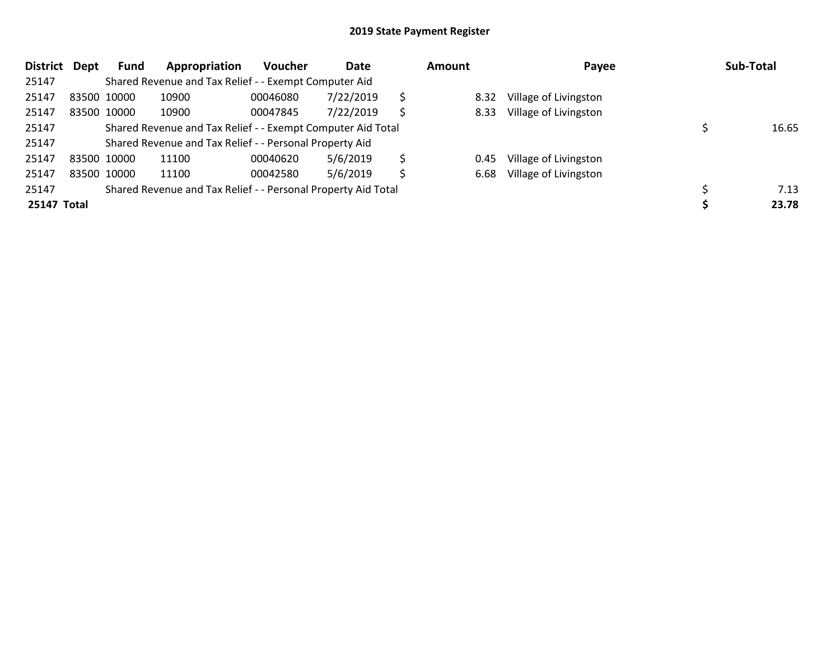| <b>District</b> | Dept | <b>Fund</b> | Appropriation                                                 | <b>Voucher</b> | Date      |   | <b>Amount</b> | Payee                 | Sub-Total |
|-----------------|------|-------------|---------------------------------------------------------------|----------------|-----------|---|---------------|-----------------------|-----------|
| 25147           |      |             | Shared Revenue and Tax Relief - - Exempt Computer Aid         |                |           |   |               |                       |           |
| 25147           |      | 83500 10000 | 10900                                                         | 00046080       | 7/22/2019 | Ŝ | 8.32          | Village of Livingston |           |
| 25147           |      | 83500 10000 | 10900                                                         | 00047845       | 7/22/2019 | Ś | 8.33          | Village of Livingston |           |
| 25147           |      |             | Shared Revenue and Tax Relief - - Exempt Computer Aid Total   |                |           |   |               |                       | 16.65     |
| 25147           |      |             | Shared Revenue and Tax Relief - - Personal Property Aid       |                |           |   |               |                       |           |
| 25147           |      | 83500 10000 | 11100                                                         | 00040620       | 5/6/2019  | Ś | 0.45          | Village of Livingston |           |
| 25147           |      | 83500 10000 | 11100                                                         | 00042580       | 5/6/2019  | Ŝ | 6.68          | Village of Livingston |           |
| 25147           |      |             | Shared Revenue and Tax Relief - - Personal Property Aid Total |                |           |   |               |                       | 7.13      |
| 25147 Total     |      |             |                                                               |                |           |   |               |                       | 23.78     |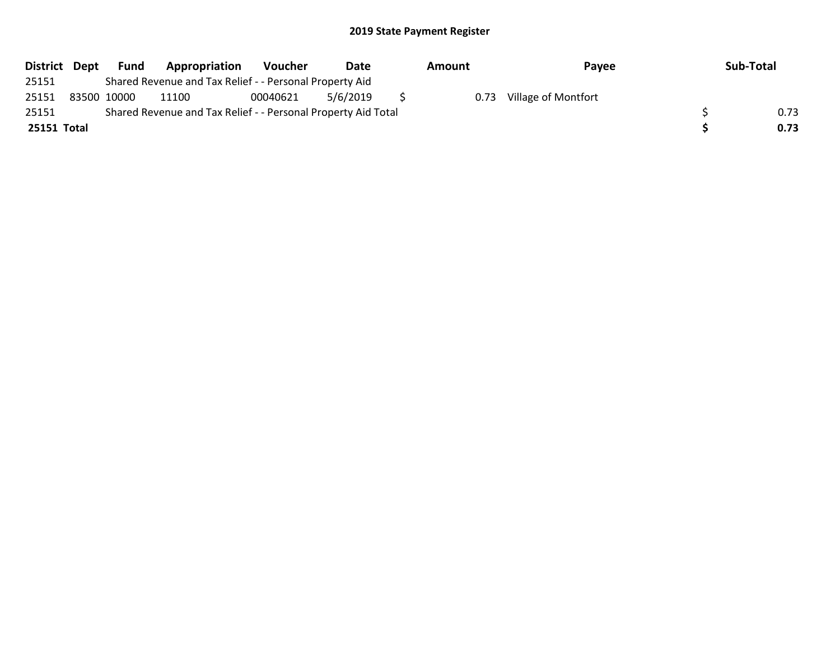| District Dept | <b>Fund</b> | Appropriation                                                 | Voucher  | Date     | Amount | Payee               | Sub-Total |
|---------------|-------------|---------------------------------------------------------------|----------|----------|--------|---------------------|-----------|
| 25151         |             | Shared Revenue and Tax Relief - - Personal Property Aid       |          |          |        |                     |           |
| 25151         | 83500 10000 | 11100                                                         | 00040621 | 5/6/2019 | 0.73   | Village of Montfort |           |
| 25151         |             | Shared Revenue and Tax Relief - - Personal Property Aid Total |          |          |        |                     | 0.73      |
| 25151 Total   |             |                                                               |          |          |        |                     | 0.73      |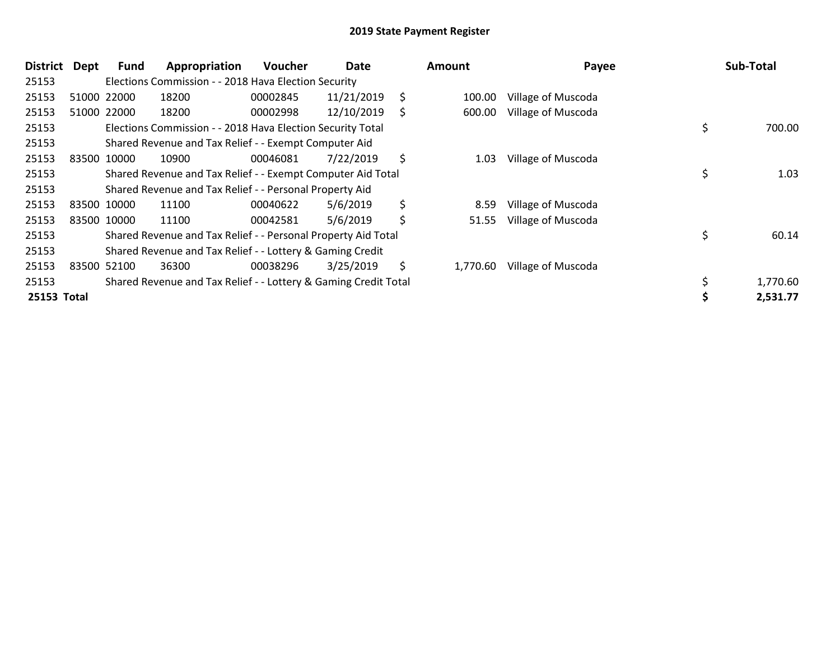| <b>District</b> | <b>Dept</b> | Fund        | Appropriation                                                   | <b>Voucher</b> | Date       |    | Amount   | Payee              | Sub-Total    |
|-----------------|-------------|-------------|-----------------------------------------------------------------|----------------|------------|----|----------|--------------------|--------------|
| 25153           |             |             | Elections Commission - - 2018 Hava Election Security            |                |            |    |          |                    |              |
| 25153           |             | 51000 22000 | 18200                                                           | 00002845       | 11/21/2019 | \$ | 100.00   | Village of Muscoda |              |
| 25153           |             | 51000 22000 | 18200                                                           | 00002998       | 12/10/2019 | S  | 600.00   | Village of Muscoda |              |
| 25153           |             |             | Elections Commission - - 2018 Hava Election Security Total      |                |            |    |          |                    | \$<br>700.00 |
| 25153           |             |             | Shared Revenue and Tax Relief - - Exempt Computer Aid           |                |            |    |          |                    |              |
| 25153           |             | 83500 10000 | 10900                                                           | 00046081       | 7/22/2019  | \$ | 1.03     | Village of Muscoda |              |
| 25153           |             |             | Shared Revenue and Tax Relief - - Exempt Computer Aid Total     |                |            |    |          |                    | \$<br>1.03   |
| 25153           |             |             | Shared Revenue and Tax Relief - - Personal Property Aid         |                |            |    |          |                    |              |
| 25153           |             | 83500 10000 | 11100                                                           | 00040622       | 5/6/2019   | \$ | 8.59     | Village of Muscoda |              |
| 25153           |             | 83500 10000 | 11100                                                           | 00042581       | 5/6/2019   | \$ | 51.55    | Village of Muscoda |              |
| 25153           |             |             | Shared Revenue and Tax Relief - - Personal Property Aid Total   |                |            |    |          |                    | \$<br>60.14  |
| 25153           |             |             | Shared Revenue and Tax Relief - - Lottery & Gaming Credit       |                |            |    |          |                    |              |
| 25153           |             | 83500 52100 | 36300                                                           | 00038296       | 3/25/2019  | \$ | 1,770.60 | Village of Muscoda |              |
| 25153           |             |             | Shared Revenue and Tax Relief - - Lottery & Gaming Credit Total |                |            |    |          |                    | 1,770.60     |
| 25153 Total     |             |             |                                                                 |                |            |    |          |                    | 2,531.77     |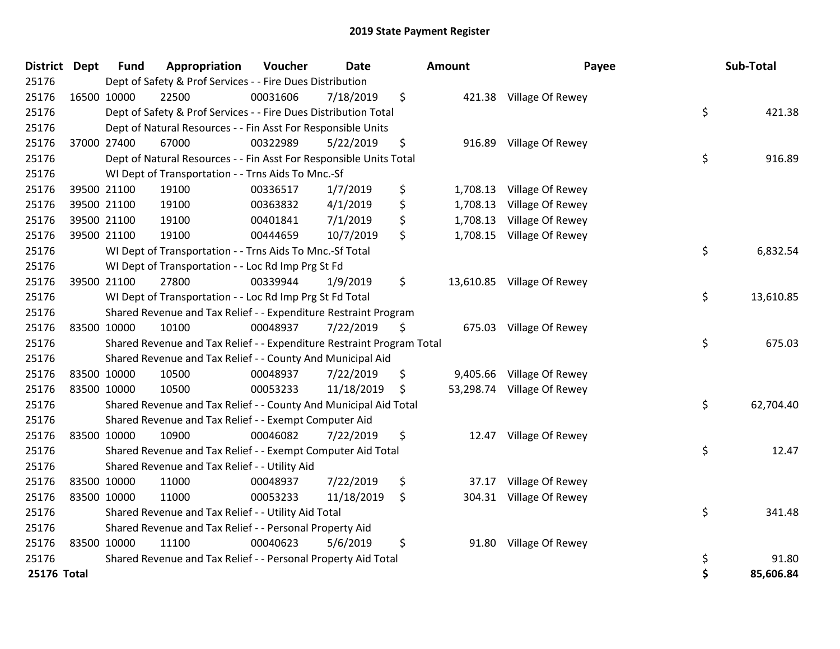| <b>District Dept</b> | <b>Fund</b> | Appropriation                                                         | Voucher  | <b>Date</b> | Amount         | Payee                      | Sub-Total       |
|----------------------|-------------|-----------------------------------------------------------------------|----------|-------------|----------------|----------------------------|-----------------|
| 25176                |             | Dept of Safety & Prof Services - - Fire Dues Distribution             |          |             |                |                            |                 |
| 25176                | 16500 10000 | 22500                                                                 | 00031606 | 7/18/2019   | \$             | 421.38 Village Of Rewey    |                 |
| 25176                |             | Dept of Safety & Prof Services - - Fire Dues Distribution Total       |          |             |                |                            | \$<br>421.38    |
| 25176                |             | Dept of Natural Resources - - Fin Asst For Responsible Units          |          |             |                |                            |                 |
| 25176                | 37000 27400 | 67000                                                                 | 00322989 | 5/22/2019   | \$<br>916.89   | Village Of Rewey           |                 |
| 25176                |             | Dept of Natural Resources - - Fin Asst For Responsible Units Total    |          |             |                |                            | \$<br>916.89    |
| 25176                |             | WI Dept of Transportation - - Trns Aids To Mnc.-Sf                    |          |             |                |                            |                 |
| 25176                | 39500 21100 | 19100                                                                 | 00336517 | 1/7/2019    | \$             | 1,708.13 Village Of Rewey  |                 |
| 25176                | 39500 21100 | 19100                                                                 | 00363832 | 4/1/2019    | \$<br>1,708.13 | Village Of Rewey           |                 |
| 25176                | 39500 21100 | 19100                                                                 | 00401841 | 7/1/2019    | \$<br>1,708.13 | Village Of Rewey           |                 |
| 25176                | 39500 21100 | 19100                                                                 | 00444659 | 10/7/2019   | \$             | 1,708.15 Village Of Rewey  |                 |
| 25176                |             | WI Dept of Transportation - - Trns Aids To Mnc.-Sf Total              |          |             |                |                            | \$<br>6,832.54  |
| 25176                |             | WI Dept of Transportation - - Loc Rd Imp Prg St Fd                    |          |             |                |                            |                 |
| 25176                | 39500 21100 | 27800                                                                 | 00339944 | 1/9/2019    | \$             | 13,610.85 Village Of Rewey |                 |
| 25176                |             | WI Dept of Transportation - - Loc Rd Imp Prg St Fd Total              |          |             |                |                            | \$<br>13,610.85 |
| 25176                |             | Shared Revenue and Tax Relief - - Expenditure Restraint Program       |          |             |                |                            |                 |
| 25176                | 83500 10000 | 10100                                                                 | 00048937 | 7/22/2019   | \$             | 675.03 Village Of Rewey    |                 |
| 25176                |             | Shared Revenue and Tax Relief - - Expenditure Restraint Program Total |          |             |                |                            | \$<br>675.03    |
| 25176                |             | Shared Revenue and Tax Relief - - County And Municipal Aid            |          |             |                |                            |                 |
| 25176                | 83500 10000 | 10500                                                                 | 00048937 | 7/22/2019   | \$<br>9,405.66 | Village Of Rewey           |                 |
| 25176                | 83500 10000 | 10500                                                                 | 00053233 | 11/18/2019  | \$             | 53,298.74 Village Of Rewey |                 |
| 25176                |             | Shared Revenue and Tax Relief - - County And Municipal Aid Total      |          |             |                |                            | \$<br>62,704.40 |
| 25176                |             | Shared Revenue and Tax Relief - - Exempt Computer Aid                 |          |             |                |                            |                 |
| 25176                | 83500 10000 | 10900                                                                 | 00046082 | 7/22/2019   | \$<br>12.47    | Village Of Rewey           |                 |
| 25176                |             | Shared Revenue and Tax Relief - - Exempt Computer Aid Total           |          |             |                |                            | \$<br>12.47     |
| 25176                |             | Shared Revenue and Tax Relief - - Utility Aid                         |          |             |                |                            |                 |
| 25176                | 83500 10000 | 11000                                                                 | 00048937 | 7/22/2019   | \$<br>37.17    | Village Of Rewey           |                 |
| 25176                | 83500 10000 | 11000                                                                 | 00053233 | 11/18/2019  | \$             | 304.31 Village Of Rewey    |                 |
| 25176                |             | Shared Revenue and Tax Relief - - Utility Aid Total                   |          |             |                |                            | \$<br>341.48    |
| 25176                |             | Shared Revenue and Tax Relief - - Personal Property Aid               |          |             |                |                            |                 |
| 25176                | 83500 10000 | 11100                                                                 | 00040623 | 5/6/2019    | \$<br>91.80    | Village Of Rewey           |                 |
| 25176                |             | Shared Revenue and Tax Relief - - Personal Property Aid Total         |          |             |                |                            | \$<br>91.80     |
| 25176 Total          |             |                                                                       |          |             |                |                            | \$<br>85,606.84 |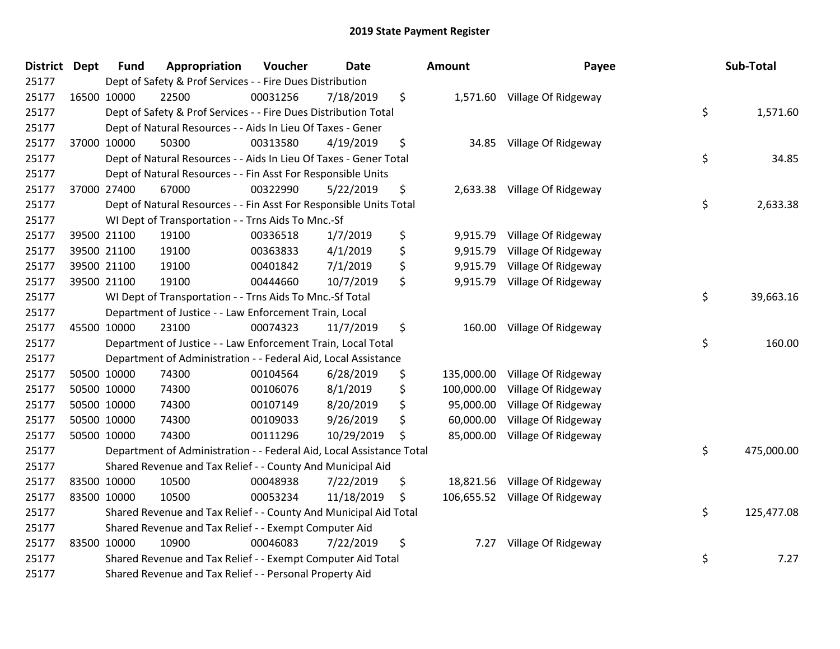| District Dept | <b>Fund</b> | Appropriation                                                        | Voucher  | <b>Date</b> | Amount           | Payee                          | Sub-Total        |
|---------------|-------------|----------------------------------------------------------------------|----------|-------------|------------------|--------------------------------|------------------|
| 25177         |             | Dept of Safety & Prof Services - - Fire Dues Distribution            |          |             |                  |                                |                  |
| 25177         | 16500 10000 | 22500                                                                | 00031256 | 7/18/2019   | \$               | 1,571.60 Village Of Ridgeway   |                  |
| 25177         |             | Dept of Safety & Prof Services - - Fire Dues Distribution Total      |          |             |                  |                                | \$<br>1,571.60   |
| 25177         |             | Dept of Natural Resources - - Aids In Lieu Of Taxes - Gener          |          |             |                  |                                |                  |
| 25177         | 37000 10000 | 50300                                                                | 00313580 | 4/19/2019   | \$               | 34.85 Village Of Ridgeway      |                  |
| 25177         |             | Dept of Natural Resources - - Aids In Lieu Of Taxes - Gener Total    |          |             |                  |                                | \$<br>34.85      |
| 25177         |             | Dept of Natural Resources - - Fin Asst For Responsible Units         |          |             |                  |                                |                  |
| 25177         | 37000 27400 | 67000                                                                | 00322990 | 5/22/2019   | \$               | 2,633.38 Village Of Ridgeway   |                  |
| 25177         |             | Dept of Natural Resources - - Fin Asst For Responsible Units Total   |          |             |                  |                                | \$<br>2,633.38   |
| 25177         |             | WI Dept of Transportation - - Trns Aids To Mnc.-Sf                   |          |             |                  |                                |                  |
| 25177         | 39500 21100 | 19100                                                                | 00336518 | 1/7/2019    | \$               | 9,915.79 Village Of Ridgeway   |                  |
| 25177         | 39500 21100 | 19100                                                                | 00363833 | 4/1/2019    | \$<br>9,915.79   | Village Of Ridgeway            |                  |
| 25177         | 39500 21100 | 19100                                                                | 00401842 | 7/1/2019    | \$               | 9,915.79 Village Of Ridgeway   |                  |
| 25177         | 39500 21100 | 19100                                                                | 00444660 | 10/7/2019   | \$               | 9,915.79 Village Of Ridgeway   |                  |
| 25177         |             | WI Dept of Transportation - - Trns Aids To Mnc.-Sf Total             |          |             |                  |                                | \$<br>39,663.16  |
| 25177         |             | Department of Justice - - Law Enforcement Train, Local               |          |             |                  |                                |                  |
| 25177         | 45500 10000 | 23100                                                                | 00074323 | 11/7/2019   | \$               | 160.00 Village Of Ridgeway     |                  |
| 25177         |             | Department of Justice - - Law Enforcement Train, Local Total         |          |             |                  |                                | \$<br>160.00     |
| 25177         |             | Department of Administration - - Federal Aid, Local Assistance       |          |             |                  |                                |                  |
| 25177         | 50500 10000 | 74300                                                                | 00104564 | 6/28/2019   | \$<br>135,000.00 | Village Of Ridgeway            |                  |
| 25177         | 50500 10000 | 74300                                                                | 00106076 | 8/1/2019    | \$<br>100,000.00 | Village Of Ridgeway            |                  |
| 25177         | 50500 10000 | 74300                                                                | 00107149 | 8/20/2019   | \$<br>95,000.00  | Village Of Ridgeway            |                  |
| 25177         | 50500 10000 | 74300                                                                | 00109033 | 9/26/2019   | \$<br>60,000.00  | Village Of Ridgeway            |                  |
| 25177         | 50500 10000 | 74300                                                                | 00111296 | 10/29/2019  | \$<br>85,000.00  | Village Of Ridgeway            |                  |
| 25177         |             | Department of Administration - - Federal Aid, Local Assistance Total |          |             |                  |                                | \$<br>475,000.00 |
| 25177         |             | Shared Revenue and Tax Relief - - County And Municipal Aid           |          |             |                  |                                |                  |
| 25177         | 83500 10000 | 10500                                                                | 00048938 | 7/22/2019   | \$               | 18,821.56 Village Of Ridgeway  |                  |
| 25177         | 83500 10000 | 10500                                                                | 00053234 | 11/18/2019  | \$               | 106,655.52 Village Of Ridgeway |                  |
| 25177         |             | Shared Revenue and Tax Relief - - County And Municipal Aid Total     |          |             |                  |                                | \$<br>125,477.08 |
| 25177         |             | Shared Revenue and Tax Relief - - Exempt Computer Aid                |          |             |                  |                                |                  |
| 25177         | 83500 10000 | 10900                                                                | 00046083 | 7/22/2019   | \$<br>7.27       | Village Of Ridgeway            |                  |
| 25177         |             | Shared Revenue and Tax Relief - - Exempt Computer Aid Total          |          |             |                  |                                | \$<br>7.27       |
| 25177         |             | Shared Revenue and Tax Relief - - Personal Property Aid              |          |             |                  |                                |                  |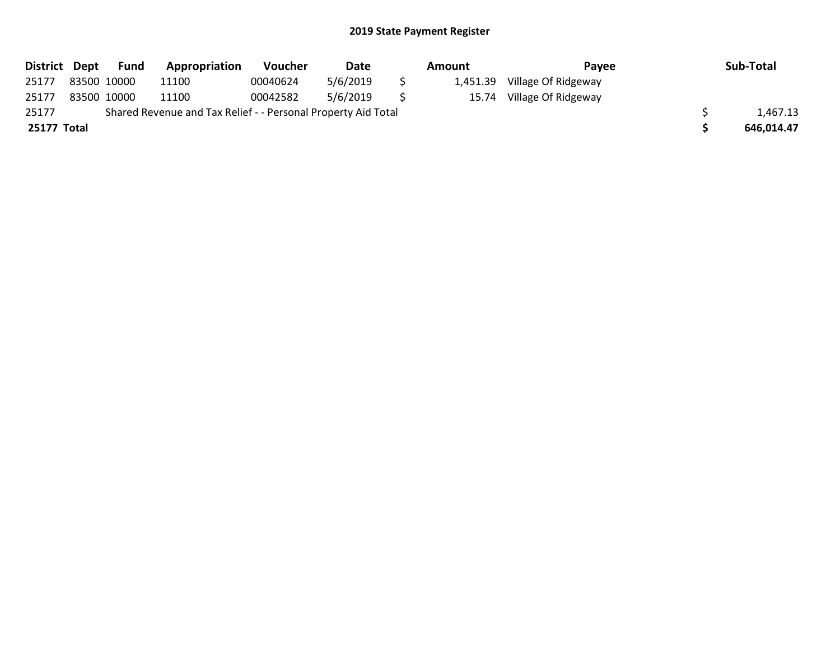| District Dept | Fund        | Appropriation                                                 | Voucher  | Date     | Amount |          | Payee               |  | Sub-Total  |
|---------------|-------------|---------------------------------------------------------------|----------|----------|--------|----------|---------------------|--|------------|
| 25177         | 83500 10000 | 11100                                                         | 00040624 | 5/6/2019 |        | 1,451.39 | Village Of Ridgeway |  |            |
| 25177         | 83500 10000 | 11100                                                         | 00042582 | 5/6/2019 |        | 15.74    | Village Of Ridgeway |  |            |
| 25177         |             | Shared Revenue and Tax Relief - - Personal Property Aid Total |          |          |        |          |                     |  | 1,467.13   |
| 25177 Total   |             |                                                               |          |          |        |          |                     |  | 646,014.47 |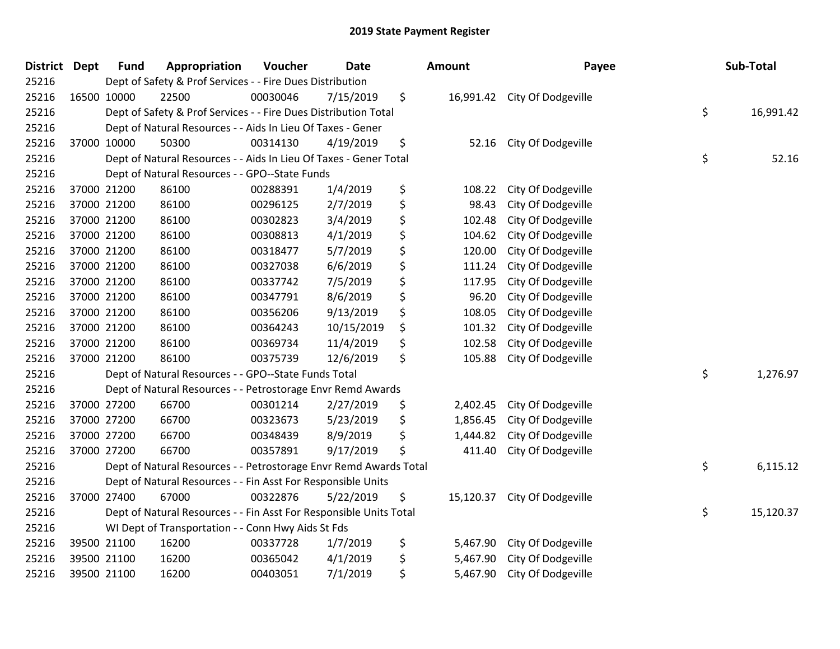| <b>District</b> | <b>Dept</b> | <b>Fund</b> | Appropriation                                                      | Voucher  | <b>Date</b> | <b>Amount</b>   | Payee                        | Sub-Total       |
|-----------------|-------------|-------------|--------------------------------------------------------------------|----------|-------------|-----------------|------------------------------|-----------------|
| 25216           |             |             | Dept of Safety & Prof Services - - Fire Dues Distribution          |          |             |                 |                              |                 |
| 25216           |             | 16500 10000 | 22500                                                              | 00030046 | 7/15/2019   | \$              | 16,991.42 City Of Dodgeville |                 |
| 25216           |             |             | Dept of Safety & Prof Services - - Fire Dues Distribution Total    |          |             |                 |                              | \$<br>16,991.42 |
| 25216           |             |             | Dept of Natural Resources - - Aids In Lieu Of Taxes - Gener        |          |             |                 |                              |                 |
| 25216           |             | 37000 10000 | 50300                                                              | 00314130 | 4/19/2019   | \$<br>52.16     | City Of Dodgeville           |                 |
| 25216           |             |             | Dept of Natural Resources - - Aids In Lieu Of Taxes - Gener Total  |          |             |                 |                              | \$<br>52.16     |
| 25216           |             |             | Dept of Natural Resources - - GPO--State Funds                     |          |             |                 |                              |                 |
| 25216           |             | 37000 21200 | 86100                                                              | 00288391 | 1/4/2019    | \$<br>108.22    | City Of Dodgeville           |                 |
| 25216           |             | 37000 21200 | 86100                                                              | 00296125 | 2/7/2019    | \$<br>98.43     | City Of Dodgeville           |                 |
| 25216           |             | 37000 21200 | 86100                                                              | 00302823 | 3/4/2019    | \$<br>102.48    | City Of Dodgeville           |                 |
| 25216           |             | 37000 21200 | 86100                                                              | 00308813 | 4/1/2019    | \$<br>104.62    | City Of Dodgeville           |                 |
| 25216           |             | 37000 21200 | 86100                                                              | 00318477 | 5/7/2019    | \$<br>120.00    | City Of Dodgeville           |                 |
| 25216           |             | 37000 21200 | 86100                                                              | 00327038 | 6/6/2019    | \$<br>111.24    | City Of Dodgeville           |                 |
| 25216           |             | 37000 21200 | 86100                                                              | 00337742 | 7/5/2019    | \$<br>117.95    | City Of Dodgeville           |                 |
| 25216           |             | 37000 21200 | 86100                                                              | 00347791 | 8/6/2019    | \$<br>96.20     | City Of Dodgeville           |                 |
| 25216           |             | 37000 21200 | 86100                                                              | 00356206 | 9/13/2019   | \$<br>108.05    | City Of Dodgeville           |                 |
| 25216           |             | 37000 21200 | 86100                                                              | 00364243 | 10/15/2019  | \$<br>101.32    | City Of Dodgeville           |                 |
| 25216           |             | 37000 21200 | 86100                                                              | 00369734 | 11/4/2019   | \$<br>102.58    | City Of Dodgeville           |                 |
| 25216           |             | 37000 21200 | 86100                                                              | 00375739 | 12/6/2019   | \$<br>105.88    | City Of Dodgeville           |                 |
| 25216           |             |             | Dept of Natural Resources - - GPO--State Funds Total               |          |             |                 |                              | \$<br>1,276.97  |
| 25216           |             |             | Dept of Natural Resources - - Petrostorage Envr Remd Awards        |          |             |                 |                              |                 |
| 25216           |             | 37000 27200 | 66700                                                              | 00301214 | 2/27/2019   | \$<br>2,402.45  | City Of Dodgeville           |                 |
| 25216           |             | 37000 27200 | 66700                                                              | 00323673 | 5/23/2019   | \$<br>1,856.45  | City Of Dodgeville           |                 |
| 25216           |             | 37000 27200 | 66700                                                              | 00348439 | 8/9/2019    | \$<br>1,444.82  | City Of Dodgeville           |                 |
| 25216           |             | 37000 27200 | 66700                                                              | 00357891 | 9/17/2019   | \$<br>411.40    | City Of Dodgeville           |                 |
| 25216           |             |             | Dept of Natural Resources - - Petrostorage Envr Remd Awards Total  |          |             |                 |                              | \$<br>6,115.12  |
| 25216           |             |             | Dept of Natural Resources - - Fin Asst For Responsible Units       |          |             |                 |                              |                 |
| 25216           |             | 37000 27400 | 67000                                                              | 00322876 | 5/22/2019   | \$<br>15,120.37 | City Of Dodgeville           |                 |
| 25216           |             |             | Dept of Natural Resources - - Fin Asst For Responsible Units Total |          |             |                 |                              | \$<br>15,120.37 |
| 25216           |             |             | WI Dept of Transportation - - Conn Hwy Aids St Fds                 |          |             |                 |                              |                 |
| 25216           |             | 39500 21100 | 16200                                                              | 00337728 | 1/7/2019    | \$<br>5,467.90  | City Of Dodgeville           |                 |
| 25216           |             | 39500 21100 | 16200                                                              | 00365042 | 4/1/2019    | \$<br>5,467.90  | City Of Dodgeville           |                 |
| 25216           |             | 39500 21100 | 16200                                                              | 00403051 | 7/1/2019    | \$<br>5,467.90  | City Of Dodgeville           |                 |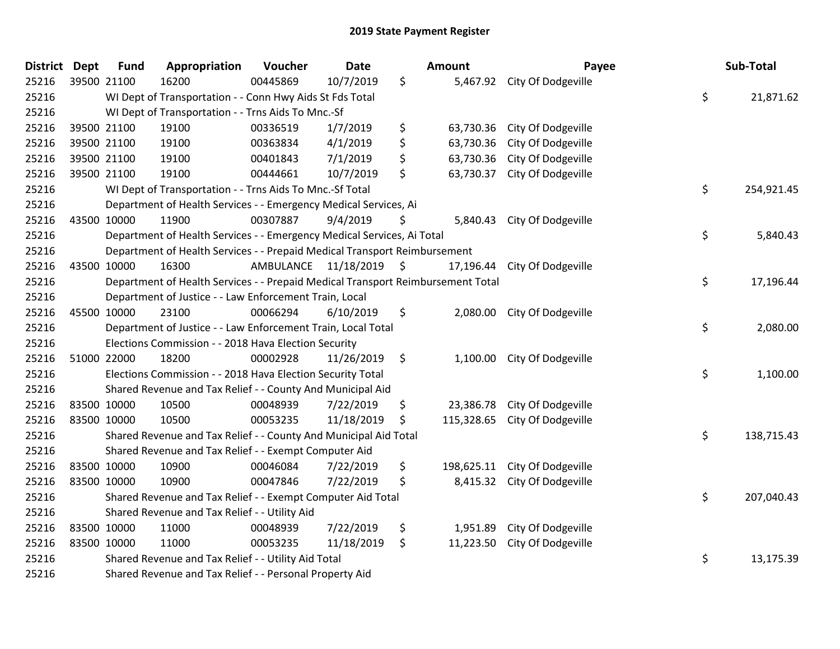| <b>District</b> | <b>Dept</b> | <b>Fund</b> | Appropriation                                                                   | Voucher                 | <b>Date</b> |               | Amount    | Payee                         | Sub-Total        |
|-----------------|-------------|-------------|---------------------------------------------------------------------------------|-------------------------|-------------|---------------|-----------|-------------------------------|------------------|
| 25216           |             | 39500 21100 | 16200                                                                           | 00445869                | 10/7/2019   | \$            |           | 5,467.92 City Of Dodgeville   |                  |
| 25216           |             |             | WI Dept of Transportation - - Conn Hwy Aids St Fds Total                        |                         |             |               |           |                               | \$<br>21,871.62  |
| 25216           |             |             | WI Dept of Transportation - - Trns Aids To Mnc.-Sf                              |                         |             |               |           |                               |                  |
| 25216           |             | 39500 21100 | 19100                                                                           | 00336519                | 1/7/2019    | \$            | 63,730.36 | City Of Dodgeville            |                  |
| 25216           |             | 39500 21100 | 19100                                                                           | 00363834                | 4/1/2019    | \$            | 63,730.36 | City Of Dodgeville            |                  |
| 25216           |             | 39500 21100 | 19100                                                                           | 00401843                | 7/1/2019    | \$            | 63,730.36 | City Of Dodgeville            |                  |
| 25216           |             | 39500 21100 | 19100                                                                           | 00444661                | 10/7/2019   | \$            | 63,730.37 | City Of Dodgeville            |                  |
| 25216           |             |             | WI Dept of Transportation - - Trns Aids To Mnc.-Sf Total                        |                         |             |               |           |                               | \$<br>254,921.45 |
| 25216           |             |             | Department of Health Services - - Emergency Medical Services, Ai                |                         |             |               |           |                               |                  |
| 25216           |             | 43500 10000 | 11900                                                                           | 00307887                | 9/4/2019    | Ş             |           | 5,840.43 City Of Dodgeville   |                  |
| 25216           |             |             | Department of Health Services - - Emergency Medical Services, Ai Total          |                         |             |               |           |                               | \$<br>5,840.43   |
| 25216           |             |             | Department of Health Services - - Prepaid Medical Transport Reimbursement       |                         |             |               |           |                               |                  |
| 25216           |             | 43500 10000 | 16300                                                                           | AMBULANCE 11/18/2019 \$ |             |               |           | 17,196.44 City Of Dodgeville  |                  |
| 25216           |             |             | Department of Health Services - - Prepaid Medical Transport Reimbursement Total |                         |             |               |           |                               | \$<br>17,196.44  |
| 25216           |             |             | Department of Justice - - Law Enforcement Train, Local                          |                         |             |               |           |                               |                  |
| 25216           |             | 45500 10000 | 23100                                                                           | 00066294                | 6/10/2019   | \$            |           | 2,080.00 City Of Dodgeville   |                  |
| 25216           |             |             | Department of Justice - - Law Enforcement Train, Local Total                    |                         |             |               |           |                               | \$<br>2,080.00   |
| 25216           |             |             | Elections Commission - - 2018 Hava Election Security                            |                         |             |               |           |                               |                  |
| 25216           |             | 51000 22000 | 18200                                                                           | 00002928                | 11/26/2019  | $\ddot{\phi}$ |           | 1,100.00 City Of Dodgeville   |                  |
| 25216           |             |             | Elections Commission - - 2018 Hava Election Security Total                      |                         |             |               |           |                               | \$<br>1,100.00   |
| 25216           |             |             | Shared Revenue and Tax Relief - - County And Municipal Aid                      |                         |             |               |           |                               |                  |
| 25216           |             | 83500 10000 | 10500                                                                           | 00048939                | 7/22/2019   | \$            |           | 23,386.78 City Of Dodgeville  |                  |
| 25216           |             | 83500 10000 | 10500                                                                           | 00053235                | 11/18/2019  | \$            |           | 115,328.65 City Of Dodgeville |                  |
| 25216           |             |             | Shared Revenue and Tax Relief - - County And Municipal Aid Total                |                         |             |               |           |                               | \$<br>138,715.43 |
| 25216           |             |             | Shared Revenue and Tax Relief - - Exempt Computer Aid                           |                         |             |               |           |                               |                  |
| 25216           |             | 83500 10000 | 10900                                                                           | 00046084                | 7/22/2019   | \$            |           | 198,625.11 City Of Dodgeville |                  |
| 25216           |             | 83500 10000 | 10900                                                                           | 00047846                | 7/22/2019   | \$            |           | 8,415.32 City Of Dodgeville   |                  |
| 25216           |             |             | Shared Revenue and Tax Relief - - Exempt Computer Aid Total                     |                         |             |               |           |                               | \$<br>207,040.43 |
| 25216           |             |             | Shared Revenue and Tax Relief - - Utility Aid                                   |                         |             |               |           |                               |                  |
| 25216           |             | 83500 10000 | 11000                                                                           | 00048939                | 7/22/2019   | \$            | 1,951.89  | City Of Dodgeville            |                  |
| 25216           |             | 83500 10000 | 11000                                                                           | 00053235                | 11/18/2019  | $\zeta$       | 11,223.50 | City Of Dodgeville            |                  |
| 25216           |             |             | Shared Revenue and Tax Relief - - Utility Aid Total                             |                         |             |               |           |                               | \$<br>13,175.39  |
| 25216           |             |             | Shared Revenue and Tax Relief - - Personal Property Aid                         |                         |             |               |           |                               |                  |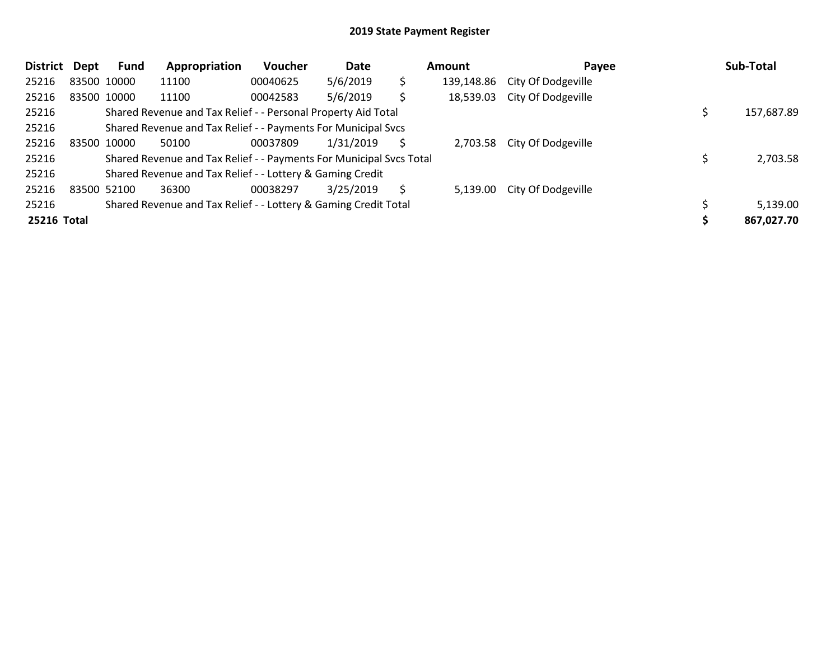| <b>District</b> | Dept        | <b>Fund</b> | Appropriation                                                       | <b>Voucher</b> | Date      | Amount |            | Payee              |  | Sub-Total  |  |
|-----------------|-------------|-------------|---------------------------------------------------------------------|----------------|-----------|--------|------------|--------------------|--|------------|--|
| 25216           |             | 83500 10000 | 11100                                                               | 00040625       | 5/6/2019  | \$     | 139,148.86 | City Of Dodgeville |  |            |  |
| 25216           |             | 83500 10000 | 11100                                                               | 00042583       | 5/6/2019  | \$     | 18,539.03  | City Of Dodgeville |  |            |  |
| 25216           |             |             | Shared Revenue and Tax Relief - - Personal Property Aid Total       |                |           |        |            |                    |  | 157,687.89 |  |
| 25216           |             |             | Shared Revenue and Tax Relief - - Payments For Municipal Svcs       |                |           |        |            |                    |  |            |  |
| 25216           | 83500 10000 |             | 50100                                                               | 00037809       | 1/31/2019 | S      | 2,703.58   | City Of Dodgeville |  |            |  |
| 25216           |             |             | Shared Revenue and Tax Relief - - Payments For Municipal Svcs Total |                |           |        |            |                    |  | 2,703.58   |  |
| 25216           |             |             | Shared Revenue and Tax Relief - - Lottery & Gaming Credit           |                |           |        |            |                    |  |            |  |
| 25216           |             | 83500 52100 | 36300                                                               | 00038297       | 3/25/2019 | S      | 5,139.00   | City Of Dodgeville |  |            |  |
| 25216           |             |             | Shared Revenue and Tax Relief - - Lottery & Gaming Credit Total     |                |           |        |            |                    |  | 5,139.00   |  |
| 25216 Total     |             |             |                                                                     |                |           |        |            |                    |  | 867,027.70 |  |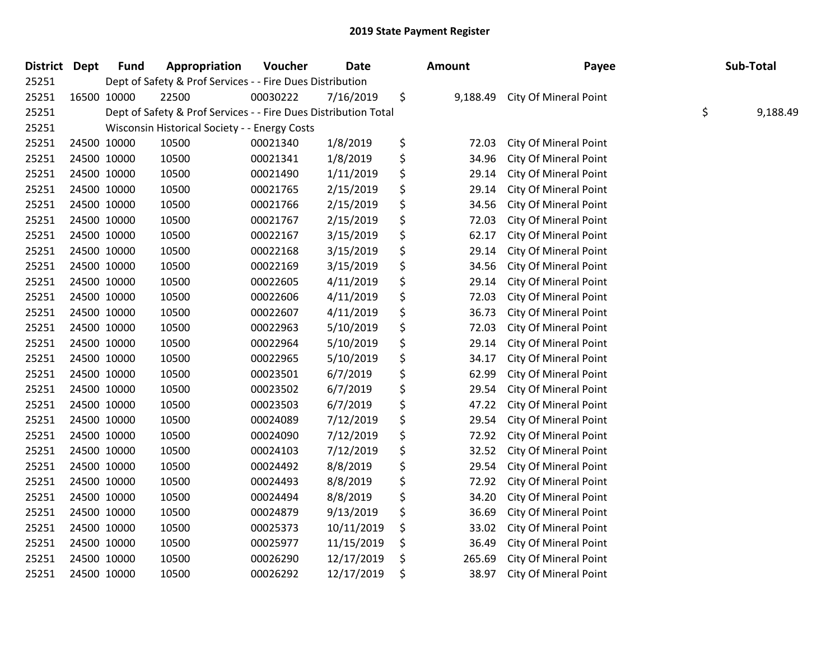| <b>District</b> | <b>Dept</b> | <b>Fund</b>                                                           | Appropriation | Voucher  | Date       |    | <b>Amount</b> | Payee                        |  | Sub-Total |  |
|-----------------|-------------|-----------------------------------------------------------------------|---------------|----------|------------|----|---------------|------------------------------|--|-----------|--|
| 25251           |             | Dept of Safety & Prof Services - - Fire Dues Distribution             |               |          |            |    |               |                              |  |           |  |
| 25251           |             | 16500 10000                                                           | 22500         | 00030222 | 7/16/2019  | \$ | 9,188.49      | City Of Mineral Point        |  |           |  |
| 25251           |             | \$<br>Dept of Safety & Prof Services - - Fire Dues Distribution Total |               |          |            |    |               |                              |  | 9,188.49  |  |
| 25251           |             | Wisconsin Historical Society - - Energy Costs                         |               |          |            |    |               |                              |  |           |  |
| 25251           |             | 24500 10000                                                           | 10500         | 00021340 | 1/8/2019   | \$ | 72.03         | City Of Mineral Point        |  |           |  |
| 25251           |             | 24500 10000                                                           | 10500         | 00021341 | 1/8/2019   | \$ | 34.96         | City Of Mineral Point        |  |           |  |
| 25251           |             | 24500 10000                                                           | 10500         | 00021490 | 1/11/2019  | \$ | 29.14         | <b>City Of Mineral Point</b> |  |           |  |
| 25251           |             | 24500 10000                                                           | 10500         | 00021765 | 2/15/2019  | \$ | 29.14         | City Of Mineral Point        |  |           |  |
| 25251           |             | 24500 10000                                                           | 10500         | 00021766 | 2/15/2019  | \$ | 34.56         | City Of Mineral Point        |  |           |  |
| 25251           |             | 24500 10000                                                           | 10500         | 00021767 | 2/15/2019  | \$ | 72.03         | City Of Mineral Point        |  |           |  |
| 25251           |             | 24500 10000                                                           | 10500         | 00022167 | 3/15/2019  | \$ | 62.17         | City Of Mineral Point        |  |           |  |
| 25251           |             | 24500 10000                                                           | 10500         | 00022168 | 3/15/2019  | \$ | 29.14         | City Of Mineral Point        |  |           |  |
| 25251           |             | 24500 10000                                                           | 10500         | 00022169 | 3/15/2019  | \$ | 34.56         | City Of Mineral Point        |  |           |  |
| 25251           | 24500 10000 |                                                                       | 10500         | 00022605 | 4/11/2019  | \$ | 29.14         | City Of Mineral Point        |  |           |  |
| 25251           |             | 24500 10000                                                           | 10500         | 00022606 | 4/11/2019  | \$ | 72.03         | City Of Mineral Point        |  |           |  |
| 25251           |             | 24500 10000                                                           | 10500         | 00022607 | 4/11/2019  | \$ | 36.73         | City Of Mineral Point        |  |           |  |
| 25251           |             | 24500 10000                                                           | 10500         | 00022963 | 5/10/2019  | \$ | 72.03         | <b>City Of Mineral Point</b> |  |           |  |
| 25251           |             | 24500 10000                                                           | 10500         | 00022964 | 5/10/2019  | \$ | 29.14         | City Of Mineral Point        |  |           |  |
| 25251           |             | 24500 10000                                                           | 10500         | 00022965 | 5/10/2019  | \$ | 34.17         | City Of Mineral Point        |  |           |  |
| 25251           |             | 24500 10000                                                           | 10500         | 00023501 | 6/7/2019   | \$ | 62.99         | City Of Mineral Point        |  |           |  |
| 25251           |             | 24500 10000                                                           | 10500         | 00023502 | 6/7/2019   | \$ | 29.54         | City Of Mineral Point        |  |           |  |
| 25251           |             | 24500 10000                                                           | 10500         | 00023503 | 6/7/2019   | \$ | 47.22         | City Of Mineral Point        |  |           |  |
| 25251           |             | 24500 10000                                                           | 10500         | 00024089 | 7/12/2019  | \$ | 29.54         | City Of Mineral Point        |  |           |  |
| 25251           |             | 24500 10000                                                           | 10500         | 00024090 | 7/12/2019  | \$ | 72.92         | City Of Mineral Point        |  |           |  |
| 25251           |             | 24500 10000                                                           | 10500         | 00024103 | 7/12/2019  | \$ | 32.52         | City Of Mineral Point        |  |           |  |
| 25251           |             | 24500 10000                                                           | 10500         | 00024492 | 8/8/2019   | \$ | 29.54         | City Of Mineral Point        |  |           |  |
| 25251           |             | 24500 10000                                                           | 10500         | 00024493 | 8/8/2019   | \$ | 72.92         | City Of Mineral Point        |  |           |  |
| 25251           |             | 24500 10000                                                           | 10500         | 00024494 | 8/8/2019   | \$ | 34.20         | <b>City Of Mineral Point</b> |  |           |  |
| 25251           |             | 24500 10000                                                           | 10500         | 00024879 | 9/13/2019  | \$ | 36.69         | City Of Mineral Point        |  |           |  |
| 25251           |             | 24500 10000                                                           | 10500         | 00025373 | 10/11/2019 | \$ | 33.02         | City Of Mineral Point        |  |           |  |
| 25251           |             | 24500 10000                                                           | 10500         | 00025977 | 11/15/2019 | \$ | 36.49         | City Of Mineral Point        |  |           |  |
| 25251           |             | 24500 10000                                                           | 10500         | 00026290 | 12/17/2019 | \$ | 265.69        | City Of Mineral Point        |  |           |  |
| 25251           |             | 24500 10000                                                           | 10500         | 00026292 | 12/17/2019 | \$ | 38.97         | <b>City Of Mineral Point</b> |  |           |  |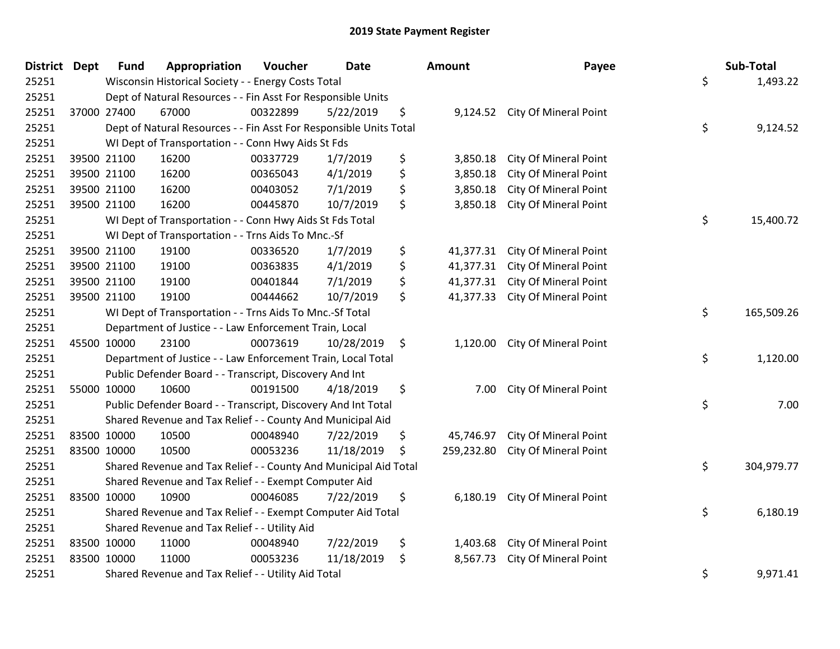| <b>District Dept</b> | <b>Fund</b>                                                         | Appropriation                                                      | Voucher  | <b>Date</b> |    | Amount     | Payee                          |          | Sub-Total  |
|----------------------|---------------------------------------------------------------------|--------------------------------------------------------------------|----------|-------------|----|------------|--------------------------------|----------|------------|
| 25251                | Wisconsin Historical Society - - Energy Costs Total                 |                                                                    |          |             |    |            |                                | \$       | 1,493.22   |
| 25251                |                                                                     | Dept of Natural Resources - - Fin Asst For Responsible Units       |          |             |    |            |                                |          |            |
| 25251                | 37000 27400                                                         | 67000                                                              | 00322899 | 5/22/2019   | \$ |            | 9,124.52 City Of Mineral Point |          |            |
| 25251                |                                                                     | Dept of Natural Resources - - Fin Asst For Responsible Units Total |          |             |    |            |                                | \$       | 9,124.52   |
| 25251                |                                                                     | WI Dept of Transportation - - Conn Hwy Aids St Fds                 |          |             |    |            |                                |          |            |
| 25251                | 39500 21100                                                         | 16200                                                              | 00337729 | 1/7/2019    | \$ | 3,850.18   | City Of Mineral Point          |          |            |
| 25251                | 39500 21100                                                         | 16200                                                              | 00365043 | 4/1/2019    | \$ | 3,850.18   | City Of Mineral Point          |          |            |
| 25251                | 39500 21100                                                         | 16200                                                              | 00403052 | 7/1/2019    | \$ | 3,850.18   | City Of Mineral Point          |          |            |
| 25251                | 39500 21100                                                         | 16200                                                              | 00445870 | 10/7/2019   | \$ | 3,850.18   | City Of Mineral Point          |          |            |
| 25251                |                                                                     | WI Dept of Transportation - - Conn Hwy Aids St Fds Total           |          |             |    |            |                                | \$       | 15,400.72  |
| 25251                |                                                                     | WI Dept of Transportation - - Trns Aids To Mnc.-Sf                 |          |             |    |            |                                |          |            |
| 25251                | 39500 21100                                                         | 19100                                                              | 00336520 | 1/7/2019    | \$ | 41,377.31  | City Of Mineral Point          |          |            |
| 25251                | 39500 21100                                                         | 19100                                                              | 00363835 | 4/1/2019    | \$ | 41,377.31  | City Of Mineral Point          |          |            |
| 25251                | 39500 21100                                                         | 19100                                                              | 00401844 | 7/1/2019    | \$ | 41,377.31  | City Of Mineral Point          |          |            |
| 25251                | 39500 21100                                                         | 19100                                                              | 00444662 | 10/7/2019   | \$ | 41,377.33  | City Of Mineral Point          |          |            |
| 25251                |                                                                     | WI Dept of Transportation - - Trns Aids To Mnc.-Sf Total           |          |             |    |            |                                | \$       | 165,509.26 |
| 25251                | Department of Justice - - Law Enforcement Train, Local              |                                                                    |          |             |    |            |                                |          |            |
| 25251                | 45500 10000                                                         | 23100                                                              | 00073619 | 10/28/2019  | \$ | 1,120.00   | City Of Mineral Point          |          |            |
| 25251                |                                                                     | Department of Justice - - Law Enforcement Train, Local Total       |          |             |    |            |                                | \$       | 1,120.00   |
| 25251                |                                                                     | Public Defender Board - - Transcript, Discovery And Int            |          |             |    |            |                                |          |            |
| 25251                | 55000 10000                                                         | 10600                                                              | 00191500 | 4/18/2019   | \$ | 7.00       | City Of Mineral Point          |          |            |
| 25251                | \$<br>Public Defender Board - - Transcript, Discovery And Int Total |                                                                    |          |             |    |            |                                |          | 7.00       |
| 25251                | Shared Revenue and Tax Relief - - County And Municipal Aid          |                                                                    |          |             |    |            |                                |          |            |
| 25251                | 83500 10000                                                         | 10500                                                              | 00048940 | 7/22/2019   | \$ | 45,746.97  | City Of Mineral Point          |          |            |
| 25251                | 83500 10000                                                         | 10500                                                              | 00053236 | 11/18/2019  | \$ | 259,232.80 | <b>City Of Mineral Point</b>   |          |            |
| 25251                | Shared Revenue and Tax Relief - - County And Municipal Aid Total    |                                                                    |          |             |    |            |                                |          | 304,979.77 |
| 25251                | Shared Revenue and Tax Relief - - Exempt Computer Aid               |                                                                    |          |             |    |            |                                |          |            |
| 25251                | 83500 10000                                                         | 10900                                                              | 00046085 | 7/22/2019   | \$ | 6,180.19   | City Of Mineral Point          |          |            |
| 25251                | \$<br>Shared Revenue and Tax Relief - - Exempt Computer Aid Total   |                                                                    |          |             |    |            |                                |          | 6,180.19   |
| 25251                | Shared Revenue and Tax Relief - - Utility Aid                       |                                                                    |          |             |    |            |                                |          |            |
| 25251                | 83500 10000                                                         | 11000                                                              | 00048940 | 7/22/2019   | \$ | 1,403.68   | City Of Mineral Point          |          |            |
| 25251                | 83500 10000                                                         | 11000                                                              | 00053236 | 11/18/2019  | \$ | 8,567.73   | City Of Mineral Point          |          |            |
| 25251                | Shared Revenue and Tax Relief - - Utility Aid Total                 |                                                                    |          |             |    |            | \$                             | 9,971.41 |            |